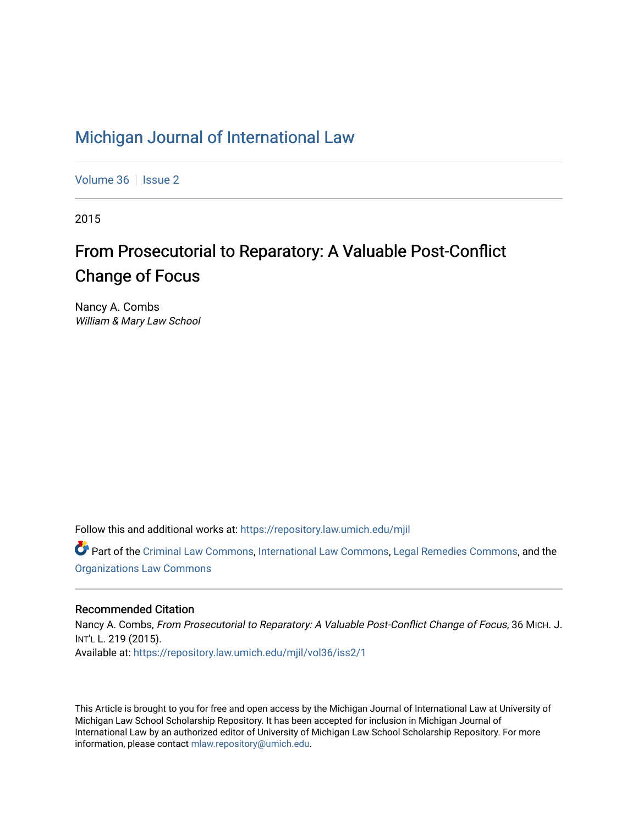# [Michigan Journal of International Law](https://repository.law.umich.edu/mjil)

[Volume 36](https://repository.law.umich.edu/mjil/vol36) | [Issue 2](https://repository.law.umich.edu/mjil/vol36/iss2)

2015

# From Prosecutorial to Reparatory: A Valuable Post-Conflict Change of Focus

Nancy A. Combs William & Mary Law School

Follow this and additional works at: [https://repository.law.umich.edu/mjil](https://repository.law.umich.edu/mjil?utm_source=repository.law.umich.edu%2Fmjil%2Fvol36%2Fiss2%2F1&utm_medium=PDF&utm_campaign=PDFCoverPages) 

Part of the [Criminal Law Commons,](http://network.bepress.com/hgg/discipline/912?utm_source=repository.law.umich.edu%2Fmjil%2Fvol36%2Fiss2%2F1&utm_medium=PDF&utm_campaign=PDFCoverPages) [International Law Commons](http://network.bepress.com/hgg/discipline/609?utm_source=repository.law.umich.edu%2Fmjil%2Fvol36%2Fiss2%2F1&utm_medium=PDF&utm_campaign=PDFCoverPages), [Legal Remedies Commons](http://network.bepress.com/hgg/discipline/618?utm_source=repository.law.umich.edu%2Fmjil%2Fvol36%2Fiss2%2F1&utm_medium=PDF&utm_campaign=PDFCoverPages), and the [Organizations Law Commons](http://network.bepress.com/hgg/discipline/865?utm_source=repository.law.umich.edu%2Fmjil%2Fvol36%2Fiss2%2F1&utm_medium=PDF&utm_campaign=PDFCoverPages) 

# Recommended Citation

Nancy A. Combs, From Prosecutorial to Reparatory: A Valuable Post-Conflict Change of Focus, 36 MICH. J. INT'L L. 219 (2015). Available at: [https://repository.law.umich.edu/mjil/vol36/iss2/1](https://repository.law.umich.edu/mjil/vol36/iss2/1?utm_source=repository.law.umich.edu%2Fmjil%2Fvol36%2Fiss2%2F1&utm_medium=PDF&utm_campaign=PDFCoverPages) 

This Article is brought to you for free and open access by the Michigan Journal of International Law at University of Michigan Law School Scholarship Repository. It has been accepted for inclusion in Michigan Journal of International Law by an authorized editor of University of Michigan Law School Scholarship Repository. For more information, please contact [mlaw.repository@umich.edu](mailto:mlaw.repository@umich.edu).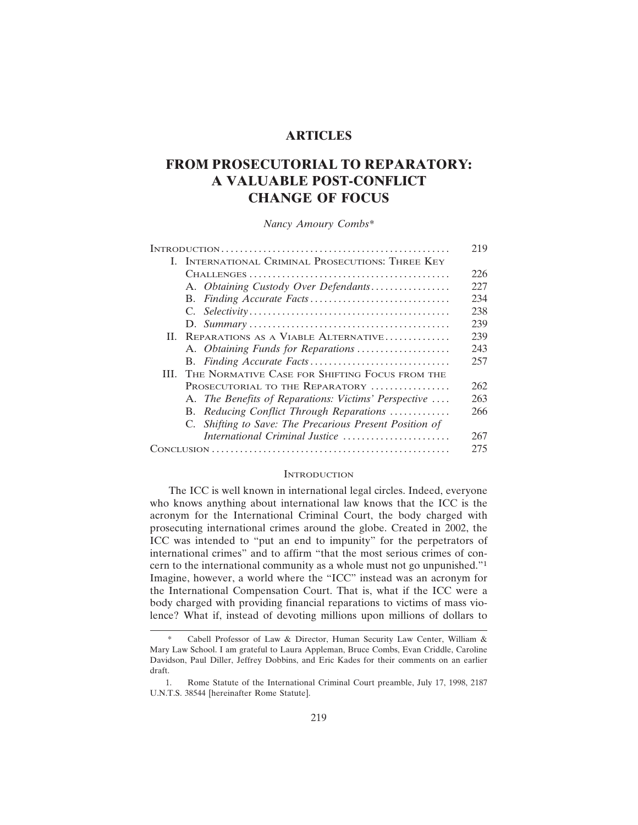# **ARTICLES**

# **FROM PROSECUTORIAL TO REPARATORY: A VALUABLE POST-CONFLICT CHANGE OF FOCUS**

*Nancy Amoury Combs\**

|  |                                                          | 219 |
|--|----------------------------------------------------------|-----|
|  | <b>I. INTERNATIONAL CRIMINAL PROSECUTIONS: THREE KEY</b> |     |
|  |                                                          | 226 |
|  | A. Obtaining Custody Over Defendants                     | 227 |
|  |                                                          | 234 |
|  |                                                          | 238 |
|  |                                                          | 239 |
|  | II. REPARATIONS AS A VIABLE ALTERNATIVE                  | 239 |
|  | A. Obtaining Funds for Reparations                       | 243 |
|  |                                                          | 257 |
|  | III. THE NORMATIVE CASE FOR SHIFTING FOCUS FROM THE      |     |
|  | PROSECUTORIAL TO THE REPARATORY                          | 262 |
|  | A. The Benefits of Reparations: Victims' Perspective     | 263 |
|  | B. Reducing Conflict Through Reparations                 | 266 |
|  | C. Shifting to Save: The Precarious Present Position of  |     |
|  | International Criminal Justice                           | 267 |
|  |                                                          | 275 |

#### **INTRODUCTION**

The ICC is well known in international legal circles. Indeed, everyone who knows anything about international law knows that the ICC is the acronym for the International Criminal Court, the body charged with prosecuting international crimes around the globe. Created in 2002, the ICC was intended to "put an end to impunity" for the perpetrators of international crimes" and to affirm "that the most serious crimes of concern to the international community as a whole must not go unpunished."<sup>1</sup> Imagine, however, a world where the "ICC" instead was an acronym for the International Compensation Court. That is, what if the ICC were a body charged with providing financial reparations to victims of mass violence? What if, instead of devoting millions upon millions of dollars to

Cabell Professor of Law & Director, Human Security Law Center, William & Mary Law School. I am grateful to Laura Appleman, Bruce Combs, Evan Criddle, Caroline Davidson, Paul Diller, Jeffrey Dobbins, and Eric Kades for their comments on an earlier draft.

<sup>1.</sup> Rome Statute of the International Criminal Court preamble, July 17, 1998, 2187 U.N.T.S. 38544 [hereinafter Rome Statute].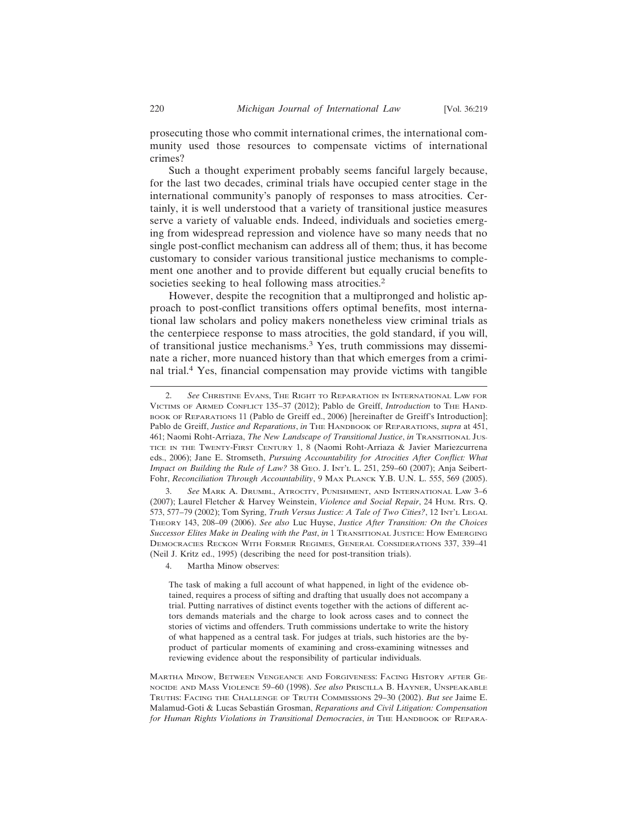prosecuting those who commit international crimes, the international community used those resources to compensate victims of international crimes?

Such a thought experiment probably seems fanciful largely because, for the last two decades, criminal trials have occupied center stage in the international community's panoply of responses to mass atrocities. Certainly, it is well understood that a variety of transitional justice measures serve a variety of valuable ends. Indeed, individuals and societies emerging from widespread repression and violence have so many needs that no single post-conflict mechanism can address all of them; thus, it has become customary to consider various transitional justice mechanisms to complement one another and to provide different but equally crucial benefits to societies seeking to heal following mass atrocities.<sup>2</sup>

However, despite the recognition that a multipronged and holistic approach to post-conflict transitions offers optimal benefits, most international law scholars and policy makers nonetheless view criminal trials as the centerpiece response to mass atrocities, the gold standard, if you will, of transitional justice mechanisms.3 Yes, truth commissions may disseminate a richer, more nuanced history than that which emerges from a criminal trial.4 Yes, financial compensation may provide victims with tangible

3. *See* MARK A. DRUMBL, ATROCITY, PUNISHMENT, AND INTERNATIONAL LAW 3–6 (2007); Laurel Fletcher & Harvey Weinstein, *Violence and Social Repair*, 24 HUM. RTS. Q. 573, 577-79 (2002); Tom Syring, *Truth Versus Justice: A Tale of Two Cities?*, 12 INT'L LEGAL THEORY 143, 208–09 (2006). *See also* Luc Huyse, *Justice After Transition: On the Choices Successor Elites Make in Dealing with the Past*, *in* 1 TRANSITIONAL JUSTICE: HOW EMERGING DEMOCRACIES RECKON WITH FORMER REGIMES, GENERAL CONSIDERATIONS 337, 339–41 (Neil J. Kritz ed., 1995) (describing the need for post-transition trials).

4. Martha Minow observes:

The task of making a full account of what happened, in light of the evidence obtained, requires a process of sifting and drafting that usually does not accompany a trial. Putting narratives of distinct events together with the actions of different actors demands materials and the charge to look across cases and to connect the stories of victims and offenders. Truth commissions undertake to write the history of what happened as a central task. For judges at trials, such histories are the byproduct of particular moments of examining and cross-examining witnesses and reviewing evidence about the responsibility of particular individuals.

MARTHA MINOW, BETWEEN VENGEANCE AND FORGIVENESS: FACING HISTORY AFTER GE-NOCIDE AND MASS VIOLENCE 59–60 (1998). *See also* PRISCILLA B. HAYNER, UNSPEAKABLE TRUTHS: FACING THE CHALLENGE OF TRUTH COMMISSIONS 29–30 (2002). *But see* Jaime E. Malamud-Goti & Lucas Sebastián Grosman, *Reparations and Civil Litigation: Compensation for Human Rights Violations in Transitional Democracies*, *in* THE HANDBOOK OF REPARA-

<sup>2.</sup> *See* CHRISTINE EVANS, THE RIGHT TO REPARATION IN INTERNATIONAL LAW FOR VICTIMS OF ARMED CONFLICT 135–37 (2012); Pablo de Greiff, *Introduction* to THE HAND-BOOK OF REPARATIONS 11 (Pablo de Greiff ed., 2006) [hereinafter de Greiff's Introduction]; Pablo de Greiff, *Justice and Reparations*, *in* THE HANDBOOK OF REPARATIONS, *supra* at 451, 461; Naomi Roht-Arriaza, *The New Landscape of Transitional Justice*, *in* TRANSITIONAL JUS-TICE IN THE TWENTY-FIRST CENTURY 1, 8 (Naomi Roht-Arriaza & Javier Mariezcurrena eds., 2006); Jane E. Stromseth, *Pursuing Accountability for Atrocities After Conflict: What Impact on Building the Rule of Law?* 38 GEO. J. INT'L L. 251, 259-60 (2007); Anja Seibert-Fohr, *Reconciliation Through Accountability*, 9 MAX PLANCK Y.B. U.N. L. 555, 569 (2005).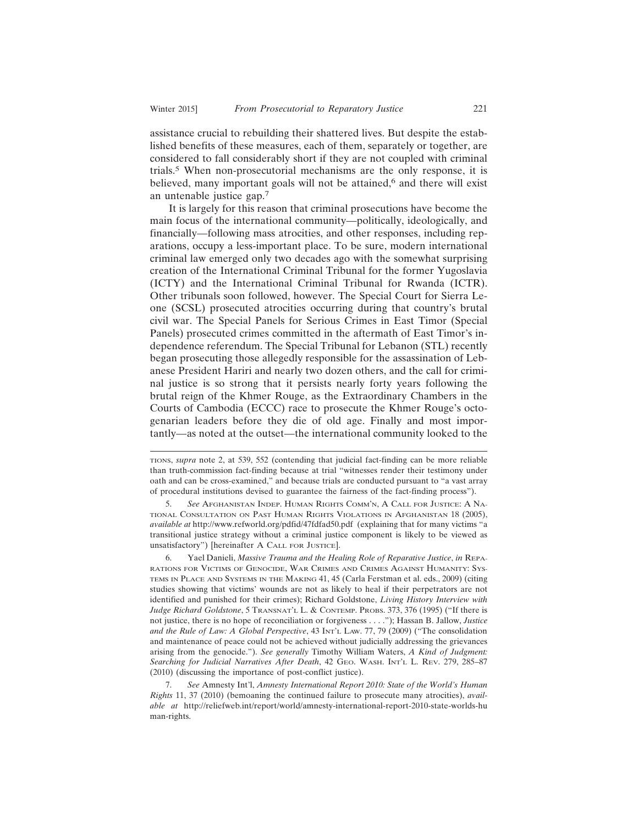assistance crucial to rebuilding their shattered lives. But despite the established benefits of these measures, each of them, separately or together, are considered to fall considerably short if they are not coupled with criminal trials.5 When non-prosecutorial mechanisms are the only response, it is believed, many important goals will not be attained,<sup>6</sup> and there will exist

an untenable justice gap.<sup>7</sup> It is largely for this reason that criminal prosecutions have become the main focus of the international community—politically, ideologically, and financially—following mass atrocities, and other responses, including reparations, occupy a less-important place. To be sure, modern international criminal law emerged only two decades ago with the somewhat surprising creation of the International Criminal Tribunal for the former Yugoslavia (ICTY) and the International Criminal Tribunal for Rwanda (ICTR). Other tribunals soon followed, however. The Special Court for Sierra Leone (SCSL) prosecuted atrocities occurring during that country's brutal civil war. The Special Panels for Serious Crimes in East Timor (Special Panels) prosecuted crimes committed in the aftermath of East Timor's independence referendum. The Special Tribunal for Lebanon (STL) recently began prosecuting those allegedly responsible for the assassination of Lebanese President Hariri and nearly two dozen others, and the call for criminal justice is so strong that it persists nearly forty years following the brutal reign of the Khmer Rouge, as the Extraordinary Chambers in the Courts of Cambodia (ECCC) race to prosecute the Khmer Rouge's octogenarian leaders before they die of old age. Finally and most importantly—as noted at the outset—the international community looked to the

5. *See* AFGHANISTAN INDEP. HUMAN RIGHTS COMM'N, A CALL FOR JUSTICE: A NA-TIONAL CONSULTATION ON PAST HUMAN RIGHTS VIOLATIONS IN AFGHANISTAN 18 (2005), *available at* http://www.refworld.org/pdfid/47fdfad50.pdf (explaining that for many victims "a transitional justice strategy without a criminal justice component is likely to be viewed as unsatisfactory") [hereinafter A CALL FOR JUSTICE].

6. Yael Danieli, *Massive Trauma and the Healing Role of Reparative Justice*, *in* REPA-RATIONS FOR VICTIMS OF GENOCIDE, WAR CRIMES AND CRIMES AGAINST HUMANITY: SYS-TEMS IN PLACE AND SYSTEMS IN THE MAKING 41, 45 (Carla Ferstman et al. eds., 2009) (citing studies showing that victims' wounds are not as likely to heal if their perpetrators are not identified and punished for their crimes); Richard Goldstone, *Living History Interview with Judge Richard Goldstone*, 5 TRANSNAT'L L. & CONTEMP. PROBS. 373, 376 (1995) ("If there is not justice, there is no hope of reconciliation or forgiveness . . . ."); Hassan B. Jallow, *Justice and the Rule of Law: A Global Perspective*, 43 INT'L LAW. 77, 79 (2009) ("The consolidation and maintenance of peace could not be achieved without judicially addressing the grievances arising from the genocide."). *See generally* Timothy William Waters, *A Kind of Judgment: Searching for Judicial Narratives After Death*, 42 GEO. WASH. INT'L L. REV. 279, 285–87 (2010) (discussing the importance of post-conflict justice).

7. *See* Amnesty Int'l, *Amnesty International Report 2010: State of the World's Human Rights* 11, 37 (2010) (bemoaning the continued failure to prosecute many atrocities), *available at* http://reliefweb.int/report/world/amnesty-international-report-2010-state-worlds-hu man-rights.

TIONS, *supra* note 2, at 539, 552 (contending that judicial fact-finding can be more reliable than truth-commission fact-finding because at trial "witnesses render their testimony under oath and can be cross-examined," and because trials are conducted pursuant to "a vast array of procedural institutions devised to guarantee the fairness of the fact-finding process").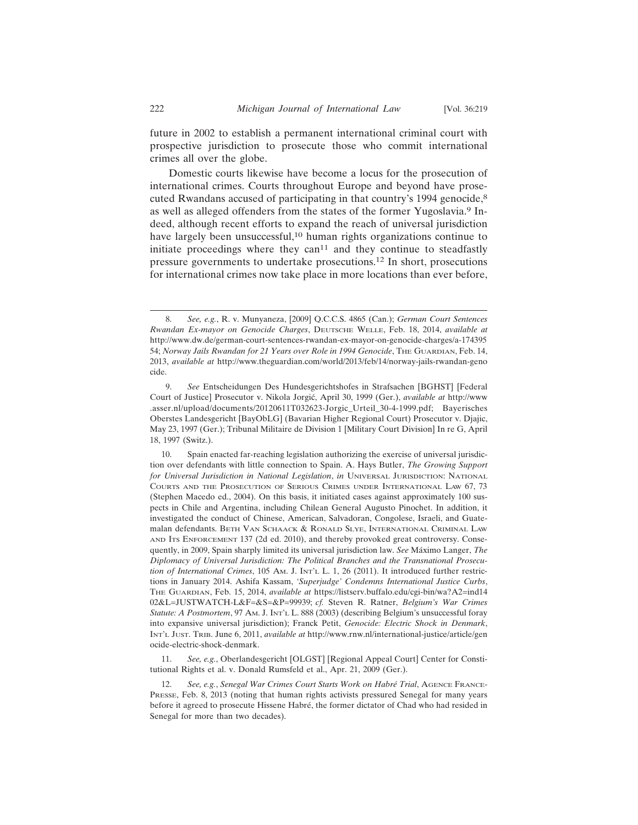future in 2002 to establish a permanent international criminal court with prospective jurisdiction to prosecute those who commit international crimes all over the globe.

Domestic courts likewise have become a locus for the prosecution of international crimes. Courts throughout Europe and beyond have prosecuted Rwandans accused of participating in that country's 1994 genocide,<sup>8</sup> as well as alleged offenders from the states of the former Yugoslavia.9 Indeed, although recent efforts to expand the reach of universal jurisdiction have largely been unsuccessful,<sup>10</sup> human rights organizations continue to initiate proceedings where they can<sup>11</sup> and they continue to steadfastly pressure governments to undertake prosecutions.12 In short, prosecutions for international crimes now take place in more locations than ever before,

11. *See, e.g.*, Oberlandesgericht [OLGST] [Regional Appeal Court] Center for Constitutional Rights et al. v. Donald Rumsfeld et al., Apr. 21, 2009 (Ger.).

<sup>8.</sup> *See, e.g.*, R. v. Munyaneza, [2009] Q.C.C.S. 4865 (Can.); *German Court Sentences Rwandan Ex-mayor on Genocide Charges*, DEUTSCHE WELLE, Feb. 18, 2014, *available at* http://www.dw.de/german-court-sentences-rwandan-ex-mayor-on-genocide-charges/a-174395 54; *Norway Jails Rwandan for 21 Years over Role in 1994 Genocide*, THE GUARDIAN, Feb. 14, 2013, *available at* http://www.theguardian.com/world/2013/feb/14/norway-jails-rwandan-geno cide.

<sup>9.</sup> *See* Entscheidungen Des Hundesgerichtshofes in Strafsachen [BGHST] [Federal Court of Justice] Prosecutor v. Nikola Jorgić, April 30, 1999 (Ger.), *available at* http://www .asser.nl/upload/documents/20120611T032623-Jorgic\_Urteil\_30-4-1999.pdf; Bayerisches Oberstes Landesgericht [BayObLG] (Bavarian Higher Regional Court) Prosecutor v. Djajic, May 23, 1997 (Ger.); Tribunal Militaire de Division 1 [Military Court Division] In re G, April 18, 1997 (Switz.).

<sup>10.</sup> Spain enacted far-reaching legislation authorizing the exercise of universal jurisdiction over defendants with little connection to Spain. A. Hays Butler, *The Growing Support for Universal Jurisdiction in National Legislation*, *in* UNIVERSAL JURISDICTION: NATIONAL COURTS AND THE PROSECUTION OF SERIOUS CRIMES UNDER INTERNATIONAL LAW 67, 73 (Stephen Macedo ed., 2004). On this basis, it initiated cases against approximately 100 suspects in Chile and Argentina, including Chilean General Augusto Pinochet. In addition, it investigated the conduct of Chinese, American, Salvadoran, Congolese, Israeli, and Guatemalan defendants. BETH VAN SCHAACK & RONALD SLYE, INTERNATIONAL CRIMINAL LAW AND ITS ENFORCEMENT 137 (2d ed. 2010), and thereby provoked great controversy. Consequently, in 2009, Spain sharply limited its universal jurisdiction law. *See* Máximo Langer, *The Diplomacy of Universal Jurisdiction: The Political Branches and the Transnational Prosecution of International Crimes*, 105 AM. J. INT'L L. 1, 26 (2011). It introduced further restrictions in January 2014. Ashifa Kassam, *'Superjudge' Condemns International Justice Curbs*, THE GUARDIAN, Feb. 15, 2014, *available at* https://listserv.buffalo.edu/cgi-bin/wa?A2=ind14 02&L=JUSTWATCH-L&F=&S=&P=99939; *cf.* Steven R. Ratner, *Belgium's War Crimes Statute: A Postmortem*, 97 AM. J. INT'L L. 888 (2003) (describing Belgium's unsuccessful foray into expansive universal jurisdiction); Franck Petit, *Genocide: Electric Shock in Denmark*, INT'L JUST. TRIB. June 6, 2011, *available at* http://www.rnw.nl/international-justice/article/gen ocide-electric-shock-denmark.

<sup>12.</sup> *See, e.g., Senegal War Crimes Court Starts Work on Habré Trial, AGENCE FRANCE-*PRESSE, Feb. 8, 2013 (noting that human rights activists pressured Senegal for many years before it agreed to prosecute Hissene Habré, the former dictator of Chad who had resided in Senegal for more than two decades).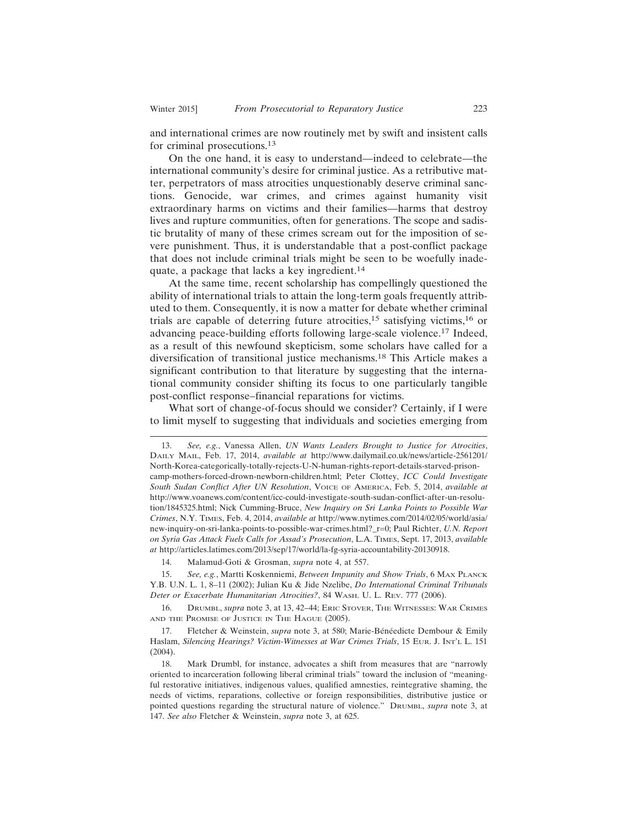and international crimes are now routinely met by swift and insistent calls for criminal prosecutions.<sup>13</sup>

On the one hand, it is easy to understand—indeed to celebrate—the international community's desire for criminal justice. As a retributive matter, perpetrators of mass atrocities unquestionably deserve criminal sanctions. Genocide, war crimes, and crimes against humanity visit extraordinary harms on victims and their families—harms that destroy lives and rupture communities, often for generations. The scope and sadistic brutality of many of these crimes scream out for the imposition of severe punishment. Thus, it is understandable that a post-conflict package that does not include criminal trials might be seen to be woefully inadequate, a package that lacks a key ingredient.<sup>14</sup>

At the same time, recent scholarship has compellingly questioned the ability of international trials to attain the long-term goals frequently attributed to them. Consequently, it is now a matter for debate whether criminal trials are capable of deterring future atrocities,15 satisfying victims,16 or advancing peace-building efforts following large-scale violence.17 Indeed, as a result of this newfound skepticism, some scholars have called for a diversification of transitional justice mechanisms.18 This Article makes a significant contribution to that literature by suggesting that the international community consider shifting its focus to one particularly tangible post-conflict response–financial reparations for victims.

What sort of change-of-focus should we consider? Certainly, if I were to limit myself to suggesting that individuals and societies emerging from

14. Malamud-Goti & Grosman, *supra* note 4, at 557.

15. *See, e.g.*, Martti Koskenniemi, *Between Impunity and Show Trials*, 6 MAX PLANCK Y.B. U.N. L. 1, 8–11 (2002); Julian Ku & Jide Nzelibe, *Do International Criminal Tribunals Deter or Exacerbate Humanitarian Atrocities?*, 84 WASH. U. L. REV. 777 (2006).

16. DRUMBL, *supra* note 3, at 13, 42–44; ERIC STOVER, THE WITNESSES: WAR CRIMES AND THE PROMISE OF JUSTICE IN THE HAGUE (2005).

17. Fletcher & Weinstein, *supra* note 3, at 580; Marie-Bénéedicte Dembour & Emily Haslam, *Silencing Hearings? Victim-Witnesses at War Crimes Trials*, 15 EUR. J. INT'L L. 151 (2004).

<sup>13.</sup> *See, e.g.*, Vanessa Allen, *UN Wants Leaders Brought to Justice for Atrocities*, DAILY MAIL, Feb. 17, 2014, *available at* http://www.dailymail.co.uk/news/article-2561201/ North-Korea-categorically-totally-rejects-U-N-human-rights-report-details-starved-prisoncamp-mothers-forced-drown-newborn-children.html; Peter Clottey, *ICC Could Investigate South Sudan Conflict After UN Resolution*, VOICE OF AMERICA, Feb. 5, 2014, *available at* http://www.voanews.com/content/icc-could-investigate-south-sudan-conflict-after-un-resolution/1845325.html; Nick Cumming-Bruce, *New Inquiry on Sri Lanka Points to Possible War Crimes*, N.Y. TIMES, Feb. 4, 2014, *available at* http://www.nytimes.com/2014/02/05/world/asia/ new-inquiry-on-sri-lanka-points-to-possible-war-crimes.html?\_r=0; Paul Richter, *U.N. Report on Syria Gas Attack Fuels Calls for Assad's Prosecution*, L.A. TIMES, Sept. 17, 2013, *available at* http://articles.latimes.com/2013/sep/17/world/la-fg-syria-accountability-20130918.

<sup>18.</sup> Mark Drumbl, for instance, advocates a shift from measures that are "narrowly oriented to incarceration following liberal criminal trials" toward the inclusion of "meaningful restorative initiatives, indigenous values, qualified amnesties, reintegrative shaming, the needs of victims, reparations, collective or foreign responsibilities, distributive justice or pointed questions regarding the structural nature of violence." DRUMBL, *supra* note 3, at 147. *See also* Fletcher & Weinstein, *supra* note 3, at 625.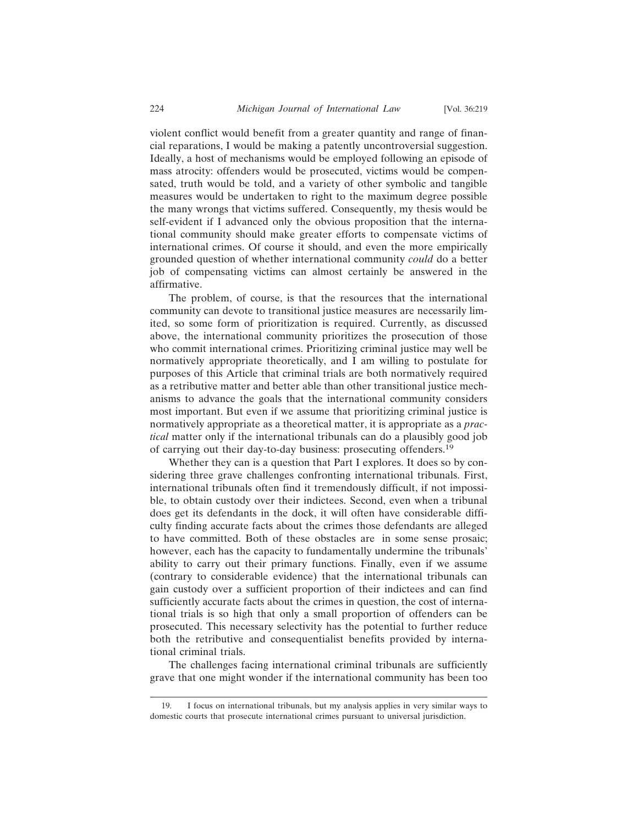violent conflict would benefit from a greater quantity and range of financial reparations, I would be making a patently uncontroversial suggestion. Ideally, a host of mechanisms would be employed following an episode of mass atrocity: offenders would be prosecuted, victims would be compensated, truth would be told, and a variety of other symbolic and tangible measures would be undertaken to right to the maximum degree possible the many wrongs that victims suffered. Consequently, my thesis would be self-evident if I advanced only the obvious proposition that the international community should make greater efforts to compensate victims of international crimes. Of course it should, and even the more empirically grounded question of whether international community *could* do a better job of compensating victims can almost certainly be answered in the affirmative.

The problem, of course, is that the resources that the international community can devote to transitional justice measures are necessarily limited, so some form of prioritization is required. Currently, as discussed above, the international community prioritizes the prosecution of those who commit international crimes. Prioritizing criminal justice may well be normatively appropriate theoretically, and I am willing to postulate for purposes of this Article that criminal trials are both normatively required as a retributive matter and better able than other transitional justice mechanisms to advance the goals that the international community considers most important. But even if we assume that prioritizing criminal justice is normatively appropriate as a theoretical matter, it is appropriate as a *practical* matter only if the international tribunals can do a plausibly good job of carrying out their day-to-day business: prosecuting offenders.<sup>19</sup>

Whether they can is a question that Part I explores. It does so by considering three grave challenges confronting international tribunals. First, international tribunals often find it tremendously difficult, if not impossible, to obtain custody over their indictees. Second, even when a tribunal does get its defendants in the dock, it will often have considerable difficulty finding accurate facts about the crimes those defendants are alleged to have committed. Both of these obstacles are in some sense prosaic; however, each has the capacity to fundamentally undermine the tribunals' ability to carry out their primary functions. Finally, even if we assume (contrary to considerable evidence) that the international tribunals can gain custody over a sufficient proportion of their indictees and can find sufficiently accurate facts about the crimes in question, the cost of international trials is so high that only a small proportion of offenders can be prosecuted. This necessary selectivity has the potential to further reduce both the retributive and consequentialist benefits provided by international criminal trials.

The challenges facing international criminal tribunals are sufficiently grave that one might wonder if the international community has been too

<sup>19.</sup> I focus on international tribunals, but my analysis applies in very similar ways to domestic courts that prosecute international crimes pursuant to universal jurisdiction.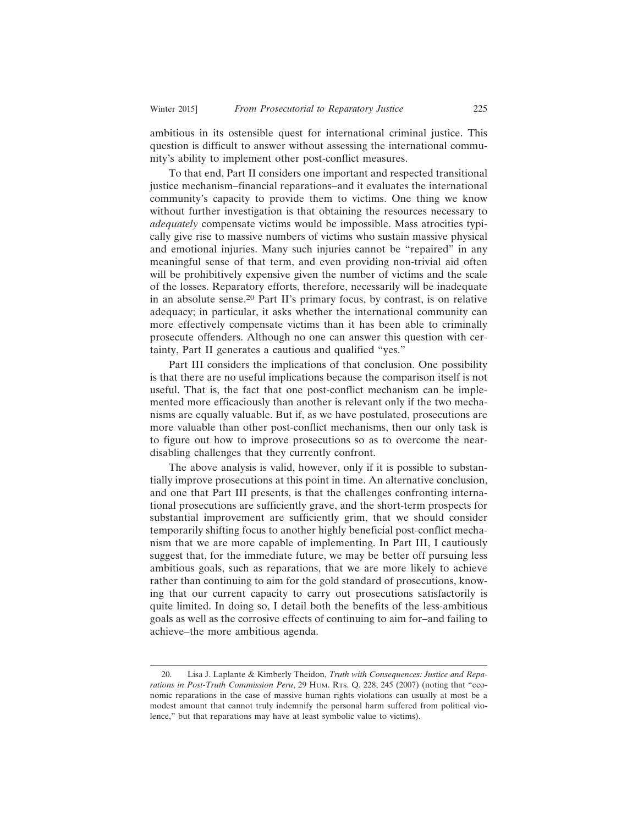ambitious in its ostensible quest for international criminal justice. This question is difficult to answer without assessing the international community's ability to implement other post-conflict measures.

To that end, Part II considers one important and respected transitional justice mechanism–financial reparations–and it evaluates the international community's capacity to provide them to victims. One thing we know without further investigation is that obtaining the resources necessary to *adequately* compensate victims would be impossible. Mass atrocities typically give rise to massive numbers of victims who sustain massive physical and emotional injuries. Many such injuries cannot be "repaired" in any meaningful sense of that term, and even providing non-trivial aid often will be prohibitively expensive given the number of victims and the scale of the losses. Reparatory efforts, therefore, necessarily will be inadequate in an absolute sense.20 Part II's primary focus, by contrast, is on relative adequacy; in particular, it asks whether the international community can more effectively compensate victims than it has been able to criminally prosecute offenders. Although no one can answer this question with certainty, Part II generates a cautious and qualified "yes."

Part III considers the implications of that conclusion. One possibility is that there are no useful implications because the comparison itself is not useful. That is, the fact that one post-conflict mechanism can be implemented more efficaciously than another is relevant only if the two mechanisms are equally valuable. But if, as we have postulated, prosecutions are more valuable than other post-conflict mechanisms, then our only task is to figure out how to improve prosecutions so as to overcome the neardisabling challenges that they currently confront.

The above analysis is valid, however, only if it is possible to substantially improve prosecutions at this point in time. An alternative conclusion, and one that Part III presents, is that the challenges confronting international prosecutions are sufficiently grave, and the short-term prospects for substantial improvement are sufficiently grim, that we should consider temporarily shifting focus to another highly beneficial post-conflict mechanism that we are more capable of implementing. In Part III, I cautiously suggest that, for the immediate future, we may be better off pursuing less ambitious goals, such as reparations, that we are more likely to achieve rather than continuing to aim for the gold standard of prosecutions, knowing that our current capacity to carry out prosecutions satisfactorily is quite limited. In doing so, I detail both the benefits of the less-ambitious goals as well as the corrosive effects of continuing to aim for–and failing to achieve–the more ambitious agenda.

<sup>20.</sup> Lisa J. Laplante & Kimberly Theidon, *Truth with Consequences: Justice and Reparations in Post-Truth Commission Peru*, 29 HUM. RTS. Q. 228, 245 (2007) (noting that "economic reparations in the case of massive human rights violations can usually at most be a modest amount that cannot truly indemnify the personal harm suffered from political violence," but that reparations may have at least symbolic value to victims).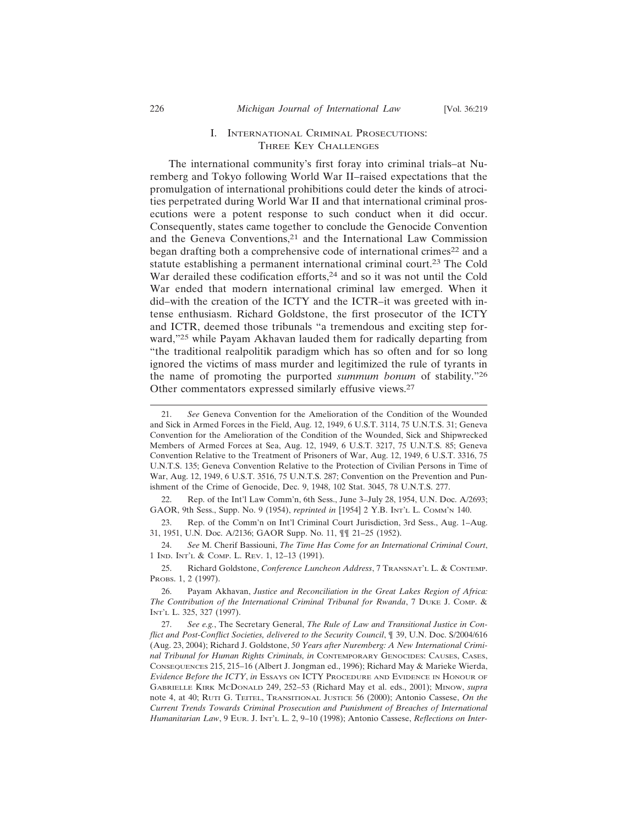#### I. INTERNATIONAL CRIMINAL PROSECUTIONS: THREE KEY CHALLENGES

The international community's first foray into criminal trials–at Nuremberg and Tokyo following World War II–raised expectations that the promulgation of international prohibitions could deter the kinds of atrocities perpetrated during World War II and that international criminal prosecutions were a potent response to such conduct when it did occur. Consequently, states came together to conclude the Genocide Convention and the Geneva Conventions,<sup>21</sup> and the International Law Commission began drafting both a comprehensive code of international crimes<sup>22</sup> and a statute establishing a permanent international criminal court.<sup>23</sup> The Cold War derailed these codification efforts,<sup>24</sup> and so it was not until the Cold War ended that modern international criminal law emerged. When it did–with the creation of the ICTY and the ICTR–it was greeted with intense enthusiasm. Richard Goldstone, the first prosecutor of the ICTY and ICTR, deemed those tribunals "a tremendous and exciting step forward,"25 while Payam Akhavan lauded them for radically departing from "the traditional realpolitik paradigm which has so often and for so long ignored the victims of mass murder and legitimized the rule of tyrants in the name of promoting the purported *summum bonum* of stability."<sup>26</sup> Other commentators expressed similarly effusive views.<sup>27</sup>

23. Rep. of the Comm'n on Int'l Criminal Court Jurisdiction, 3rd Sess., Aug. 1–Aug. 31, 1951, U.N. Doc. A/2136; GAOR Supp. No. 11, ¶¶ 21–25 (1952).

24. *See* M. Cherif Bassiouni, *The Time Has Come for an International Criminal Court*, 1 IND. INT'L & COMP. L. REV. 1, 12–13 (1991).

25. Richard Goldstone, *Conference Luncheon Address*, 7 TRANSNAT'L L. & CONTEMP. PROBS. 1, 2 (1997).

<sup>21.</sup> *See* Geneva Convention for the Amelioration of the Condition of the Wounded and Sick in Armed Forces in the Field, Aug. 12, 1949, 6 U.S.T. 3114, 75 U.N.T.S. 31; Geneva Convention for the Amelioration of the Condition of the Wounded, Sick and Shipwrecked Members of Armed Forces at Sea, Aug. 12, 1949, 6 U.S.T. 3217, 75 U.N.T.S. 85; Geneva Convention Relative to the Treatment of Prisoners of War, Aug. 12, 1949, 6 U.S.T. 3316, 75 U.N.T.S. 135; Geneva Convention Relative to the Protection of Civilian Persons in Time of War, Aug. 12, 1949, 6 U.S.T. 3516, 75 U.N.T.S. 287; Convention on the Prevention and Punishment of the Crime of Genocide, Dec. 9, 1948, 102 Stat. 3045, 78 U.N.T.S. 277.

<sup>22.</sup> Rep. of the Int'l Law Comm'n, 6th Sess., June 3–July 28, 1954, U.N. Doc. A/2693; GAOR, 9th Sess., Supp. No. 9 (1954), *reprinted in* [1954] 2 Y.B. INT'L L. COMM'N 140.

<sup>26.</sup> Payam Akhavan, *Justice and Reconciliation in the Great Lakes Region of Africa: The Contribution of the International Criminal Tribunal for Rwanda*, 7 DUKE J. COMP. & INT'L L. 325, 327 (1997).

<sup>27.</sup> *See e.g.*, The Secretary General, *The Rule of Law and Transitional Justice in Conflict and Post-Conflict Societies, delivered to the Security Council*, ¶ 39, U.N. Doc. S/2004/616 (Aug. 23, 2004); Richard J. Goldstone, *50 Years after Nuremberg: A New International Criminal Tribunal for Human Rights Criminals, in* CONTEMPORARY GENOCIDES: CAUSES, CASES, CONSEQUENCES 215, 215–16 (Albert J. Jongman ed., 1996); Richard May & Marieke Wierda, *Evidence Before the ICTY*, *in* ESSAYS ON ICTY PROCEDURE AND EVIDENCE IN HONOUR OF GABRIELLE KIRK MCDONALD 249, 252–53 (Richard May et al. eds., 2001); MINOW, *supra* note 4, at 40; RUTI G. TEITEL, TRANSITIONAL JUSTICE 56 (2000); Antonio Cassese, *On the Current Trends Towards Criminal Prosecution and Punishment of Breaches of International Humanitarian Law*, 9 EUR. J. INT'L L. 2, 9–10 (1998); Antonio Cassese, *Reflections on Inter-*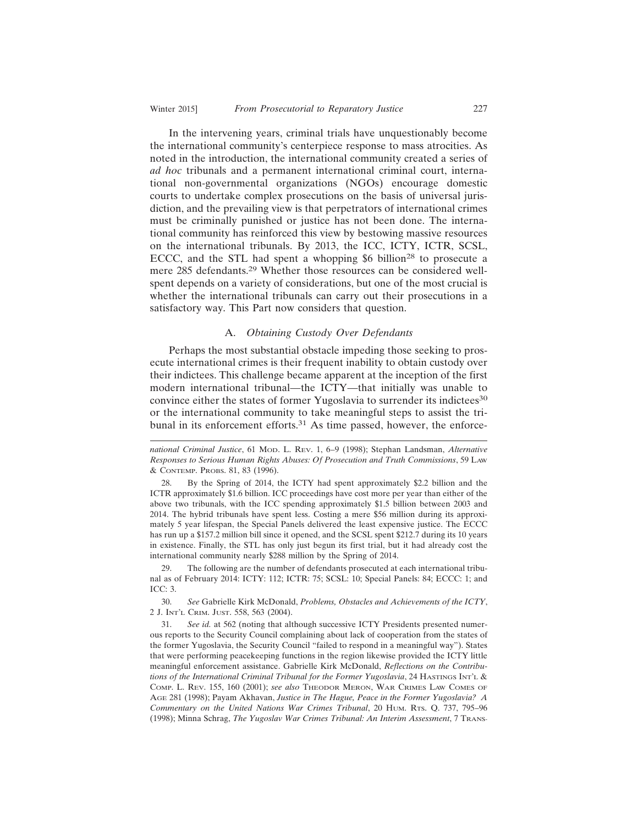In the intervening years, criminal trials have unquestionably become the international community's centerpiece response to mass atrocities. As noted in the introduction, the international community created a series of *ad hoc* tribunals and a permanent international criminal court, international non-governmental organizations (NGOs) encourage domestic courts to undertake complex prosecutions on the basis of universal jurisdiction, and the prevailing view is that perpetrators of international crimes must be criminally punished or justice has not been done. The international community has reinforced this view by bestowing massive resources on the international tribunals. By 2013, the ICC, ICTY, ICTR, SCSL, ECCC, and the STL had spent a whopping  $$6$  billion<sup>28</sup> to prosecute a mere 285 defendants.29 Whether those resources can be considered wellspent depends on a variety of considerations, but one of the most crucial is whether the international tribunals can carry out their prosecutions in a satisfactory way. This Part now considers that question.

## A. *Obtaining Custody Over Defendants*

Perhaps the most substantial obstacle impeding those seeking to prosecute international crimes is their frequent inability to obtain custody over their indictees. This challenge became apparent at the inception of the first modern international tribunal—the ICTY—that initially was unable to convince either the states of former Yugoslavia to surrender its indictees<sup>30</sup> or the international community to take meaningful steps to assist the tribunal in its enforcement efforts.<sup>31</sup> As time passed, however, the enforce-

29. The following are the number of defendants prosecuted at each international tribunal as of February 2014: ICTY: 112; ICTR: 75; SCSL: 10; Special Panels: 84; ECCC: 1; and ICC: 3.

30. *See* Gabrielle Kirk McDonald, *Problems, Obstacles and Achievements of the ICTY*, 2 J. INT'L CRIM. JUST. 558, 563 (2004).

*national Criminal Justice*, 61 MOD. L. REV. 1, 6–9 (1998); Stephan Landsman, *Alternative Responses to Serious Human Rights Abuses: Of Prosecution and Truth Commissions*, 59 LAW & CONTEMP. PROBS. 81, 83 (1996).

<sup>28.</sup> By the Spring of 2014, the ICTY had spent approximately \$2.2 billion and the ICTR approximately \$1.6 billion. ICC proceedings have cost more per year than either of the above two tribunals, with the ICC spending approximately \$1.5 billion between 2003 and 2014. The hybrid tribunals have spent less. Costing a mere \$56 million during its approximately 5 year lifespan, the Special Panels delivered the least expensive justice. The ECCC has run up a \$157.2 million bill since it opened, and the SCSL spent \$212.7 during its 10 years in existence. Finally, the STL has only just begun its first trial, but it had already cost the international community nearly \$288 million by the Spring of 2014.

<sup>31.</sup> *See id.* at 562 (noting that although successive ICTY Presidents presented numerous reports to the Security Council complaining about lack of cooperation from the states of the former Yugoslavia, the Security Council "failed to respond in a meaningful way"). States that were performing peacekeeping functions in the region likewise provided the ICTY little meaningful enforcement assistance. Gabrielle Kirk McDonald, *Reflections on the Contributions of the International Criminal Tribunal for the Former Yugoslavia*, 24 HASTINGS INT'L & COMP. L. REV. 155, 160 (2001); *see also* THEODOR MERON, WAR CRIMES LAW COMES OF AGE 281 (1998); Payam Akhavan, *Justice in The Hague, Peace in the Former Yugoslavia? A Commentary on the United Nations War Crimes Tribunal*, 20 HUM. RTS. Q. 737, 795–96 (1998); Minna Schrag, *The Yugoslav War Crimes Tribunal: An Interim Assessment*, 7 TRANS-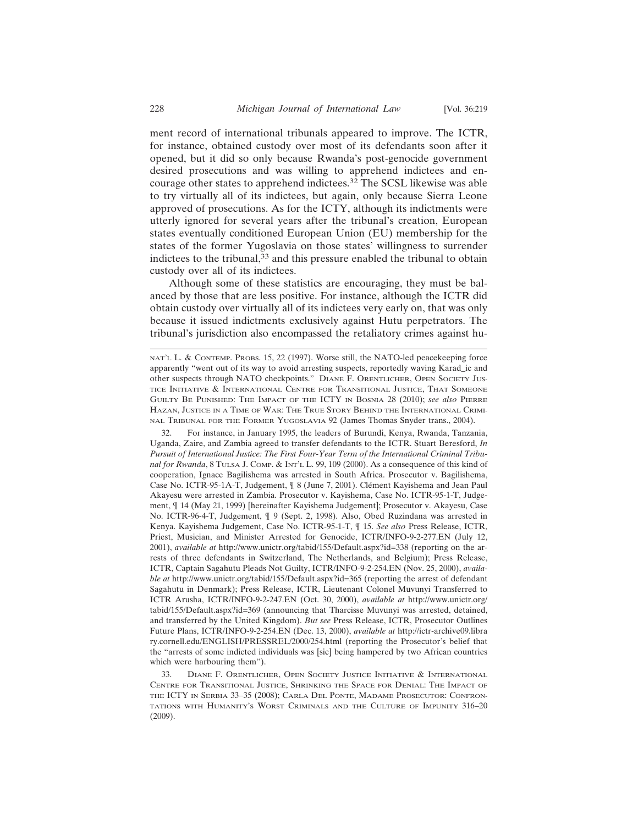ment record of international tribunals appeared to improve. The ICTR, for instance, obtained custody over most of its defendants soon after it opened, but it did so only because Rwanda's post-genocide government desired prosecutions and was willing to apprehend indictees and encourage other states to apprehend indictees.32 The SCSL likewise was able to try virtually all of its indictees, but again, only because Sierra Leone approved of prosecutions. As for the ICTY, although its indictments were utterly ignored for several years after the tribunal's creation, European states eventually conditioned European Union (EU) membership for the states of the former Yugoslavia on those states' willingness to surrender indictees to the tribunal,<sup>33</sup> and this pressure enabled the tribunal to obtain custody over all of its indictees.

Although some of these statistics are encouraging, they must be balanced by those that are less positive. For instance, although the ICTR did obtain custody over virtually all of its indictees very early on, that was only because it issued indictments exclusively against Hutu perpetrators. The tribunal's jurisdiction also encompassed the retaliatory crimes against hu-

32. For instance, in January 1995, the leaders of Burundi, Kenya, Rwanda, Tanzania, Uganda, Zaire, and Zambia agreed to transfer defendants to the ICTR. Stuart Beresford, *In Pursuit of International Justice: The First Four-Year Term of the International Criminal Tribunal for Rwanda*, 8 TULSA J. COMP. & INT'L L. 99, 109 (2000). As a consequence of this kind of cooperation, Ignace Bagilishema was arrested in South Africa. Prosecutor v. Bagilishema, Case No. ICTR-95-1A-T, Judgement,  $\frac{9}{18}$  8 (June 7, 2001). Clément Kayishema and Jean Paul Akayesu were arrested in Zambia. Prosecutor v. Kayishema, Case No. ICTR-95-1-T, Judgement, ¶ 14 (May 21, 1999) [hereinafter Kayishema Judgement]; Prosecutor v. Akayesu, Case No. ICTR-96-4-T, Judgement, ¶ 9 (Sept. 2, 1998). Also, Obed Ruzindana was arrested in Kenya. Kayishema Judgement, Case No. ICTR-95-1-T, ¶ 15. *See also* Press Release, ICTR, Priest, Musician, and Minister Arrested for Genocide, ICTR/INFO-9-2-277.EN (July 12, 2001), *available at* http://www.unictr.org/tabid/155/Default.aspx?id=338 (reporting on the arrests of three defendants in Switzerland, The Netherlands, and Belgium); Press Release, ICTR, Captain Sagahutu Pleads Not Guilty, ICTR/INFO-9-2-254.EN (Nov. 25, 2000), *available at* http://www.unictr.org/tabid/155/Default.aspx?id=365 (reporting the arrest of defendant Sagahutu in Denmark); Press Release, ICTR, Lieutenant Colonel Muvunyi Transferred to ICTR Arusha, ICTR/INFO-9-2-247.EN (Oct. 30, 2000), *available at* http://www.unictr.org/ tabid/155/Default.aspx?id=369 (announcing that Tharcisse Muvunyi was arrested, detained, and transferred by the United Kingdom). *But see* Press Release, ICTR, Prosecutor Outlines Future Plans, ICTR/INFO-9-2-254.EN (Dec. 13, 2000), *available at* http://ictr-archive09.libra ry.cornell.edu/ENGLISH/PRESSREL/2000/254.html (reporting the Prosecutor's belief that the "arrests of some indicted individuals was [sic] being hampered by two African countries which were harbouring them").

33. DIANE F. ORENTLICHER, OPEN SOCIETY JUSTICE INITIATIVE & INTERNATIONAL CENTRE FOR TRANSITIONAL JUSTICE, SHRINKING THE SPACE FOR DENIAL: THE IMPACT OF THE ICTY IN SERBIA 33–35 (2008); CARLA DEL PONTE, MADAME PROSECUTOR: CONFRON-TATIONS WITH HUMANITY'S WORST CRIMINALS AND THE CULTURE OF IMPUNITY 316–20 (2009).

NAT'L L. & CONTEMP. PROBS. 15, 22 (1997). Worse still, the NATO-led peacekeeping force apparently "went out of its way to avoid arresting suspects, reportedly waving Karad\_ic and other suspects through NATO checkpoints." DIANE F. ORENTLICHER, OPEN SOCIETY JUS-TICE INITIATIVE & INTERNATIONAL CENTRE FOR TRANSITIONAL JUSTICE, THAT SOMEONE GUILTY BE PUNISHED: THE IMPACT OF THE ICTY IN BOSNIA 28 (2010); *see also* PIERRE HAZAN, JUSTICE IN A TIME OF WAR: THE TRUE STORY BEHIND THE INTERNATIONAL CRIMI-NAL TRIBUNAL FOR THE FORMER YUGOSLAVIA 92 (James Thomas Snyder trans., 2004).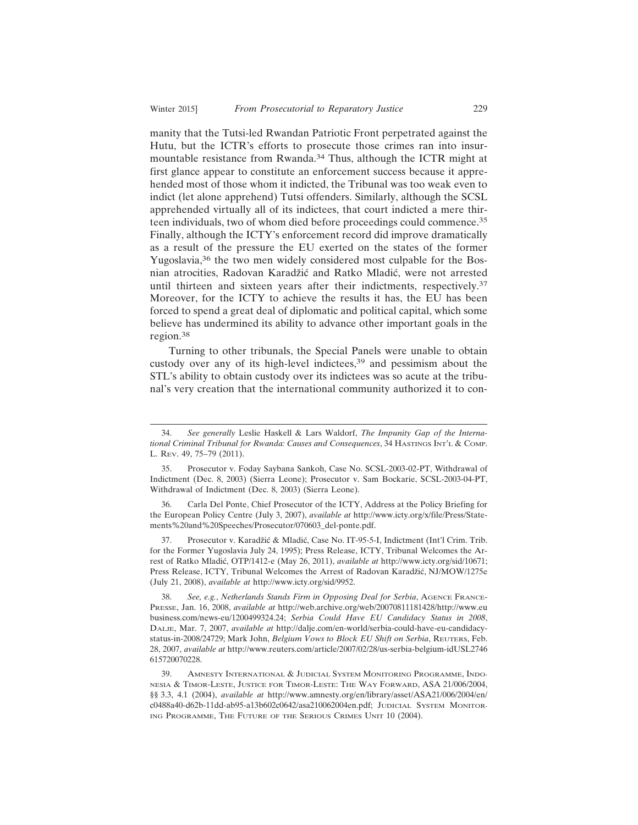manity that the Tutsi-led Rwandan Patriotic Front perpetrated against the Hutu, but the ICTR's efforts to prosecute those crimes ran into insurmountable resistance from Rwanda.34 Thus, although the ICTR might at first glance appear to constitute an enforcement success because it apprehended most of those whom it indicted, the Tribunal was too weak even to indict (let alone apprehend) Tutsi offenders. Similarly, although the SCSL apprehended virtually all of its indictees, that court indicted a mere thirteen individuals, two of whom died before proceedings could commence.<sup>35</sup> Finally, although the ICTY's enforcement record did improve dramatically as a result of the pressure the EU exerted on the states of the former Yugoslavia,<sup>36</sup> the two men widely considered most culpable for the Bosnian atrocities, Radovan Karadžić and Ratko Mladić, were not arrested until thirteen and sixteen years after their indictments, respectively.<sup>37</sup> Moreover, for the ICTY to achieve the results it has, the EU has been forced to spend a great deal of diplomatic and political capital, which some believe has undermined its ability to advance other important goals in the region.38

Turning to other tribunals, the Special Panels were unable to obtain custody over any of its high-level indictees,<sup>39</sup> and pessimism about the STL's ability to obtain custody over its indictees was so acute at the tribunal's very creation that the international community authorized it to con-

37. Prosecutor v. Karadžić & Mladić, Case No. IT-95-5-I, Indictment (Int'l Crim. Trib. for the Former Yugoslavia July 24, 1995); Press Release, ICTY, Tribunal Welcomes the Arrest of Ratko Mladi´c, OTP/1412-e (May 26, 2011), *available at* http://www.icty.org/sid/10671; Press Release, ICTY, Tribunal Welcomes the Arrest of Radovan Karadžić, NJ/MOW/1275e (July 21, 2008), *available at* http://www.icty.org/sid/9952.

38. *See, e.g.*, *Netherlands Stands Firm in Opposing Deal for Serbia*, AGENCE FRANCE-PRESSE, Jan. 16, 2008, *available at* http://web.archive.org/web/20070811181428/http://www.eu business.com/news-eu/1200499324.24; *Serbia Could Have EU Candidacy Status in 2008*, DALJE, Mar. 7, 2007, *available at* http://dalje.com/en-world/serbia-could-have-eu-candidacystatus-in-2008/24729; Mark John, *Belgium Vows to Block EU Shift on Serbia*, REUTERS, Feb. 28, 2007, *available at* http://www.reuters.com/article/2007/02/28/us-serbia-belgium-idUSL2746 615720070228.

<sup>34.</sup> *See generally* Leslie Haskell & Lars Waldorf, *The Impunity Gap of the International Criminal Tribunal for Rwanda: Causes and Consequences*, 34 HASTINGS INT'L & COMP. L. REV. 49, 75–79 (2011).

<sup>35.</sup> Prosecutor v. Foday Saybana Sankoh, Case No. SCSL-2003-02-PT, Withdrawal of Indictment (Dec. 8, 2003) (Sierra Leone); Prosecutor v. Sam Bockarie, SCSL-2003-04-PT, Withdrawal of Indictment (Dec. 8, 2003) (Sierra Leone).

<sup>36.</sup> Carla Del Ponte, Chief Prosecutor of the ICTY, Address at the Policy Briefing for the European Policy Centre (July 3, 2007), *available at* http://www.icty.org/x/file/Press/Statements%20and%20Speeches/Prosecutor/070603\_del-ponte.pdf.

<sup>39.</sup> AMNESTY INTERNATIONAL & JUDICIAL SYSTEM MONITORING PROGRAMME, INDO-NESIA & TIMOR-LESTE, JUSTICE FOR TIMOR-LESTE: THE WAY FORWARD, ASA 21/006/2004, §§ 3.3, 4.1 (2004), *available at* http://www.amnesty.org/en/library/asset/ASA21/006/2004/en/ c0488a40-d62b-11dd-ab95-a13b602c0642/asa210062004en.pdf; JUDICIAL SYSTEM MONITOR-ING PROGRAMME, THE FUTURE OF THE SERIOUS CRIMES UNIT 10 (2004).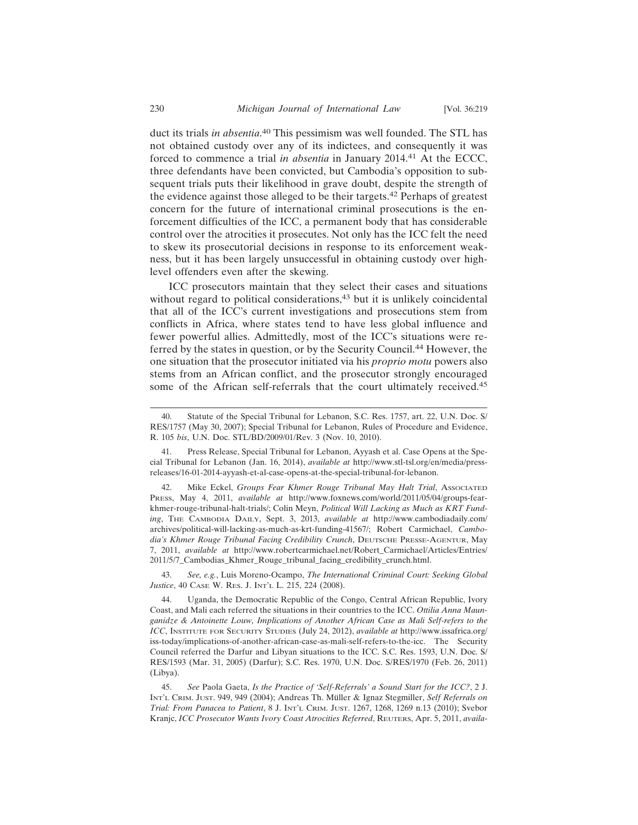duct its trials *in absentia*. 40 This pessimism was well founded. The STL has not obtained custody over any of its indictees, and consequently it was forced to commence a trial *in absentia* in January 2014.41 At the ECCC, three defendants have been convicted, but Cambodia's opposition to subsequent trials puts their likelihood in grave doubt, despite the strength of the evidence against those alleged to be their targets.42 Perhaps of greatest concern for the future of international criminal prosecutions is the enforcement difficulties of the ICC, a permanent body that has considerable control over the atrocities it prosecutes. Not only has the ICC felt the need to skew its prosecutorial decisions in response to its enforcement weakness, but it has been largely unsuccessful in obtaining custody over high-

ICC prosecutors maintain that they select their cases and situations without regard to political considerations, $43$  but it is unlikely coincidental that all of the ICC's current investigations and prosecutions stem from conflicts in Africa, where states tend to have less global influence and fewer powerful allies. Admittedly, most of the ICC's situations were referred by the states in question, or by the Security Council.44 However, the one situation that the prosecutor initiated via his *proprio motu* powers also stems from an African conflict, and the prosecutor strongly encouraged some of the African self-referrals that the court ultimately received.<sup>45</sup>

level offenders even after the skewing.

42. Mike Eckel, *Groups Fear Khmer Rouge Tribunal May Halt Trial*, Associated PRESS, May 4, 2011, *available at* http://www.foxnews.com/world/2011/05/04/groups-fearkhmer-rouge-tribunal-halt-trials/; Colin Meyn, *Political Will Lacking as Much as KRT Funding*, THE CAMBODIA DAILY, Sept. 3, 2013, *available at* http://www.cambodiadaily.com/ archives/political-will-lacking-as-much-as-krt-funding-41567/; Robert Carmichael, *Cambodia's Khmer Rouge Tribunal Facing Credibility Crunch*, DEUTSCHE PRESSE-AGENTUR, May 7, 2011, *available at* http://www.robertcarmichael.net/Robert\_Carmichael/Articles/Entries/ 2011/5/7\_Cambodias\_Khmer\_Rouge\_tribunal\_facing\_credibility\_crunch.html.

43. *See, e.g.*, Luis Moreno-Ocampo, *The International Criminal Court: Seeking Global Justice*, 40 CASE W. RES. J. INT'L L. 215, 224 (2008).

44. Uganda, the Democratic Republic of the Congo, Central African Republic, Ivory Coast, and Mali each referred the situations in their countries to the ICC. *Ottilia Anna Maunganidze & Antoinette Louw, Implications of Another African Case as Mali Self-refers to the ICC*, INSTITUTE FOR SECURITY STUDIES (July 24, 2012), *available at* http://www.issafrica.org/ iss-today/implications-of-another-african-case-as-mali-self-refers-to-the-icc. The Security Council referred the Darfur and Libyan situations to the ICC. S.C. Res. 1593, U.N. Doc. S/ RES/1593 (Mar. 31, 2005) (Darfur); S.C. Res. 1970, U.N. Doc. S/RES/1970 (Feb. 26, 2011) (Libya).

45. *See* Paola Gaeta, *Is the Practice of 'Self-Referrals' a Sound Start for the ICC?*, 2 J. INT'L CRIM. JUST. 949, 949 (2004); Andreas Th. Müller & Ignaz Stegmiller, Self Referrals on *Trial: From Panacea to Patient*, 8 J. INT'L CRIM. JUST. 1267, 1268, 1269 n.13 (2010); Svebor Kranjc, *ICC Prosecutor Wants Ivory Coast Atrocities Referred*, REUTERS, Apr. 5, 2011, *availa-*

<sup>40.</sup> Statute of the Special Tribunal for Lebanon, S.C. Res. 1757, art. 22, U.N. Doc. S/ RES/1757 (May 30, 2007); Special Tribunal for Lebanon, Rules of Procedure and Evidence, R. 105 *bis*, U.N. Doc. STL/BD/2009/01/Rev. 3 (Nov. 10, 2010).

<sup>41.</sup> Press Release, Special Tribunal for Lebanon, Ayyash et al. Case Opens at the Special Tribunal for Lebanon (Jan. 16, 2014), *available at* http://www.stl-tsl.org/en/media/pressreleases/16-01-2014-ayyash-et-al-case-opens-at-the-special-tribunal-for-lebanon.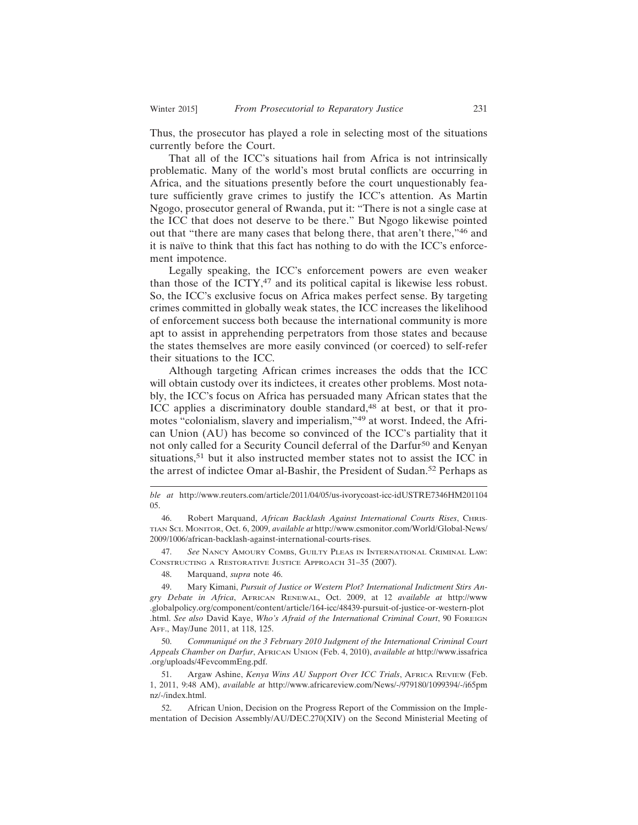Thus, the prosecutor has played a role in selecting most of the situations currently before the Court.

That all of the ICC's situations hail from Africa is not intrinsically problematic. Many of the world's most brutal conflicts are occurring in Africa, and the situations presently before the court unquestionably feature sufficiently grave crimes to justify the ICC's attention. As Martin Ngogo, prosecutor general of Rwanda, put it: "There is not a single case at the ICC that does not deserve to be there." But Ngogo likewise pointed out that "there are many cases that belong there, that aren't there,"46 and it is naïve to think that this fact has nothing to do with the ICC's enforcement impotence.

Legally speaking, the ICC's enforcement powers are even weaker than those of the ICTY, $47$  and its political capital is likewise less robust. So, the ICC's exclusive focus on Africa makes perfect sense. By targeting crimes committed in globally weak states, the ICC increases the likelihood of enforcement success both because the international community is more apt to assist in apprehending perpetrators from those states and because the states themselves are more easily convinced (or coerced) to self-refer their situations to the ICC.

Although targeting African crimes increases the odds that the ICC will obtain custody over its indictees, it creates other problems. Most notably, the ICC's focus on Africa has persuaded many African states that the ICC applies a discriminatory double standard,<sup>48</sup> at best, or that it promotes "colonialism, slavery and imperialism,"49 at worst. Indeed, the African Union (AU) has become so convinced of the ICC's partiality that it not only called for a Security Council deferral of the Darfur50 and Kenyan situations,<sup>51</sup> but it also instructed member states not to assist the ICC in the arrest of indictee Omar al-Bashir, the President of Sudan.<sup>52</sup> Perhaps as

47. *See* NANCY AMOURY COMBS, GUILTY PLEAS IN INTERNATIONAL CRIMINAL LAW: CONSTRUCTING A RESTORATIVE JUSTICE APPROACH 31–35 (2007).

48. Marquand, *supra* note 46.

50. *Communiqu´e on the 3 February 2010 Judgment of the International Criminal Court Appeals Chamber on Darfur*, AFRICAN UNION (Feb. 4, 2010), *available at* http://www.issafrica .org/uploads/4FevcommEng.pdf.

51. Argaw Ashine, *Kenya Wins AU Support Over ICC Trials*, AFRICA REVIEW (Feb. 1, 2011, 9:48 AM), *available at* http://www.africareview.com/News/-/979180/1099394/-/i65pm nz/-/index.html.

52. African Union, Decision on the Progress Report of the Commission on the Implementation of Decision Assembly/AU/DEC.270(XIV) on the Second Ministerial Meeting of

*ble at* http://www.reuters.com/article/2011/04/05/us-ivorycoast-icc-idUSTRE7346HM201104 05.

<sup>46.</sup> Robert Marquand, *African Backlash Against International Courts Rises*, CHRIS-TIAN SCI. MONITOR, Oct. 6, 2009, *available at* http://www.csmonitor.com/World/Global-News/ 2009/1006/african-backlash-against-international-courts-rises.

<sup>49.</sup> Mary Kimani, *Pursuit of Justice or Western Plot? International Indictment Stirs Angry Debate in Africa*, AFRICAN RENEWAL, Oct. 2009, at 12 *available at* http://www .globalpolicy.org/component/content/article/164-icc/48439-pursuit-of-justice-or-western-plot .html. *See also* David Kaye, *Who's Afraid of the International Criminal Court*, 90 FOREIGN AFF., May/June 2011, at 118, 125.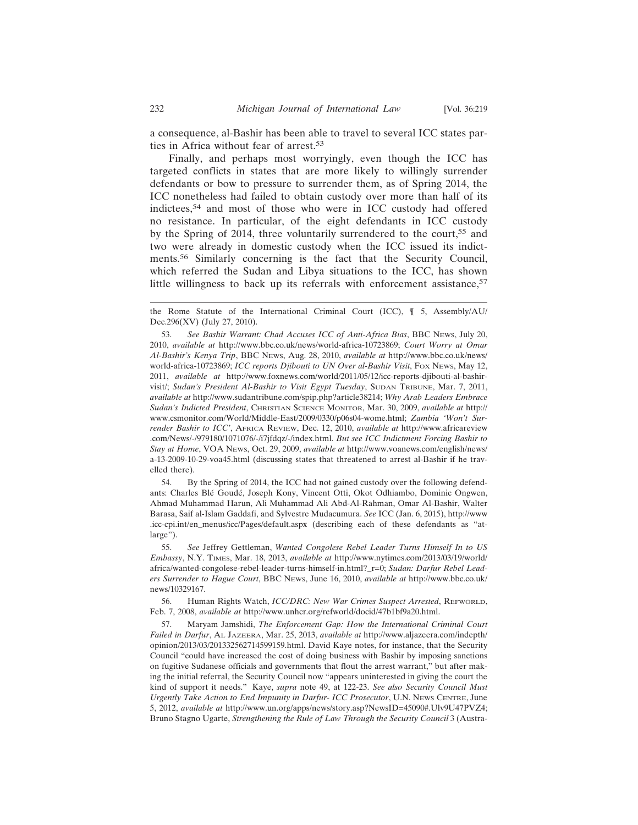a consequence, al-Bashir has been able to travel to several ICC states parties in Africa without fear of arrest.<sup>53</sup>

Finally, and perhaps most worryingly, even though the ICC has targeted conflicts in states that are more likely to willingly surrender defendants or bow to pressure to surrender them, as of Spring 2014, the ICC nonetheless had failed to obtain custody over more than half of its indictees,54 and most of those who were in ICC custody had offered no resistance. In particular, of the eight defendants in ICC custody by the Spring of 2014, three voluntarily surrendered to the court,<sup>55</sup> and two were already in domestic custody when the ICC issued its indictments.56 Similarly concerning is the fact that the Security Council, which referred the Sudan and Libya situations to the ICC, has shown little willingness to back up its referrals with enforcement assistance,<sup>57</sup>

54. By the Spring of 2014, the ICC had not gained custody over the following defendants: Charles Blé Goudé, Joseph Kony, Vincent Otti, Okot Odhiambo, Dominic Ongwen, Ahmad Muhammad Harun, Ali Muhammad Ali Abd-Al-Rahman, Omar Al-Bashir, Walter Barasa, Saif al-Islam Gaddafi, and Sylvestre Mudacumura. *See* ICC (Jan. 6, 2015), http://www .icc-cpi.int/en\_menus/icc/Pages/default.aspx (describing each of these defendants as "atlarge").

55. *See* Jeffrey Gettleman, *Wanted Congolese Rebel Leader Turns Himself In to US Embassy*, N.Y. TIMES, Mar. 18, 2013, *available at* http://www.nytimes.com/2013/03/19/world/ africa/wanted-congolese-rebel-leader-turns-himself-in.html?\_r=0; *Sudan: Darfur Rebel Leaders Surrender to Hague Court*, BBC NEWS, June 16, 2010, *available at* http://www.bbc.co.uk/ news/10329167.

56. Human Rights Watch, *ICC/DRC: New War Crimes Suspect Arrested*, REFWORLD, Feb. 7, 2008, *available at* http://www.unhcr.org/refworld/docid/47b1bf9a20.html.

57. Maryam Jamshidi, *The Enforcement Gap: How the International Criminal Court Failed in Darfur*, AL JAZEERA, Mar. 25, 2013, *available at* http://www.aljazeera.com/indepth/ opinion/2013/03/201332562714599159.html. David Kaye notes, for instance, that the Security Council "could have increased the cost of doing business with Bashir by imposing sanctions on fugitive Sudanese officials and governments that flout the arrest warrant," but after making the initial referral, the Security Council now "appears uninterested in giving the court the kind of support it needs." Kaye, *supra* note 49, at 122-23. *See also Security Council Must Urgently Take Action to End Impunity in Darfur- ICC Prosecutor*, U.N. NEWS CENTRE, June 5, 2012, *available at* http://www.un.org/apps/news/story.asp?NewsID=45090#.Ulv9U47PVZ4; Bruno Stagno Ugarte, *Strengthening the Rule of Law Through the Security Council* 3 (Austra-

the Rome Statute of the International Criminal Court (ICC), ¶ 5, Assembly/AU/ Dec.296(XV) (July 27, 2010).

<sup>53.</sup> *See Bashir Warrant: Chad Accuses ICC of Anti-Africa Bias*, BBC NEWS, July 20, 2010, *available at* http://www.bbc.co.uk/news/world-africa-10723869; *Court Worry at Omar Al-Bashir's Kenya Trip*, BBC NEWS, Aug. 28, 2010, *available at* http://www.bbc.co.uk/news/ world-africa-10723869; *ICC reports Djibouti to UN Over al-Bashir Visit*, Fox News, May 12, 2011, *available at* http://www.foxnews.com/world/2011/05/12/icc-reports-djibouti-al-bashirvisit/; *Sudan's President Al-Bashir to Visit Egypt Tuesday*, SUDAN TRIBUNE, Mar. 7, 2011, *available at* http://www.sudantribune.com/spip.php?article38214; *Why Arab Leaders Embrace Sudan's Indicted President*, CHRISTIAN SCIENCE MONITOR, Mar. 30, 2009, *available at* http:// www.csmonitor.com/World/Middle-East/2009/0330/p06s04-wome.html; *Zambia 'Won't Surrender Bashir to ICC'*, AFRICA REVIEW, Dec. 12, 2010, *available at* http://www.africareview .com/News/-/979180/1071076/-/i7jfdqz/-/index.html. *But see ICC Indictment Forcing Bashir to Stay at Home*, VOA NEWS, Oct. 29, 2009, *available at* http://www.voanews.com/english/news/ a-13-2009-10-29-voa45.html (discussing states that threatened to arrest al-Bashir if he travelled there).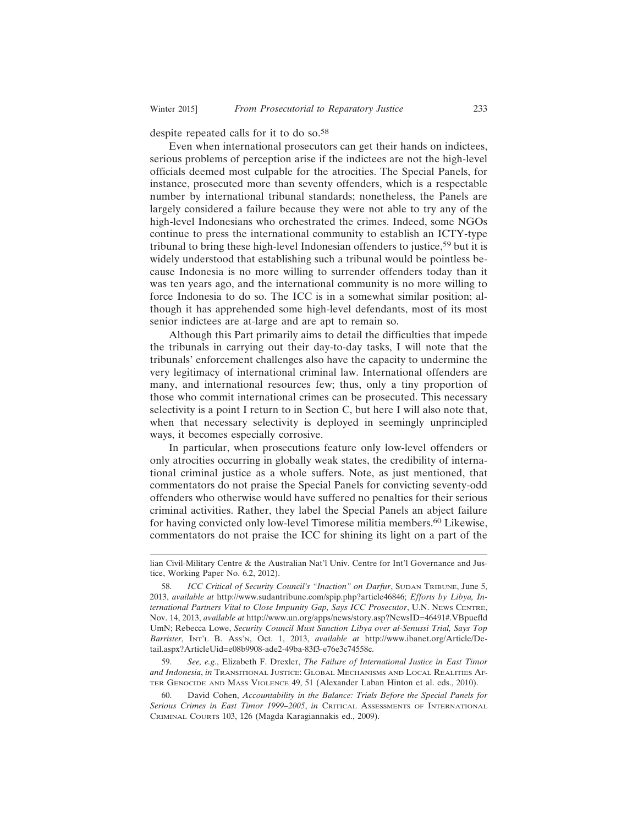despite repeated calls for it to do so.<sup>58</sup>

Even when international prosecutors can get their hands on indictees, serious problems of perception arise if the indictees are not the high-level officials deemed most culpable for the atrocities. The Special Panels, for instance, prosecuted more than seventy offenders, which is a respectable number by international tribunal standards; nonetheless, the Panels are largely considered a failure because they were not able to try any of the high-level Indonesians who orchestrated the crimes. Indeed, some NGOs continue to press the international community to establish an ICTY-type tribunal to bring these high-level Indonesian offenders to justice,<sup>59</sup> but it is widely understood that establishing such a tribunal would be pointless because Indonesia is no more willing to surrender offenders today than it was ten years ago, and the international community is no more willing to force Indonesia to do so. The ICC is in a somewhat similar position; although it has apprehended some high-level defendants, most of its most senior indictees are at-large and are apt to remain so.

Although this Part primarily aims to detail the difficulties that impede the tribunals in carrying out their day-to-day tasks, I will note that the tribunals' enforcement challenges also have the capacity to undermine the very legitimacy of international criminal law. International offenders are many, and international resources few; thus, only a tiny proportion of those who commit international crimes can be prosecuted. This necessary selectivity is a point I return to in Section C, but here I will also note that, when that necessary selectivity is deployed in seemingly unprincipled ways, it becomes especially corrosive.

In particular, when prosecutions feature only low-level offenders or only atrocities occurring in globally weak states, the credibility of international criminal justice as a whole suffers. Note, as just mentioned, that commentators do not praise the Special Panels for convicting seventy-odd offenders who otherwise would have suffered no penalties for their serious criminal activities. Rather, they label the Special Panels an abject failure for having convicted only low-level Timorese militia members.60 Likewise, commentators do not praise the ICC for shining its light on a part of the

59. *See, e.g.*, Elizabeth F. Drexler, *The Failure of International Justice in East Timor and Indonesia*, *in* TRANSITIONAL JUSTICE: GLOBAL MECHANISMS AND LOCAL REALITIES AF-TER GENOCIDE AND MASS VIOLENCE 49, 51 (Alexander Laban Hinton et al. eds., 2010).

60. David Cohen, *Accountability in the Balance: Trials Before the Special Panels for Serious Crimes in East Timor 1999–2005*, *in* CRITICAL ASSESSMENTS OF INTERNATIONAL CRIMINAL COURTS 103, 126 (Magda Karagiannakis ed., 2009).

lian Civil-Military Centre & the Australian Nat'l Univ. Centre for Int'l Governance and Justice, Working Paper No. 6.2, 2012).

<sup>58.</sup> *ICC Critical of Security Council's "Inaction" on Darfur*, SUDAN TRIBUNE, June 5, 2013, *available at* http://www.sudantribune.com/spip.php?article46846; *Efforts by Libya, International Partners Vital to Close Impunity Gap, Says ICC Prosecutor*, U.N. NEWS CENTRE, Nov. 14, 2013, *available at* http://www.un.org/apps/news/story.asp?NewsID=46491#.VBpuefld UmN; Rebecca Lowe, *Security Council Must Sanction Libya over al-Senussi Trial, Says Top Barrister*, INT'L B. ASS'N, Oct. 1, 2013, *available at* http://www.ibanet.org/Article/Detail.aspx?ArticleUid=e08b9908-ade2-49ba-83f3-e76e3c74558c.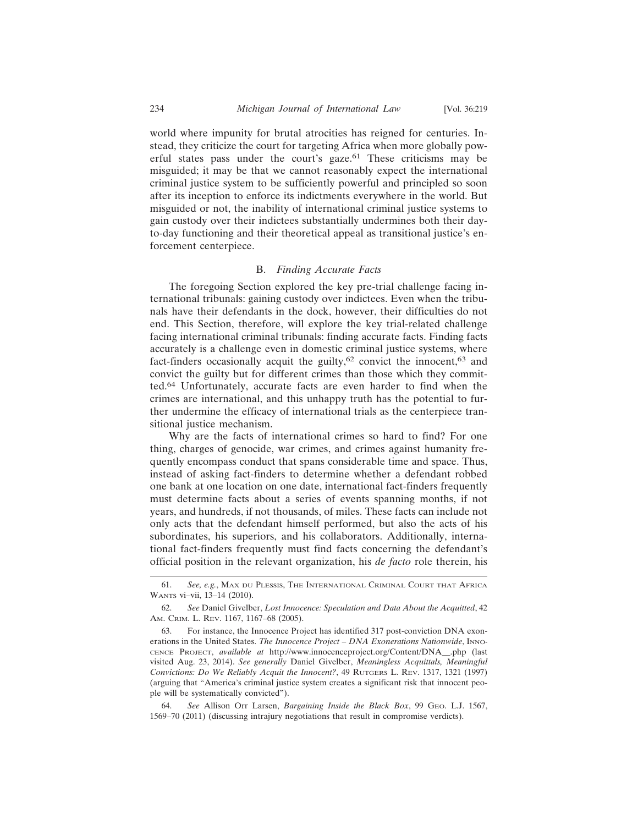world where impunity for brutal atrocities has reigned for centuries. Instead, they criticize the court for targeting Africa when more globally powerful states pass under the court's gaze.61 These criticisms may be misguided; it may be that we cannot reasonably expect the international criminal justice system to be sufficiently powerful and principled so soon after its inception to enforce its indictments everywhere in the world. But misguided or not, the inability of international criminal justice systems to gain custody over their indictees substantially undermines both their dayto-day functioning and their theoretical appeal as transitional justice's enforcement centerpiece.

## B. *Finding Accurate Facts*

The foregoing Section explored the key pre-trial challenge facing international tribunals: gaining custody over indictees. Even when the tribunals have their defendants in the dock, however, their difficulties do not end. This Section, therefore, will explore the key trial-related challenge facing international criminal tribunals: finding accurate facts. Finding facts accurately is a challenge even in domestic criminal justice systems, where fact-finders occasionally acquit the guilty,<sup>62</sup> convict the innocent,<sup>63</sup> and convict the guilty but for different crimes than those which they committed.64 Unfortunately, accurate facts are even harder to find when the crimes are international, and this unhappy truth has the potential to further undermine the efficacy of international trials as the centerpiece transitional justice mechanism.

Why are the facts of international crimes so hard to find? For one thing, charges of genocide, war crimes, and crimes against humanity frequently encompass conduct that spans considerable time and space. Thus, instead of asking fact-finders to determine whether a defendant robbed one bank at one location on one date, international fact-finders frequently must determine facts about a series of events spanning months, if not years, and hundreds, if not thousands, of miles. These facts can include not only acts that the defendant himself performed, but also the acts of his subordinates, his superiors, and his collaborators. Additionally, international fact-finders frequently must find facts concerning the defendant's official position in the relevant organization, his *de facto* role therein, his

64. *See* Allison Orr Larsen, *Bargaining Inside the Black Box*, 99 GEO. L.J. 1567, 1569–70 (2011) (discussing intrajury negotiations that result in compromise verdicts).

<sup>61.</sup> *See, e.g.*, MAX DU PLESSIS, THE INTERNATIONAL CRIMINAL COURT THAT AFRICA WANTS vi–vii, 13–14 (2010).

<sup>62.</sup> *See* Daniel Givelber, *Lost Innocence: Speculation and Data About the Acquitted*, 42 AM. CRIM. L. REV. 1167, 1167–68 (2005).

<sup>63.</sup> For instance, the Innocence Project has identified 317 post-conviction DNA exonerations in the United States. *The Innocence Project – DNA Exonerations Nationwide*, INNO-CENCE PROJECT, *available at* http://www.innocenceproject.org/Content/DNA\_\_.php (last visited Aug. 23, 2014). *See generally* Daniel Givelber, *Meaningless Acquittals, Meaningful Convictions: Do We Reliably Acquit the Innocent?*, 49 RUTGERS L. REV. 1317, 1321 (1997) (arguing that "America's criminal justice system creates a significant risk that innocent people will be systematically convicted").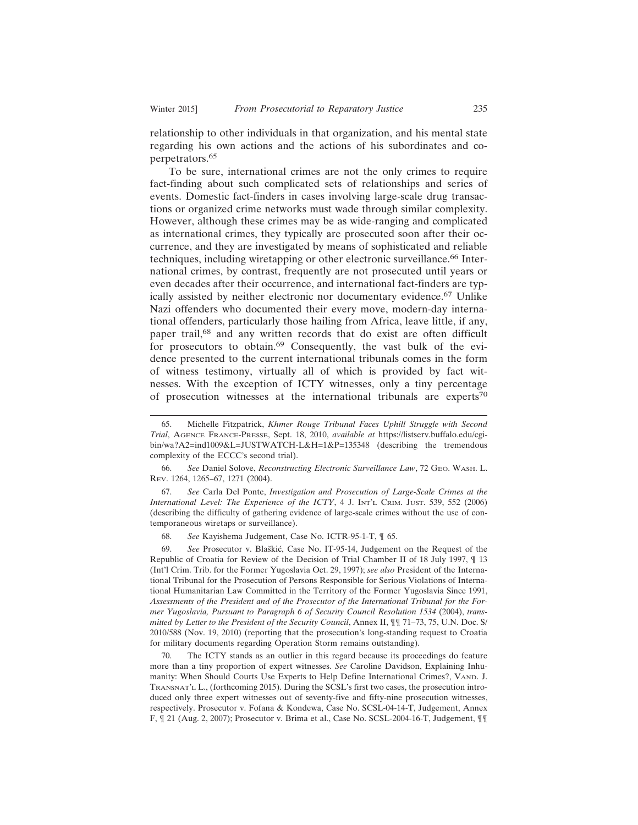relationship to other individuals in that organization, and his mental state regarding his own actions and the actions of his subordinates and coperpetrators.65

To be sure, international crimes are not the only crimes to require fact-finding about such complicated sets of relationships and series of events. Domestic fact-finders in cases involving large-scale drug transactions or organized crime networks must wade through similar complexity. However, although these crimes may be as wide-ranging and complicated as international crimes, they typically are prosecuted soon after their occurrence, and they are investigated by means of sophisticated and reliable techniques, including wiretapping or other electronic surveillance.66 International crimes, by contrast, frequently are not prosecuted until years or even decades after their occurrence, and international fact-finders are typically assisted by neither electronic nor documentary evidence.67 Unlike Nazi offenders who documented their every move, modern-day international offenders, particularly those hailing from Africa, leave little, if any, paper trail,68 and any written records that do exist are often difficult for prosecutors to obtain.<sup>69</sup> Consequently, the vast bulk of the evidence presented to the current international tribunals comes in the form of witness testimony, virtually all of which is provided by fact witnesses. With the exception of ICTY witnesses, only a tiny percentage of prosecution witnesses at the international tribunals are experts<sup>70</sup>

66. *See* Daniel Solove, *Reconstructing Electronic Surveillance Law*, 72 GEO. WASH. L. REV. 1264, 1265–67, 1271 (2004).

67. *See* Carla Del Ponte, *Investigation and Prosecution of Large-Scale Crimes at the International Level: The Experience of the ICTY*, 4 J. INT'L CRIM. JUST. 539, 552 (2006) (describing the difficulty of gathering evidence of large-scale crimes without the use of contemporaneous wiretaps or surveillance).

68. *See* Kayishema Judgement, Case No. ICTR-95-1-T, ¶ 65.

See Prosecutor v. Blaškić, Case No. IT-95-14, Judgement on the Request of the Republic of Croatia for Review of the Decision of Trial Chamber II of 18 July 1997, ¶ 13 (Int'l Crim. Trib. for the Former Yugoslavia Oct. 29, 1997); *see also* President of the International Tribunal for the Prosecution of Persons Responsible for Serious Violations of International Humanitarian Law Committed in the Territory of the Former Yugoslavia Since 1991, *Assessments of the President and of the Prosecutor of the International Tribunal for the Former Yugoslavia, Pursuant to Paragraph 6 of Security Council Resolution 1534* (2004), *transmitted by Letter to the President of the Security Council*, Annex II, ¶¶ 71–73, 75, U.N. Doc. S/ 2010/588 (Nov. 19, 2010) (reporting that the prosecution's long-standing request to Croatia for military documents regarding Operation Storm remains outstanding).

70. The ICTY stands as an outlier in this regard because its proceedings do feature more than a tiny proportion of expert witnesses. *See* Caroline Davidson, Explaining Inhumanity: When Should Courts Use Experts to Help Define International Crimes?, VAND. J. TRANSNAT'L L., (forthcoming 2015). During the SCSL's first two cases, the prosecution introduced only three expert witnesses out of seventy-five and fifty-nine prosecution witnesses, respectively. Prosecutor v. Fofana & Kondewa, Case No. SCSL-04-14-T, Judgement, Annex F, ¶ 21 (Aug. 2, 2007); Prosecutor v. Brima et al., Case No. SCSL-2004-16-T, Judgement, ¶¶

<sup>65.</sup> Michelle Fitzpatrick, *Khmer Rouge Tribunal Faces Uphill Struggle with Second Trial*, AGENCE FRANCE-PRESSE, Sept. 18, 2010, *available at* https://listserv.buffalo.edu/cgibin/wa?A2=ind1009&L=JUSTWATCH-L&H=1&P=135348 (describing the tremendous complexity of the ECCC's second trial).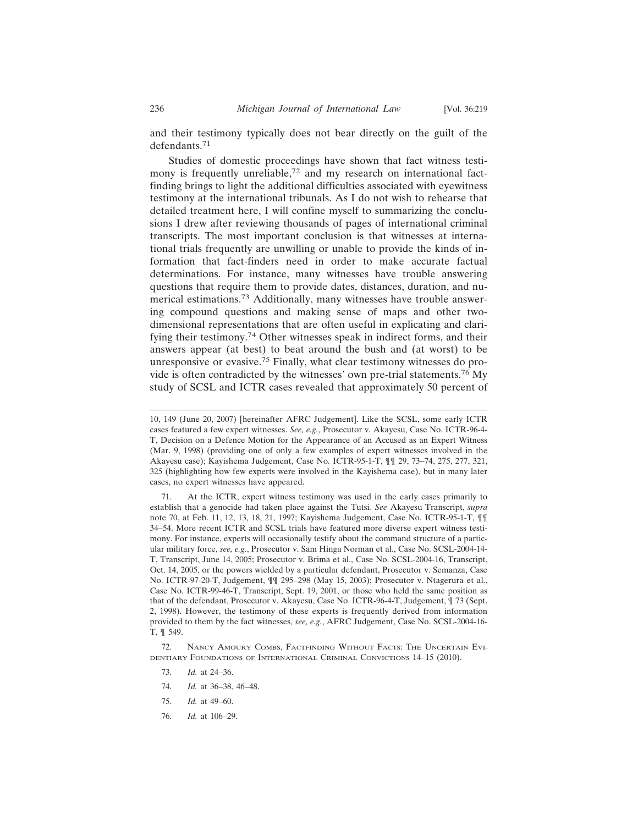and their testimony typically does not bear directly on the guilt of the defendants.71

Studies of domestic proceedings have shown that fact witness testimony is frequently unreliable,<sup>72</sup> and my research on international factfinding brings to light the additional difficulties associated with eyewitness testimony at the international tribunals. As I do not wish to rehearse that detailed treatment here, I will confine myself to summarizing the conclusions I drew after reviewing thousands of pages of international criminal transcripts. The most important conclusion is that witnesses at international trials frequently are unwilling or unable to provide the kinds of information that fact-finders need in order to make accurate factual determinations. For instance, many witnesses have trouble answering questions that require them to provide dates, distances, duration, and numerical estimations.73 Additionally, many witnesses have trouble answering compound questions and making sense of maps and other twodimensional representations that are often useful in explicating and clarifying their testimony.74 Other witnesses speak in indirect forms, and their answers appear (at best) to beat around the bush and (at worst) to be unresponsive or evasive.75 Finally, what clear testimony witnesses do provide is often contradicted by the witnesses' own pre-trial statements.76 My study of SCSL and ICTR cases revealed that approximately 50 percent of

- 73. *Id.* at 24–36.
- 74. *Id.* at 36–38, 46–48.
- 75. *Id.* at 49–60.
- 76. *Id.* at 106–29.

<sup>10, 149 (</sup>June 20, 2007) [hereinafter AFRC Judgement]. Like the SCSL, some early ICTR cases featured a few expert witnesses. *See, e.g.*, Prosecutor v. Akayesu, Case No. ICTR-96-4- T, Decision on a Defence Motion for the Appearance of an Accused as an Expert Witness (Mar. 9, 1998) (providing one of only a few examples of expert witnesses involved in the Akayesu case); Kayishema Judgement, Case No. ICTR-95-1-T, ¶¶ 29, 73–74, 275, 277, 321, 325 (highlighting how few experts were involved in the Kayishema case), but in many later cases, no expert witnesses have appeared.

<sup>71.</sup> At the ICTR, expert witness testimony was used in the early cases primarily to establish that a genocide had taken place against the Tutsi*. See* Akayesu Transcript, *supra* note 70, at Feb. 11, 12, 13, 18, 21, 1997; Kayishema Judgement, Case No. ICTR-95-1-T, ¶¶ 34–54. More recent ICTR and SCSL trials have featured more diverse expert witness testimony. For instance, experts will occasionally testify about the command structure of a particular military force, *see, e.g.*, Prosecutor v. Sam Hinga Norman et al., Case No. SCSL-2004-14- T, Transcript, June 14, 2005; Prosecutor v. Brima et al., Case No. SCSL-2004-16, Transcript, Oct. 14, 2005, or the powers wielded by a particular defendant, Prosecutor v. Semanza, Case No. ICTR-97-20-T, Judgement, ¶¶ 295–298 (May 15, 2003); Prosecutor v. Ntagerura et al., Case No. ICTR-99-46-T, Transcript, Sept. 19, 2001, or those who held the same position as that of the defendant, Prosecutor v. Akayesu, Case No. ICTR-96-4-T, Judgement, ¶ 73 (Sept. 2, 1998). However, the testimony of these experts is frequently derived from information provided to them by the fact witnesses, *see, e.g.*, AFRC Judgement, Case No. SCSL-2004-16- T, ¶ 549.

<sup>72.</sup> NANCY AMOURY COMBS, FACTFINDING WITHOUT FACTS: THE UNCERTAIN EVI-DENTIARY FOUNDATIONS OF INTERNATIONAL CRIMINAL CONVICTIONS 14–15 (2010).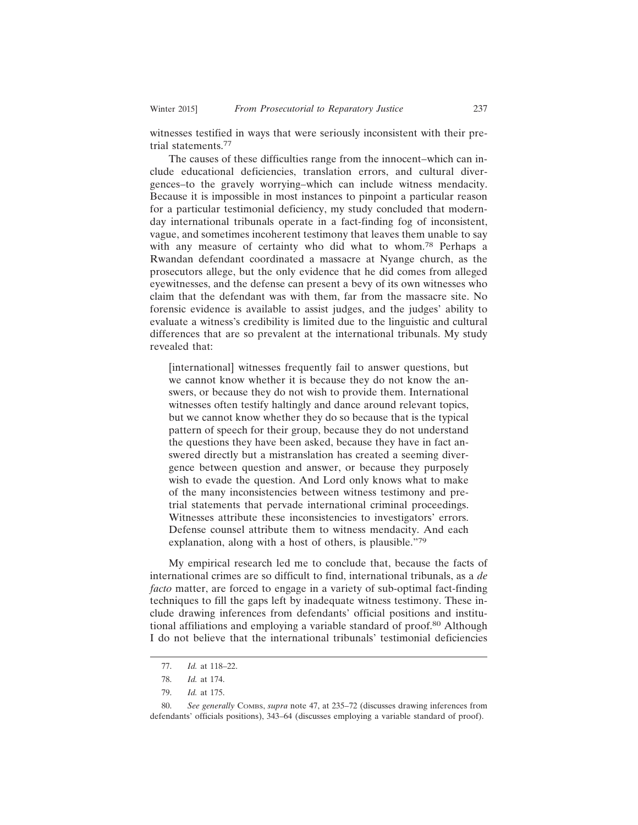witnesses testified in ways that were seriously inconsistent with their pretrial statements.<sup>77</sup>

The causes of these difficulties range from the innocent–which can include educational deficiencies, translation errors, and cultural divergences–to the gravely worrying–which can include witness mendacity. Because it is impossible in most instances to pinpoint a particular reason for a particular testimonial deficiency, my study concluded that modernday international tribunals operate in a fact-finding fog of inconsistent, vague, and sometimes incoherent testimony that leaves them unable to say with any measure of certainty who did what to whom.78 Perhaps a Rwandan defendant coordinated a massacre at Nyange church, as the prosecutors allege, but the only evidence that he did comes from alleged eyewitnesses, and the defense can present a bevy of its own witnesses who claim that the defendant was with them, far from the massacre site. No forensic evidence is available to assist judges, and the judges' ability to evaluate a witness's credibility is limited due to the linguistic and cultural differences that are so prevalent at the international tribunals. My study revealed that:

[international] witnesses frequently fail to answer questions, but we cannot know whether it is because they do not know the answers, or because they do not wish to provide them. International witnesses often testify haltingly and dance around relevant topics, but we cannot know whether they do so because that is the typical pattern of speech for their group, because they do not understand the questions they have been asked, because they have in fact answered directly but a mistranslation has created a seeming divergence between question and answer, or because they purposely wish to evade the question. And Lord only knows what to make of the many inconsistencies between witness testimony and pretrial statements that pervade international criminal proceedings. Witnesses attribute these inconsistencies to investigators' errors. Defense counsel attribute them to witness mendacity. And each explanation, along with a host of others, is plausible."<sup>79</sup>

My empirical research led me to conclude that, because the facts of international crimes are so difficult to find, international tribunals, as a *de facto* matter, are forced to engage in a variety of sub-optimal fact-finding techniques to fill the gaps left by inadequate witness testimony. These include drawing inferences from defendants' official positions and institutional affiliations and employing a variable standard of proof.<sup>80</sup> Although I do not believe that the international tribunals' testimonial deficiencies

<sup>77.</sup> *Id.* at 118–22.

<sup>78.</sup> *Id.* at 174.

<sup>79.</sup> *Id.* at 175.

<sup>80.</sup> *See generally* COMBS, *supra* note 47, at 235–72 (discusses drawing inferences from defendants' officials positions), 343–64 (discusses employing a variable standard of proof).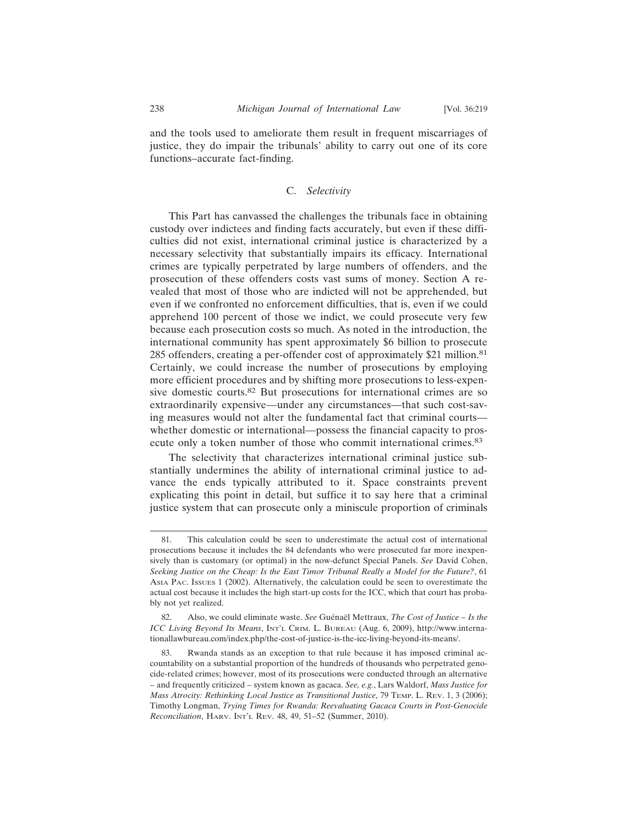and the tools used to ameliorate them result in frequent miscarriages of justice, they do impair the tribunals' ability to carry out one of its core functions–accurate fact-finding.

## C. *Selectivity*

This Part has canvassed the challenges the tribunals face in obtaining custody over indictees and finding facts accurately, but even if these difficulties did not exist, international criminal justice is characterized by a necessary selectivity that substantially impairs its efficacy. International crimes are typically perpetrated by large numbers of offenders, and the prosecution of these offenders costs vast sums of money. Section A revealed that most of those who are indicted will not be apprehended, but even if we confronted no enforcement difficulties, that is, even if we could apprehend 100 percent of those we indict, we could prosecute very few because each prosecution costs so much. As noted in the introduction, the international community has spent approximately \$6 billion to prosecute 285 offenders, creating a per-offender cost of approximately \$21 million.<sup>81</sup> Certainly, we could increase the number of prosecutions by employing more efficient procedures and by shifting more prosecutions to less-expensive domestic courts.82 But prosecutions for international crimes are so extraordinarily expensive—under any circumstances—that such cost-saving measures would not alter the fundamental fact that criminal courts whether domestic or international—possess the financial capacity to prosecute only a token number of those who commit international crimes.<sup>83</sup>

The selectivity that characterizes international criminal justice substantially undermines the ability of international criminal justice to advance the ends typically attributed to it. Space constraints prevent explicating this point in detail, but suffice it to say here that a criminal justice system that can prosecute only a miniscule proportion of criminals

<sup>81.</sup> This calculation could be seen to underestimate the actual cost of international prosecutions because it includes the 84 defendants who were prosecuted far more inexpensively than is customary (or optimal) in the now-defunct Special Panels. *See* David Cohen, *Seeking Justice on the Cheap: Is the East Timor Tribunal Really a Model for the Future?*, 61 ASIA PAC. ISSUES 1 (2002). Alternatively, the calculation could be seen to overestimate the actual cost because it includes the high start-up costs for the ICC, which that court has probably not yet realized.

<sup>82.</sup> Also, we could eliminate waste. *See* Guénaël Mettraux, *The Cost of Justice - Is the ICC Living Beyond Its Means*, INT'L CRIM. L. BUREAU (Aug. 6, 2009), http://www.internationallawbureau.com/index.php/the-cost-of-justice-is-the-icc-living-beyond-its-means/.

<sup>83.</sup> Rwanda stands as an exception to that rule because it has imposed criminal accountability on a substantial proportion of the hundreds of thousands who perpetrated genocide-related crimes; however, most of its prosecutions were conducted through an alternative – and frequently criticized – system known as gacaca. *See, e.g.*, Lars Waldorf, *Mass Justice for Mass Atrocity: Rethinking Local Justice as Transitional Justice*, 79 TEMP. L. REV. 1, 3 (2006); Timothy Longman, *Trying Times for Rwanda: Reevaluating Gacaca Courts in Post-Genocide Reconciliation*, HARV. INT'L REV. 48, 49, 51–52 (Summer, 2010).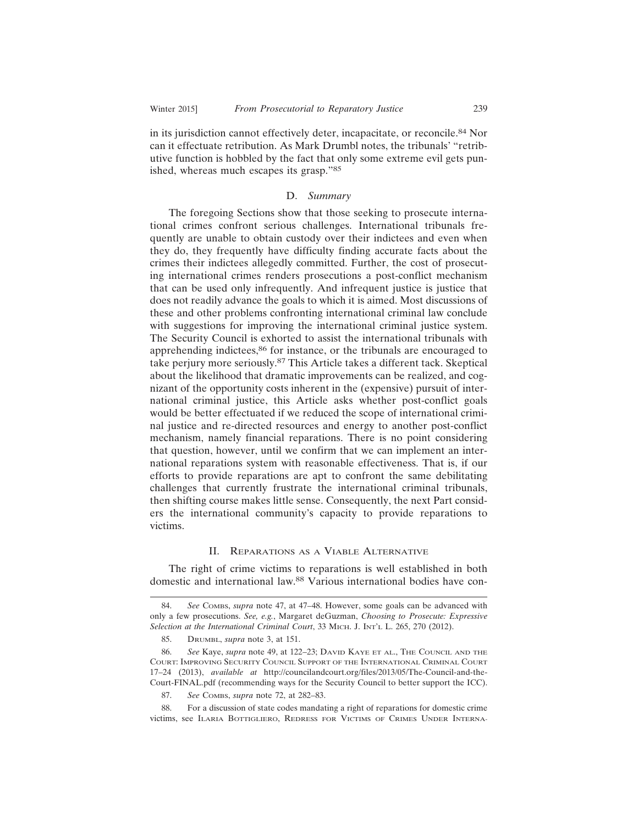in its jurisdiction cannot effectively deter, incapacitate, or reconcile.<sup>84</sup> Nor can it effectuate retribution. As Mark Drumbl notes, the tribunals' "retributive function is hobbled by the fact that only some extreme evil gets punished, whereas much escapes its grasp."<sup>85</sup>

#### D. *Summary*

The foregoing Sections show that those seeking to prosecute international crimes confront serious challenges. International tribunals frequently are unable to obtain custody over their indictees and even when they do, they frequently have difficulty finding accurate facts about the crimes their indictees allegedly committed. Further, the cost of prosecuting international crimes renders prosecutions a post-conflict mechanism that can be used only infrequently. And infrequent justice is justice that does not readily advance the goals to which it is aimed. Most discussions of these and other problems confronting international criminal law conclude with suggestions for improving the international criminal justice system. The Security Council is exhorted to assist the international tribunals with apprehending indictees,<sup>86</sup> for instance, or the tribunals are encouraged to take perjury more seriously.87 This Article takes a different tack. Skeptical about the likelihood that dramatic improvements can be realized, and cognizant of the opportunity costs inherent in the (expensive) pursuit of international criminal justice, this Article asks whether post-conflict goals would be better effectuated if we reduced the scope of international criminal justice and re-directed resources and energy to another post-conflict mechanism, namely financial reparations. There is no point considering that question, however, until we confirm that we can implement an international reparations system with reasonable effectiveness. That is, if our efforts to provide reparations are apt to confront the same debilitating challenges that currently frustrate the international criminal tribunals, then shifting course makes little sense. Consequently, the next Part considers the international community's capacity to provide reparations to victims.

#### II. REPARATIONS AS A VIABLE ALTERNATIVE

The right of crime victims to reparations is well established in both domestic and international law.88 Various international bodies have con-

<sup>84.</sup> *See* COMBS, *supra* note 47, at 47–48. However, some goals can be advanced with only a few prosecutions. *See, e.g.*, Margaret deGuzman, *Choosing to Prosecute: Expressive Selection at the International Criminal Court*, 33 MICH. J. INT'L L. 265, 270 (2012).

<sup>85.</sup> DRUMBL, *supra* note 3, at 151.

<sup>86.</sup> *See* Kaye, *supra* note 49, at 122–23; DAVID KAYE ET AL., THE COUNCIL AND THE COURT: IMPROVING SECURITY COUNCIL SUPPORT OF THE INTERNATIONAL CRIMINAL COURT 17–24 (2013), *available at* http://councilandcourt.org/files/2013/05/The-Council-and-the-Court-FINAL.pdf (recommending ways for the Security Council to better support the ICC).

<sup>87.</sup> *See* COMBS, *supra* note 72, at 282–83.

<sup>88.</sup> For a discussion of state codes mandating a right of reparations for domestic crime victims, see ILARIA BOTTIGLIERO, REDRESS FOR VICTIMS OF CRIMES UNDER INTERNA-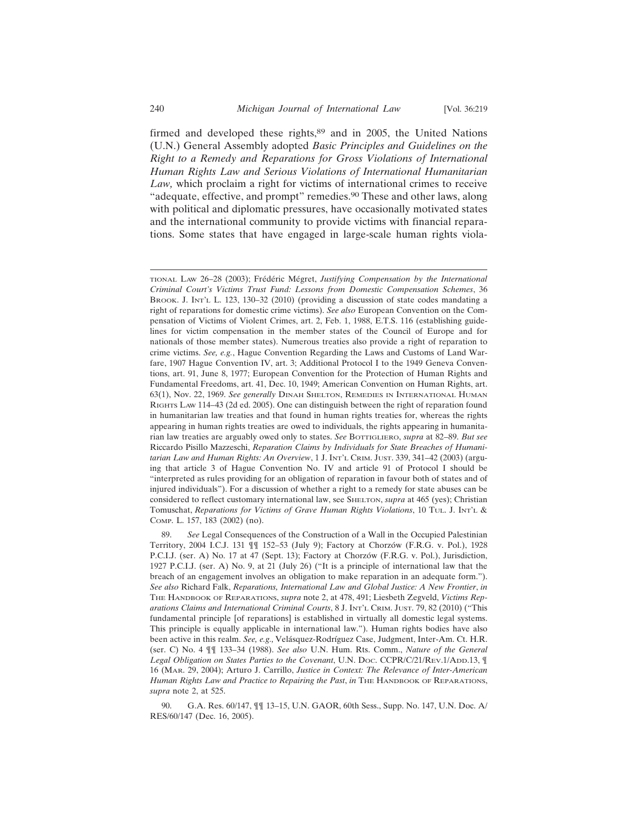firmed and developed these rights,<sup>89</sup> and in 2005, the United Nations (U.N.) General Assembly adopted *Basic Principles and Guidelines on the Right to a Remedy and Reparations for Gross Violations of International Human Rights Law and Serious Violations of International Humanitarian Law,* which proclaim a right for victims of international crimes to receive "adequate, effective, and prompt" remedies.90 These and other laws, along with political and diplomatic pressures, have occasionally motivated states and the international community to provide victims with financial reparations. Some states that have engaged in large-scale human rights viola-

90. G.A. Res. 60/147, ¶¶ 13–15, U.N. GAOR, 60th Sess., Supp. No. 147, U.N. Doc. A/ RES/60/147 (Dec. 16, 2005).

TIONAL LAW 26-28 (2003); Frédéric Mégret, *Justifying Compensation by the International Criminal Court's Victims Trust Fund: Lessons from Domestic Compensation Schemes*, 36 BROOK. J. INT'L L. 123, 130–32 (2010) (providing a discussion of state codes mandating a right of reparations for domestic crime victims). *See also* European Convention on the Compensation of Victims of Violent Crimes, art. 2, Feb. 1, 1988, E.T.S. 116 (establishing guidelines for victim compensation in the member states of the Council of Europe and for nationals of those member states). Numerous treaties also provide a right of reparation to crime victims. *See, e.g.*, Hague Convention Regarding the Laws and Customs of Land Warfare, 1907 Hague Convention IV, art. 3; Additional Protocol I to the 1949 Geneva Conventions, art. 91, June 8, 1977; European Convention for the Protection of Human Rights and Fundamental Freedoms, art. 41, Dec. 10, 1949; American Convention on Human Rights, art. 63(1), Nov. 22, 1969. *See generally* DINAH SHELTON, REMEDIES IN INTERNATIONAL HUMAN RIGHTS LAW 114–43 (2d ed. 2005). One can distinguish between the right of reparation found in humanitarian law treaties and that found in human rights treaties for, whereas the rights appearing in human rights treaties are owed to individuals, the rights appearing in humanitarian law treaties are arguably owed only to states. *See* BOTTIGLIERO, *supra* at 82–89. *But see* Riccardo Pisillo Mazzeschi, *Reparation Claims by Individuals for State Breaches of Humanitarian Law and Human Rights: An Overview*, 1 J. INT'L CRIM. JUST. 339, 341–42 (2003) (arguing that article 3 of Hague Convention No. IV and article 91 of Protocol I should be "interpreted as rules providing for an obligation of reparation in favour both of states and of injured individuals"). For a discussion of whether a right to a remedy for state abuses can be considered to reflect customary international law, see SHELTON, *supra* at 465 (yes); Christian Tomuschat, *Reparations for Victims of Grave Human Rights Violations*, 10 TUL. J. INT'L & COMP. L. 157, 183 (2002) (no).

<sup>89.</sup> *See* Legal Consequences of the Construction of a Wall in the Occupied Palestinian Territory, 2004 I.C.J. 131  $\P$  152–53 (July 9); Factory at Chorzów (F.R.G. v. Pol.), 1928 P.C.I.J. (ser. A) No. 17 at 47 (Sept. 13); Factory at Chorzów (F.R.G. v. Pol.), Jurisdiction, 1927 P.C.I.J. (ser. A) No. 9, at 21 (July 26) ("It is a principle of international law that the breach of an engagement involves an obligation to make reparation in an adequate form."). *See also* Richard Falk, *Reparations, International Law and Global Justice: A New Frontier*, *in* THE HANDBOOK OF REPARATIONS, *supra* note 2, at 478, 491; Liesbeth Zegveld, *Victims Reparations Claims and International Criminal Courts*, 8 J. INT'L CRIM. JUST. 79, 82 (2010) ("This fundamental principle [of reparations] is established in virtually all domestic legal systems. This principle is equally applicable in international law."). Human rights bodies have also been active in this realm. *See, e.g.,* Velásquez-Rodríguez Case, Judgment, Inter-Am. Ct. H.R. (ser. C) No. 4 ¶¶ 133–34 (1988). *See also* U.N. Hum. Rts. Comm., *Nature of the General* Legal Obligation on States Parties to the Covenant, U.N. Doc. CCPR/C/21/REv.1/ADD.13, ¶ 16 (MAR. 29, 2004); Arturo J. Carrillo, *Justice in Context: The Relevance of Inter-American Human Rights Law and Practice to Repairing the Past*, *in* THE HANDBOOK OF REPARATIONS, *supra* note 2, at 525.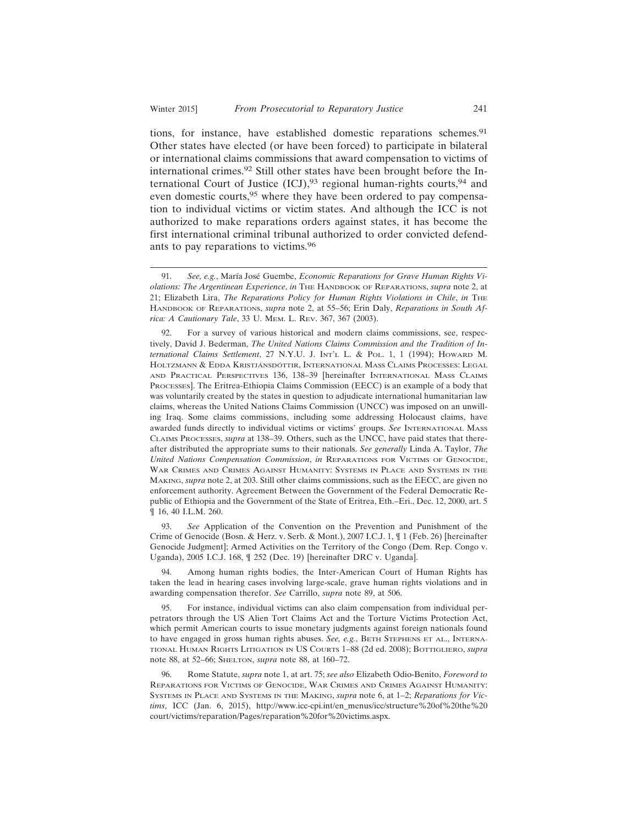tions, for instance, have established domestic reparations schemes.<sup>91</sup> Other states have elected (or have been forced) to participate in bilateral or international claims commissions that award compensation to victims of international crimes.92 Still other states have been brought before the International Court of Justice  $(ICJ),<sup>93</sup>$  regional human-rights courts, $<sup>94</sup>$  and</sup> even domestic courts,<sup>95</sup> where they have been ordered to pay compensation to individual victims or victim states. And although the ICC is not authorized to make reparations orders against states, it has become the first international criminal tribunal authorized to order convicted defendants to pay reparations to victims.<sup>96</sup>

93. *See* Application of the Convention on the Prevention and Punishment of the Crime of Genocide (Bosn. & Herz. v. Serb. & Mont.), 2007 I.C.J. 1, ¶ 1 (Feb. 26) [hereinafter Genocide Judgment]; Armed Activities on the Territory of the Congo (Dem. Rep. Congo v. Uganda), 2005 I.C.J. 168, ¶ 252 (Dec. 19) [hereinafter DRC v. Uganda].

94. Among human rights bodies, the Inter-American Court of Human Rights has taken the lead in hearing cases involving large-scale, grave human rights violations and in awarding compensation therefor. *See* Carrillo, *supra* note 89, at 506.

95. For instance, individual victims can also claim compensation from individual perpetrators through the US Alien Tort Claims Act and the Torture Victims Protection Act, which permit American courts to issue monetary judgments against foreign nationals found to have engaged in gross human rights abuses. *See, e.g.*, BETH STEPHENS ET AL., INTERNA-TIONAL HUMAN RIGHTS LITIGATION IN US COURTS 1–88 (2d ed. 2008); BOTTIGLIERO, *supra* note 88, at 52–66; SHELTON, *supra* note 88, at 160–72.

96. Rome Statute, *supra* note 1, at art. 75; *see also* Elizabeth Odio-Benito, *Foreword to* REPARATIONS FOR VICTIMS OF GENOCIDE, WAR CRIMES AND CRIMES AGAINST HUMANITY: SYSTEMS IN PLACE AND SYSTEMS IN THE MAKING, *supra* note 6, at 1–2; *Reparations for Victims*, ICC (Jan. 6, 2015), http://www.icc-cpi.int/en\_menus/icc/structure%20of%20the%20 court/victims/reparation/Pages/reparation%20for%20victims.aspx.

<sup>91.</sup> See, e.g., María José Guembe, *Economic Reparations for Grave Human Rights Violations: The Argentinean Experience*, *in* THE HANDBOOK OF REPARATIONS, *supra* note 2, at 21; Elizabeth Lira, *The Reparations Policy for Human Rights Violations in Chile*, *in* THE HANDBOOK OF REPARATIONS, *supra* note 2, at 55–56; Erin Daly, *Reparations in South Africa: A Cautionary Tale*, 33 U. MEM. L. REV. 367, 367 (2003).

<sup>92.</sup> For a survey of various historical and modern claims commissions, see, respectively, David J. Bederman, *The United Nations Claims Commission and the Tradition of International Claims Settlement*, 27 N.Y.U. J. INT'L L. & POL. 1, 1 (1994); HOWARD M. HOLTZMANN & EDDA KRISTJÁNSDÓTTIR, INTERNATIONAL MASS CLAIMS PROCESSES: LEGAL AND PRACTICAL PERSPECTIVES 136, 138–39 [hereinafter INTERNATIONAL MASS CLAIMS PROCESSES]. The Eritrea-Ethiopia Claims Commission (EECC) is an example of a body that was voluntarily created by the states in question to adjudicate international humanitarian law claims, whereas the United Nations Claims Commission (UNCC) was imposed on an unwilling Iraq. Some claims commissions, including some addressing Holocaust claims, have awarded funds directly to individual victims or victims' groups. See INTERNATIONAL MASS CLAIMS PROCESSES, *supra* at 138–39. Others, such as the UNCC, have paid states that thereafter distributed the appropriate sums to their nationals. *See generally* Linda A. Taylor, *The United Nations Compensation Commission*, *in* REPARATIONS FOR VICTIMS OF GENOCIDE, WAR CRIMES AND CRIMES AGAINST HUMANITY: SYSTEMS IN PLACE AND SYSTEMS IN THE MAKING, *supra* note 2, at 203. Still other claims commissions, such as the EECC, are given no enforcement authority. Agreement Between the Government of the Federal Democratic Republic of Ethiopia and the Government of the State of Eritrea, Eth.–Eri., Dec. 12, 2000, art. 5 ¶ 16, 40 I.L.M. 260.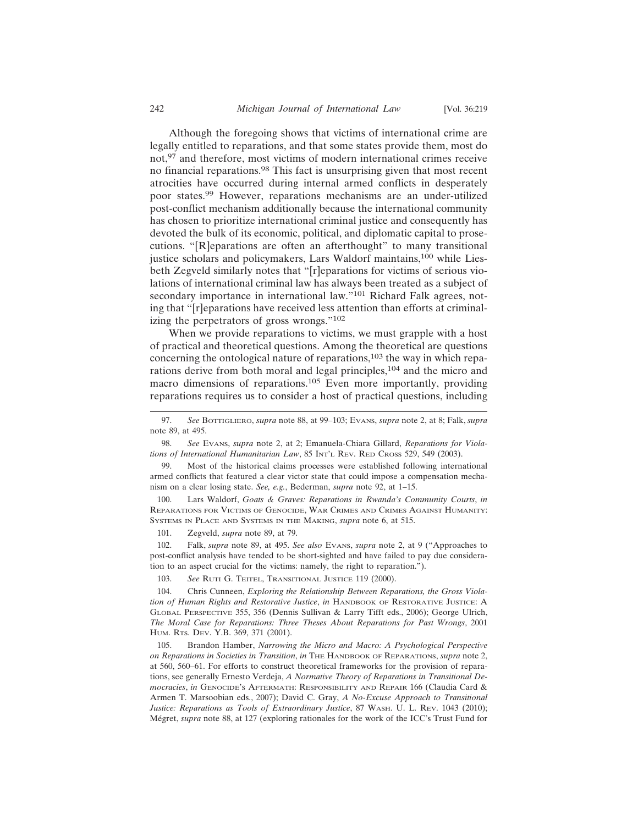Although the foregoing shows that victims of international crime are legally entitled to reparations, and that some states provide them, most do not,97 and therefore, most victims of modern international crimes receive no financial reparations.98 This fact is unsurprising given that most recent atrocities have occurred during internal armed conflicts in desperately poor states.99 However, reparations mechanisms are an under-utilized post-conflict mechanism additionally because the international community has chosen to prioritize international criminal justice and consequently has devoted the bulk of its economic, political, and diplomatic capital to prosecutions. "[R]eparations are often an afterthought" to many transitional justice scholars and policymakers, Lars Waldorf maintains,<sup>100</sup> while Liesbeth Zegveld similarly notes that "[r]eparations for victims of serious violations of international criminal law has always been treated as a subject of secondary importance in international law."<sup>101</sup> Richard Falk agrees, noting that "[r]eparations have received less attention than efforts at criminalizing the perpetrators of gross wrongs."<sup>102</sup>

When we provide reparations to victims, we must grapple with a host of practical and theoretical questions. Among the theoretical are questions concerning the ontological nature of reparations, $103$  the way in which reparations derive from both moral and legal principles,104 and the micro and macro dimensions of reparations.105 Even more importantly, providing reparations requires us to consider a host of practical questions, including

99. Most of the historical claims processes were established following international armed conflicts that featured a clear victor state that could impose a compensation mechanism on a clear losing state. *See, e.g.*, Bederman, *supra* note 92, at 1–15.

100. Lars Waldorf, *Goats & Graves: Reparations in Rwanda's Community Courts*, *in* REPARATIONS FOR VICTIMS OF GENOCIDE, WAR CRIMES AND CRIMES AGAINST HUMANITY: SYSTEMS IN PLACE AND SYSTEMS IN THE MAKING, *supra* note 6, at 515.

101. Zegveld, *supra* note 89, at 79.

102. Falk, *supra* note 89, at 495. *See also* EVANS, *supra* note 2, at 9 ("Approaches to post-conflict analysis have tended to be short-sighted and have failed to pay due consideration to an aspect crucial for the victims: namely, the right to reparation.").

103. *See* RUTI G. TEITEL, TRANSITIONAL JUSTICE 119 (2000).

104. Chris Cunneen, *Exploring the Relationship Between Reparations, the Gross Violation of Human Rights and Restorative Justice*, *in* HANDBOOK OF RESTORATIVE JUSTICE: A GLOBAL PERSPECTIVE 355, 356 (Dennis Sullivan & Larry Tifft eds., 2006); George Ulrich, *The Moral Case for Reparations: Three Theses About Reparations for Past Wrongs*, 2001 HUM. RTS. DEV. Y.B. 369, 371 (2001).

105. Brandon Hamber, *Narrowing the Micro and Macro: A Psychological Perspective on Reparations in Societies in Transition*, *in* THE HANDBOOK OF REPARATIONS, *supra* note 2, at 560, 560–61. For efforts to construct theoretical frameworks for the provision of reparations, see generally Ernesto Verdeja, *A Normative Theory of Reparations in Transitional Democracies*, *in* GENOCIDE'S AFTERMATH: RESPONSIBILITY AND REPAIR 166 (Claudia Card & Armen T. Marsoobian eds., 2007); David C. Gray, *A No-Excuse Approach to Transitional Justice: Reparations as Tools of Extraordinary Justice*, 87 WASH. U. L. REV. 1043 (2010); Mégret, *supra* note 88, at 127 (exploring rationales for the work of the ICC's Trust Fund for

<sup>97.</sup> *See* BOTTIGLIERO, *supra* note 88, at 99–103; EVANS, *supra* note 2, at 8; Falk, *supra* note 89, at 495.

<sup>98.</sup> *See* EVANS, *supra* note 2, at 2; Emanuela-Chiara Gillard, *Reparations for Violations of International Humanitarian Law*, 85 INT'L REV. RED CROSS 529, 549 (2003).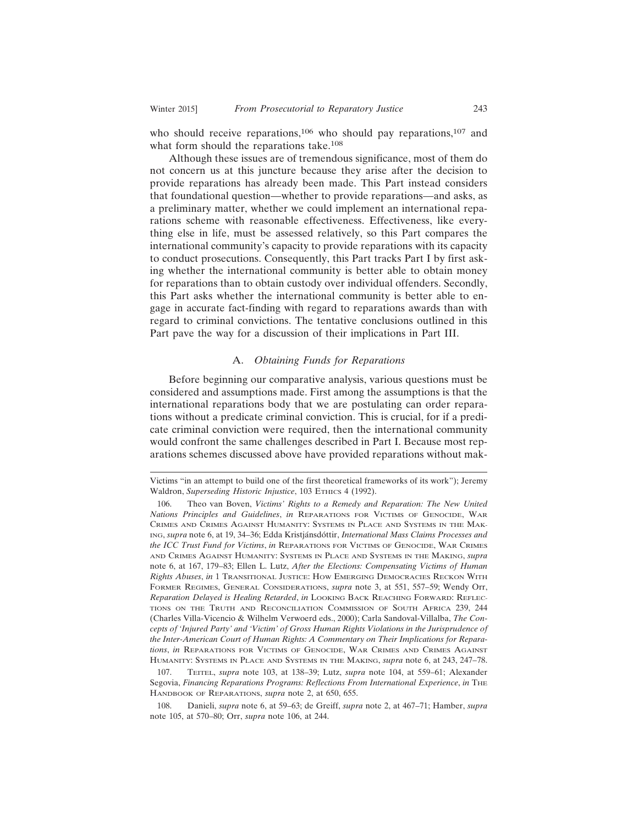who should receive reparations,<sup>106</sup> who should pay reparations,<sup>107</sup> and what form should the reparations take.<sup>108</sup>

Although these issues are of tremendous significance, most of them do not concern us at this juncture because they arise after the decision to provide reparations has already been made. This Part instead considers that foundational question—whether to provide reparations—and asks, as a preliminary matter, whether we could implement an international reparations scheme with reasonable effectiveness. Effectiveness, like everything else in life, must be assessed relatively, so this Part compares the international community's capacity to provide reparations with its capacity to conduct prosecutions. Consequently, this Part tracks Part I by first asking whether the international community is better able to obtain money for reparations than to obtain custody over individual offenders. Secondly, this Part asks whether the international community is better able to engage in accurate fact-finding with regard to reparations awards than with regard to criminal convictions. The tentative conclusions outlined in this Part pave the way for a discussion of their implications in Part III.

#### A. *Obtaining Funds for Reparations*

Before beginning our comparative analysis, various questions must be considered and assumptions made. First among the assumptions is that the international reparations body that we are postulating can order reparations without a predicate criminal conviction. This is crucial, for if a predicate criminal conviction were required, then the international community would confront the same challenges described in Part I. Because most reparations schemes discussed above have provided reparations without mak-

Victims "in an attempt to build one of the first theoretical frameworks of its work"); Jeremy Waldron, *Superseding Historic Injustice*, 103 ETHICS 4 (1992).

<sup>106.</sup> Theo van Boven, *Victims' Rights to a Remedy and Reparation: The New United Nations Principles and Guidelines*, *in* REPARATIONS FOR VICTIMS OF GENOCIDE, WAR CRIMES AND CRIMES AGAINST HUMANITY: SYSTEMS IN PLACE AND SYSTEMS IN THE MAK-ING, *supra* note 6, at 19, 34-36; Edda Kristjánsdóttir, *International Mass Claims Processes and the ICC Trust Fund for Victims*, *in* REPARATIONS FOR VICTIMS OF GENOCIDE, WAR CRIMES AND CRIMES AGAINST HUMANITY: SYSTEMS IN PLACE AND SYSTEMS IN THE MAKING, *supra* note 6, at 167, 179–83; Ellen L. Lutz, *After the Elections: Compensating Victims of Human Rights Abuses*, *in* 1 TRANSITIONAL JUSTICE: HOW EMERGING DEMOCRACIES RECKON WITH FORMER REGIMES, GENERAL CONSIDERATIONS, *supra* note 3, at 551, 557–59; Wendy Orr, *Reparation Delayed is Healing Retarded*, *in* LOOKING BACK REACHING FORWARD: REFLEC-TIONS ON THE TRUTH AND RECONCILIATION COMMISSION OF SOUTH AFRICA 239, 244 (Charles Villa-Vicencio & Wilhelm Verwoerd eds., 2000); Carla Sandoval-Villalba, *The Concepts of 'Injured Party' and 'Victim' of Gross Human Rights Violations in the Jurisprudence of the Inter-American Court of Human Rights: A Commentary on Their Implications for Reparations*, *in* REPARATIONS FOR VICTIMS OF GENOCIDE, WAR CRIMES AND CRIMES AGAINST HUMANITY: SYSTEMS IN PLACE AND SYSTEMS IN THE MAKING, *supra* note 6, at 243, 247–78.

<sup>107.</sup> TEITEL, *supra* note 103, at 138–39; Lutz, *supra* note 104, at 559–61; Alexander Segovia, *Financing Reparations Programs: Reflections From International Experience*, *in* THE HANDBOOK OF REPARATIONS, *supra* note 2, at 650, 655.

<sup>108.</sup> Danieli, *supra* note 6, at 59–63; de Greiff, *supra* note 2, at 467–71; Hamber, *supra* note 105, at 570–80; Orr, *supra* note 106, at 244.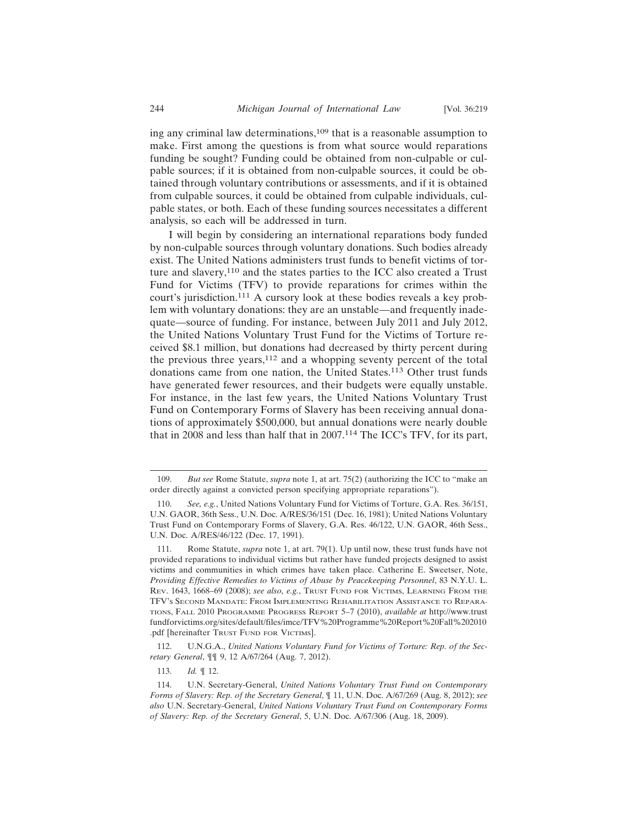ing any criminal law determinations,109 that is a reasonable assumption to make. First among the questions is from what source would reparations funding be sought? Funding could be obtained from non-culpable or culpable sources; if it is obtained from non-culpable sources, it could be obtained through voluntary contributions or assessments, and if it is obtained from culpable sources, it could be obtained from culpable individuals, culpable states, or both. Each of these funding sources necessitates a different analysis, so each will be addressed in turn.

I will begin by considering an international reparations body funded by non-culpable sources through voluntary donations. Such bodies already exist. The United Nations administers trust funds to benefit victims of torture and slavery,<sup>110</sup> and the states parties to the ICC also created a Trust Fund for Victims (TFV) to provide reparations for crimes within the court's jurisdiction.111 A cursory look at these bodies reveals a key problem with voluntary donations: they are an unstable—and frequently inadequate—source of funding. For instance, between July 2011 and July 2012, the United Nations Voluntary Trust Fund for the Victims of Torture received \$8.1 million, but donations had decreased by thirty percent during the previous three years,  $112$  and a whopping seventy percent of the total donations came from one nation, the United States.<sup>113</sup> Other trust funds have generated fewer resources, and their budgets were equally unstable. For instance, in the last few years, the United Nations Voluntary Trust Fund on Contemporary Forms of Slavery has been receiving annual donations of approximately \$500,000, but annual donations were nearly double that in 2008 and less than half that in 2007.114 The ICC's TFV, for its part,

113. *Id.* ¶ 12.

<sup>109.</sup> *But see* Rome Statute, *supra* note 1, at art. 75(2) (authorizing the ICC to "make an order directly against a convicted person specifying appropriate reparations").

<sup>110.</sup> *See, e.g.*, United Nations Voluntary Fund for Victims of Torture, G.A. Res. 36/151, U.N. GAOR, 36th Sess., U.N. Doc. A/RES/36/151 (Dec. 16, 1981); United Nations Voluntary Trust Fund on Contemporary Forms of Slavery, G.A. Res. 46/122, U.N. GAOR, 46th Sess., U.N. Doc. A/RES/46/122 (Dec. 17, 1991).

<sup>111.</sup> Rome Statute, *supra* note 1, at art. 79(1). Up until now, these trust funds have not provided reparations to individual victims but rather have funded projects designed to assist victims and communities in which crimes have taken place. Catherine E. Sweetser, Note, *Providing Effective Remedies to Victims of Abuse by Peacekeeping Personnel*, 83 N.Y.U. L. REV. 1643, 1668–69 (2008); *see also, e.g.*, TRUST FUND FOR VICTIMS, LEARNING FROM THE TFV'S SECOND MANDATE: FROM IMPLEMENTING REHABILITATION ASSISTANCE TO REPARA-TIONS, FALL 2010 PROGRAMME PROGRESS REPORT 5–7 (2010), *available at* http://www.trust fundforvictims.org/sites/default/files/imce/TFV%20Programme%20Report%20Fall%202010 .pdf [hereinafter TRUST FUND FOR VICTIMS].

<sup>112.</sup> U.N.G.A., *United Nations Voluntary Fund for Victims of Torture: Rep. of the Secretary General*, ¶¶ 9, 12 A/67/264 (Aug. 7, 2012).

<sup>114.</sup> U.N. Secretary-General, *United Nations Voluntary Trust Fund on Contemporary Forms of Slavery: Rep. of the Secretary General*, ¶ 11, U.N. Doc. A/67/269 (Aug. 8, 2012); *see also* U.N. Secretary-General, *United Nations Voluntary Trust Fund on Contemporary Forms of Slavery: Rep. of the Secretary General*, 5, U.N. Doc. A/67/306 (Aug. 18, 2009).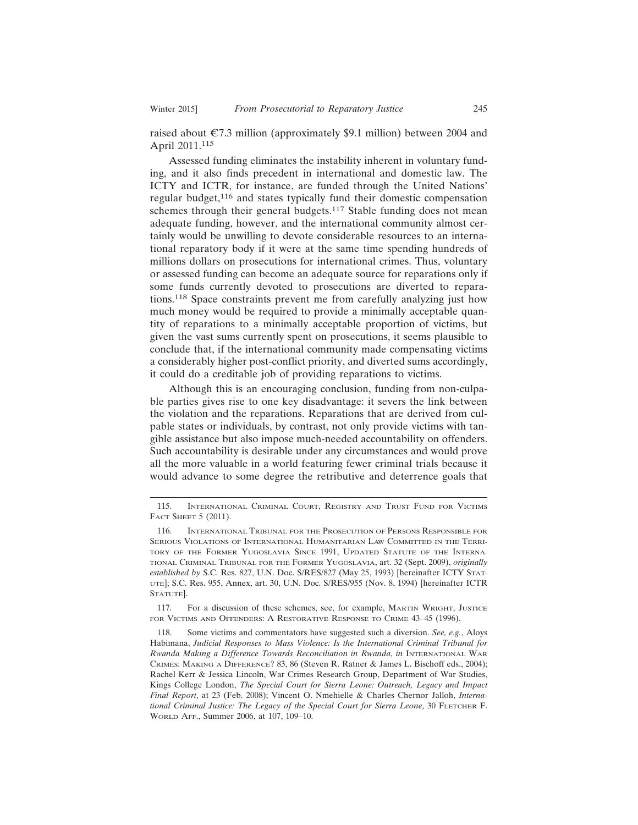raised about  $\epsilon$ 7.3 million (approximately \$9.1 million) between 2004 and April 2011.<sup>115</sup>

Assessed funding eliminates the instability inherent in voluntary funding, and it also finds precedent in international and domestic law. The ICTY and ICTR, for instance, are funded through the United Nations' regular budget,116 and states typically fund their domestic compensation schemes through their general budgets.<sup>117</sup> Stable funding does not mean adequate funding, however, and the international community almost certainly would be unwilling to devote considerable resources to an international reparatory body if it were at the same time spending hundreds of millions dollars on prosecutions for international crimes. Thus, voluntary or assessed funding can become an adequate source for reparations only if some funds currently devoted to prosecutions are diverted to reparations.118 Space constraints prevent me from carefully analyzing just how much money would be required to provide a minimally acceptable quantity of reparations to a minimally acceptable proportion of victims, but given the vast sums currently spent on prosecutions, it seems plausible to conclude that, if the international community made compensating victims a considerably higher post-conflict priority, and diverted sums accordingly, it could do a creditable job of providing reparations to victims.

Although this is an encouraging conclusion, funding from non-culpable parties gives rise to one key disadvantage: it severs the link between the violation and the reparations. Reparations that are derived from culpable states or individuals, by contrast, not only provide victims with tangible assistance but also impose much-needed accountability on offenders. Such accountability is desirable under any circumstances and would prove all the more valuable in a world featuring fewer criminal trials because it would advance to some degree the retributive and deterrence goals that

117. For a discussion of these schemes, see, for example, MARTIN WRIGHT, JUSTICE FOR VICTIMS AND OFFENDERS: A RESTORATIVE RESPONSE TO CRIME 43–45 (1996).

<sup>115.</sup> INTERNATIONAL CRIMINAL COURT, REGISTRY AND TRUST FUND FOR VICTIMS FACT SHEET 5 (2011).

<sup>116.</sup> INTERNATIONAL TRIBUNAL FOR THE PROSECUTION OF PERSONS RESPONSIBLE FOR SERIOUS VIOLATIONS OF INTERNATIONAL HUMANITARIAN LAW COMMITTED IN THE TERRI-TORY OF THE FORMER YUGOSLAVIA SINCE 1991, UPDATED STATUTE OF THE INTERNA-TIONAL CRIMINAL TRIBUNAL FOR THE FORMER YUGOSLAVIA, art. 32 (Sept. 2009), *originally established by* S.C. Res. 827, U.N. Doc. S/RES/827 (May 25, 1993) [hereinafter ICTY STAT-UTE]; S.C. Res. 955, Annex, art. 30, U.N. Doc. S/RES/955 (Nov. 8, 1994) [hereinafter ICTR STATUTE].

<sup>118.</sup> Some victims and commentators have suggested such a diversion. *See, e.g.*, Aloys Habimana, *Judicial Responses to Mass Violence: Is the International Criminal Tribunal for Rwanda Making a Difference Towards Reconciliation in Rwanda*, *in* INTERNATIONAL WAR CRIMES: MAKING A DIFFERENCE? 83, 86 (Steven R. Ratner & James L. Bischoff eds., 2004); Rachel Kerr & Jessica Lincoln, War Crimes Research Group, Department of War Studies, Kings College London, *The Special Court for Sierra Leone: Outreach, Legacy and Impact Final Report*, at 23 (Feb. 2008); Vincent O. Nmehielle & Charles Chernor Jalloh, *International Criminal Justice: The Legacy of the Special Court for Sierra Leone*, 30 FLETCHER F. WORLD AFF., Summer 2006, at 107, 109–10.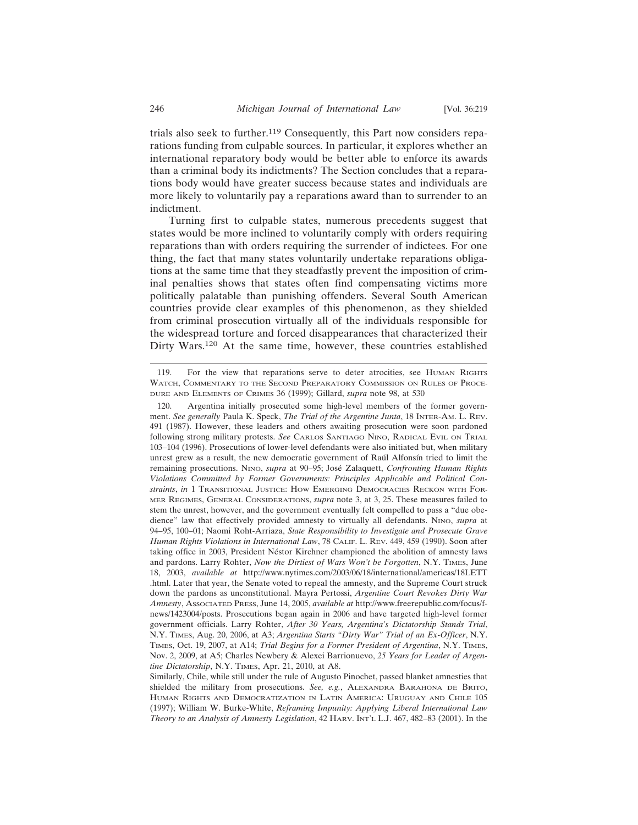trials also seek to further.119 Consequently, this Part now considers reparations funding from culpable sources. In particular, it explores whether an international reparatory body would be better able to enforce its awards than a criminal body its indictments? The Section concludes that a reparations body would have greater success because states and individuals are more likely to voluntarily pay a reparations award than to surrender to an indictment.

Turning first to culpable states, numerous precedents suggest that states would be more inclined to voluntarily comply with orders requiring reparations than with orders requiring the surrender of indictees. For one thing, the fact that many states voluntarily undertake reparations obligations at the same time that they steadfastly prevent the imposition of criminal penalties shows that states often find compensating victims more politically palatable than punishing offenders. Several South American countries provide clear examples of this phenomenon, as they shielded from criminal prosecution virtually all of the individuals responsible for the widespread torture and forced disappearances that characterized their Dirty Wars.<sup>120</sup> At the same time, however, these countries established

<sup>119.</sup> For the view that reparations serve to deter atrocities, see HUMAN RIGHTS WATCH, COMMENTARY TO THE SECOND PREPARATORY COMMISSION ON RULES OF PROCE-DURE AND ELEMENTS OF CRIMES 36 (1999); Gillard, *supra* note 98, at 530

<sup>120.</sup> Argentina initially prosecuted some high-level members of the former government. *See generally* Paula K. Speck, *The Trial of the Argentine Junta*, 18 INTER-AM. L. REV. 491 (1987). However, these leaders and others awaiting prosecution were soon pardoned following strong military protests. *See* CARLOS SANTIAGO NINO, RADICAL EVIL ON TRIAL 103–104 (1996). Prosecutions of lower-level defendants were also initiated but, when military unrest grew as a result, the new democratic government of Raúl Alfonsín tried to limit the remaining prosecutions. NINO, *supra* at 90–95; José Zalaquett, *Confronting Human Rights Violations Committed by Former Governments: Principles Applicable and Political Constraints*, *in* 1 TRANSITIONAL JUSTICE: HOW EMERGING DEMOCRACIES RECKON WITH FOR-MER REGIMES, GENERAL CONSIDERATIONS, *supra* note 3, at 3, 25. These measures failed to stem the unrest, however, and the government eventually felt compelled to pass a "due obedience" law that effectively provided amnesty to virtually all defendants. NINO, *supra* at 94–95, 100–01; Naomi Roht-Arriaza, *State Responsibility to Investigate and Prosecute Grave Human Rights Violations in International Law*, 78 CALIF. L. REV. 449, 459 (1990). Soon after taking office in 2003, President Néstor Kirchner championed the abolition of amnesty laws and pardons. Larry Rohter, *Now the Dirtiest of Wars Won't be Forgotten*, N.Y. TIMES, June 18, 2003, *available at* http://www.nytimes.com/2003/06/18/international/americas/18LETT .html. Later that year, the Senate voted to repeal the amnesty, and the Supreme Court struck down the pardons as unconstitutional. Mayra Pertossi, *Argentine Court Revokes Dirty War Amnesty*, ASSOCIATED PRESS, June 14, 2005, *available at* http://www.freerepublic.com/focus/fnews/1423004/posts. Prosecutions began again in 2006 and have targeted high-level former government officials. Larry Rohter, *After 30 Years, Argentina's Dictatorship Stands Trial*, N.Y. TIMES, Aug. 20, 2006, at A3; *Argentina Starts "Dirty War" Trial of an Ex-Officer*, N.Y. TIMES, Oct. 19, 2007, at A14; *Trial Begins for a Former President of Argentina*, N.Y. TIMES, Nov. 2, 2009, at A5; Charles Newbery & Alexei Barrionuevo, *25 Years for Leader of Argentine Dictatorship*, N.Y. TIMES, Apr. 21, 2010, at A8.

Similarly, Chile, while still under the rule of Augusto Pinochet, passed blanket amnesties that shielded the military from prosecutions. *See, e.g.*, ALEXANDRA BARAHONA DE BRITO, HUMAN RIGHTS AND DEMOCRATIZATION IN LATIN AMERICA: URUGUAY AND CHILE 105 (1997); William W. Burke-White, *Reframing Impunity: Applying Liberal International Law Theory to an Analysis of Amnesty Legislation*, 42 HARV. INT'L L.J. 467, 482–83 (2001). In the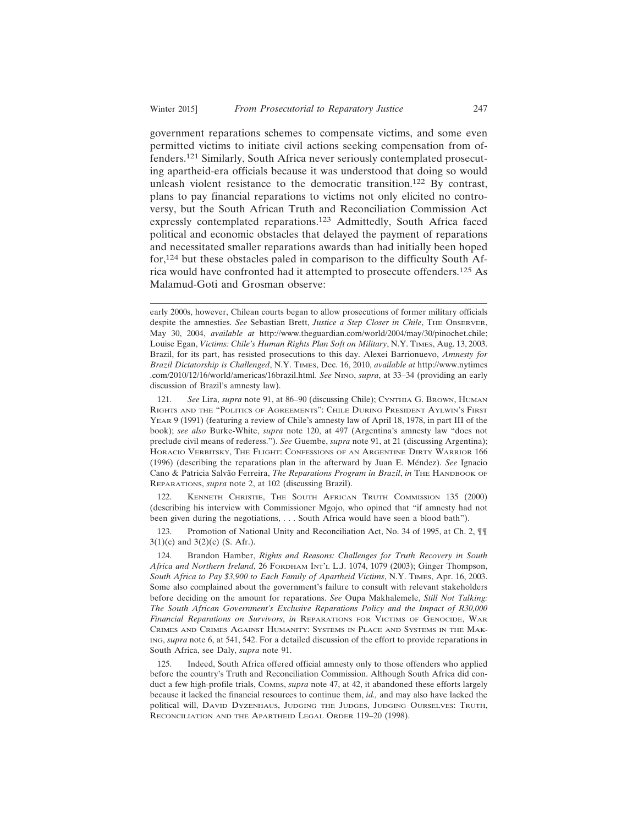government reparations schemes to compensate victims, and some even permitted victims to initiate civil actions seeking compensation from offenders.121 Similarly, South Africa never seriously contemplated prosecuting apartheid-era officials because it was understood that doing so would unleash violent resistance to the democratic transition.122 By contrast, plans to pay financial reparations to victims not only elicited no controversy, but the South African Truth and Reconciliation Commission Act expressly contemplated reparations.123 Admittedly, South Africa faced political and economic obstacles that delayed the payment of reparations and necessitated smaller reparations awards than had initially been hoped for,124 but these obstacles paled in comparison to the difficulty South Africa would have confronted had it attempted to prosecute offenders.125 As Malamud-Goti and Grosman observe:

122. KENNETH CHRISTIE, THE SOUTH AFRICAN TRUTH COMMISSION 135 (2000) (describing his interview with Commissioner Mgojo, who opined that "if amnesty had not been given during the negotiations, . . . South Africa would have seen a blood bath").

123. Promotion of National Unity and Reconciliation Act, No. 34 of 1995, at Ch. 2,  $\P\P$  $3(1)(c)$  and  $3(2)(c)$  (S. Afr.).

early 2000s, however, Chilean courts began to allow prosecutions of former military officials despite the amnesties. *See* Sebastian Brett, *Justice a Step Closer in Chile*, THE OBSERVER, May 30, 2004, *available at* http://www.theguardian.com/world/2004/may/30/pinochet.chile; Louise Egan, *Victims: Chile's Human Rights Plan Soft on Military*, N.Y. TIMES, Aug. 13, 2003. Brazil, for its part, has resisted prosecutions to this day. Alexei Barrionuevo, *Amnesty for Brazil Dictatorship is Challenged*, N.Y. TIMES, Dec. 16, 2010, *available at* http://www.nytimes .com/2010/12/16/world/americas/16brazil.html. *See* NINO, *supra*, at 33–34 (providing an early discussion of Brazil's amnesty law).

<sup>121.</sup> *See* Lira, *supra* note 91, at 86–90 (discussing Chile); CYNTHIA G. BROWN, HUMAN RIGHTS AND THE "POLITICS OF AGREEMENTS": CHILE DURING PRESIDENT AYLWIN'S FIRST YEAR 9 (1991) (featuring a review of Chile's amnesty law of April 18, 1978, in part III of the book); *see also* Burke-White, *supra* note 120, at 497 (Argentina's amnesty law "does not preclude civil means of rederess."). *See* Guembe, *supra* note 91, at 21 (discussing Argentina); HORACIO VERBITSKY, THE FLIGHT: CONFESSIONS OF AN ARGENTINE DIRTY WARRIOR 166 (1996) (describing the reparations plan in the afterward by Juan E. Méndez). *See* Ignacio Cano & Patricia Salvão Ferreira, *The Reparations Program in Brazil*, *in* The HANDBOOK OF REPARATIONS, *supra* note 2, at 102 (discussing Brazil).

<sup>124.</sup> Brandon Hamber, *Rights and Reasons: Challenges for Truth Recovery in South Africa and Northern Ireland*, 26 FORDHAM INT'L L.J. 1074, 1079 (2003); Ginger Thompson, *South Africa to Pay \$3,900 to Each Family of Apartheid Victims*, N.Y. TIMES, Apr. 16, 2003. Some also complained about the government's failure to consult with relevant stakeholders before deciding on the amount for reparations. *See* Oupa Makhalemele, *Still Not Talking: The South African Government's Exclusive Reparations Policy and the Impact of R30,000 Financial Reparations on Survivors*, *in* REPARATIONS FOR VICTIMS OF GENOCIDE, WAR CRIMES AND CRIMES AGAINST HUMANITY: SYSTEMS IN PLACE AND SYSTEMS IN THE MAK-ING, *supra* note 6, at 541, 542. For a detailed discussion of the effort to provide reparations in South Africa, see Daly, *supra* note 91.

<sup>125.</sup> Indeed, South Africa offered official amnesty only to those offenders who applied before the country's Truth and Reconciliation Commission. Although South Africa did conduct a few high-profile trials, COMBS, *supra* note 47, at 42, it abandoned these efforts largely because it lacked the financial resources to continue them, *id.,* and may also have lacked the political will, DAVID DYZENHAUS, JUDGING THE JUDGES, JUDGING OURSELVES: TRUTH, RECONCILIATION AND THE APARTHEID LEGAL ORDER 119–20 (1998).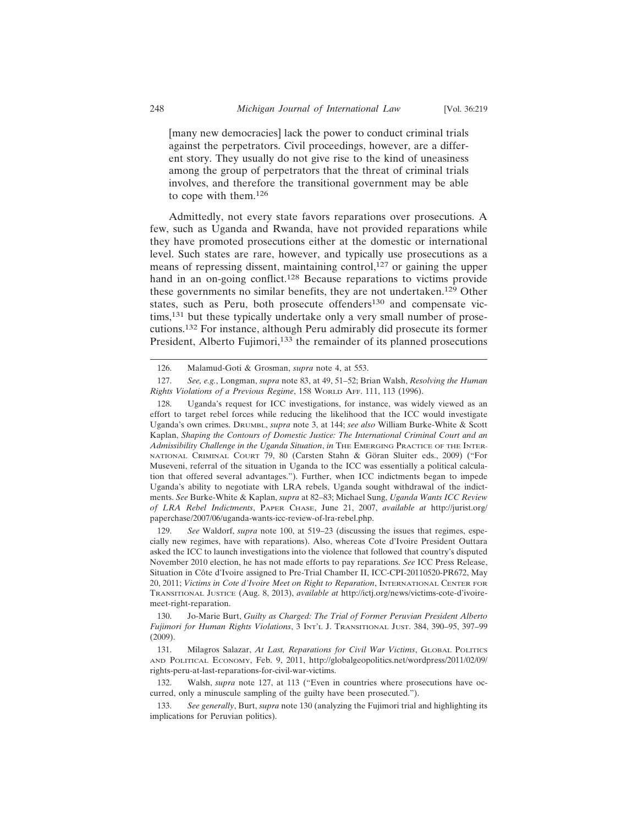[many new democracies] lack the power to conduct criminal trials against the perpetrators. Civil proceedings, however, are a different story. They usually do not give rise to the kind of uneasiness among the group of perpetrators that the threat of criminal trials involves, and therefore the transitional government may be able to cope with them.<sup>126</sup>

Admittedly, not every state favors reparations over prosecutions. A few, such as Uganda and Rwanda, have not provided reparations while they have promoted prosecutions either at the domestic or international level. Such states are rare, however, and typically use prosecutions as a means of repressing dissent, maintaining control,<sup>127</sup> or gaining the upper hand in an on-going conflict.<sup>128</sup> Because reparations to victims provide these governments no similar benefits, they are not undertaken.129 Other states, such as Peru, both prosecute offenders<sup>130</sup> and compensate victims,<sup>131</sup> but these typically undertake only a very small number of prosecutions.132 For instance, although Peru admirably did prosecute its former President, Alberto Fujimori,<sup>133</sup> the remainder of its planned prosecutions

129. *See* Waldorf, *supra* note 100, at 519–23 (discussing the issues that regimes, especially new regimes, have with reparations). Also, whereas Cote d'Ivoire President Outtara asked the ICC to launch investigations into the violence that followed that country's disputed November 2010 election, he has not made efforts to pay reparations. *See* ICC Press Release, Situation in Côte d'Ivoire assigned to Pre-Trial Chamber II, ICC-CPI-20110520-PR672, May 20, 2011; *Victims in Cote d'Ivoire Meet on Right to Reparation*, INTERNATIONAL CENTER FOR TRANSITIONAL JUSTICE (Aug. 8, 2013), *available at* http://ictj.org/news/victims-cote-d'ivoiremeet-right-reparation.

<sup>126.</sup> Malamud-Goti & Grosman, *supra* note 4, at 553.

<sup>127.</sup> *See, e.g.*, Longman, *supra* note 83, at 49, 51–52; Brian Walsh, *Resolving the Human Rights Violations of a Previous Regime*, 158 WORLD AFF. 111, 113 (1996).

<sup>128.</sup> Uganda's request for ICC investigations, for instance, was widely viewed as an effort to target rebel forces while reducing the likelihood that the ICC would investigate Uganda's own crimes. DRUMBL, *supra* note 3, at 144; *see also* William Burke-White & Scott Kaplan, *Shaping the Contours of Domestic Justice: The International Criminal Court and an Admissibility Challenge in the Uganda Situation*, *in* THE EMERGING PRACTICE OF THE INTER-NATIONAL CRIMINAL COURT 79, 80 (Carsten Stahn & Göran Sluiter eds., 2009) ("For Museveni, referral of the situation in Uganda to the ICC was essentially a political calculation that offered several advantages."). Further, when ICC indictments began to impede Uganda's ability to negotiate with LRA rebels, Uganda sought withdrawal of the indictments. *See* Burke-White & Kaplan, *supra* at 82–83; Michael Sung, *Uganda Wants ICC Review of LRA Rebel Indictments*, PAPER CHASE, June 21, 2007, *available at* http://jurist.org/ paperchase/2007/06/uganda-wants-icc-review-of-lra-rebel.php.

<sup>130.</sup> Jo-Marie Burt, *Guilty as Charged: The Trial of Former Peruvian President Alberto Fujimori for Human Rights Violations*, 3 INT'L J. TRANSITIONAL JUST. 384, 390–95, 397–99 (2009).

<sup>131.</sup> Milagros Salazar, *At Last, Reparations for Civil War Victims*, GLOBAL POLITICS AND POLITICAL ECONOMY, Feb. 9, 2011, http://globalgeopolitics.net/wordpress/2011/02/09/ rights-peru-at-last-reparations-for-civil-war-victims.

<sup>132.</sup> Walsh, *supra* note 127, at 113 ("Even in countries where prosecutions have occurred, only a minuscule sampling of the guilty have been prosecuted.").

<sup>133.</sup> *See generally*, Burt, *supra* note 130 (analyzing the Fujimori trial and highlighting its implications for Peruvian politics).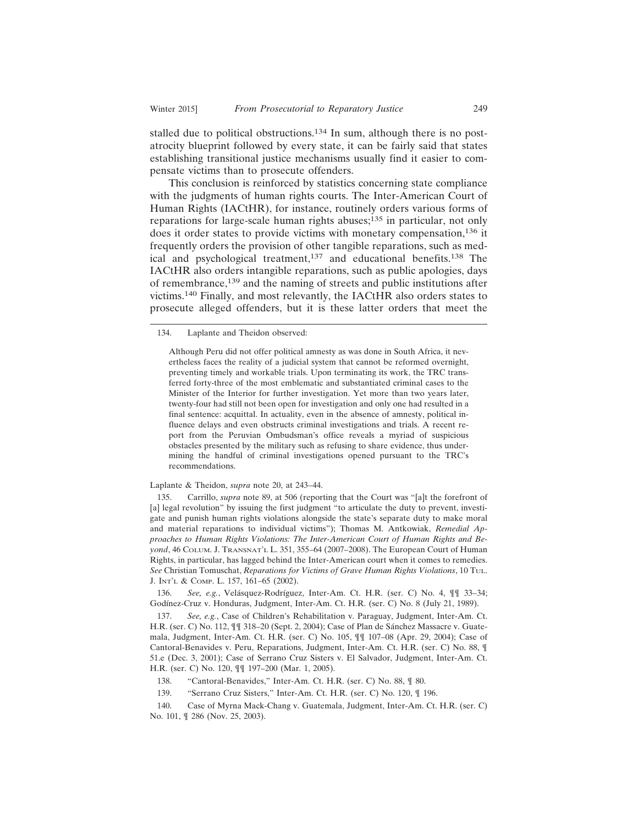stalled due to political obstructions.<sup>134</sup> In sum, although there is no postatrocity blueprint followed by every state, it can be fairly said that states establishing transitional justice mechanisms usually find it easier to compensate victims than to prosecute offenders.

This conclusion is reinforced by statistics concerning state compliance with the judgments of human rights courts. The Inter-American Court of Human Rights (IACtHR), for instance, routinely orders various forms of reparations for large-scale human rights abuses;<sup>135</sup> in particular, not only does it order states to provide victims with monetary compensation,136 it frequently orders the provision of other tangible reparations, such as medical and psychological treatment,137 and educational benefits.138 The IACtHR also orders intangible reparations, such as public apologies, days of remembrance,139 and the naming of streets and public institutions after victims.140 Finally, and most relevantly, the IACtHR also orders states to prosecute alleged offenders, but it is these latter orders that meet the

134. Laplante and Theidon observed:

Although Peru did not offer political amnesty as was done in South Africa, it nevertheless faces the reality of a judicial system that cannot be reformed overnight, preventing timely and workable trials. Upon terminating its work, the TRC transferred forty-three of the most emblematic and substantiated criminal cases to the Minister of the Interior for further investigation. Yet more than two years later, twenty-four had still not been open for investigation and only one had resulted in a final sentence: acquittal. In actuality, even in the absence of amnesty, political influence delays and even obstructs criminal investigations and trials. A recent report from the Peruvian Ombudsman's office reveals a myriad of suspicious obstacles presented by the military such as refusing to share evidence, thus undermining the handful of criminal investigations opened pursuant to the TRC's recommendations.

Laplante & Theidon, *supra* note 20, at 243–44.

135. Carrillo, *supra* note 89, at 506 (reporting that the Court was "[a]t the forefront of [a] legal revolution" by issuing the first judgment "to articulate the duty to prevent, investigate and punish human rights violations alongside the state's separate duty to make moral and material reparations to individual victims"); Thomas M. Antkowiak, *Remedial Approaches to Human Rights Violations: The Inter-American Court of Human Rights and Beyond*, 46 COLUM. J. TRANSNAT'L L. 351, 355–64 (2007–2008). The European Court of Human Rights, in particular, has lagged behind the Inter-American court when it comes to remedies. *See* Christian Tomuschat, *Reparations for Victims of Grave Human Rights Violations*, 10 TUL. J. INT'L & COMP. L. 157, 161–65 (2002).

136. *See, e.g.*, Velásquez-Rodríguez, Inter-Am. Ct. H.R. (ser. C) No. 4,  $\P$  | 33–34; Godínez-Cruz v. Honduras, Judgment, Inter-Am. Ct. H.R. (ser. C) No. 8 (July 21, 1989).

137. *See, e.g.*, Case of Children's Rehabilitation v. Paraguay, Judgment, Inter-Am. Ct. H.R. (ser. C) No. 112,  $\P$  $\P$  318–20 (Sept. 2, 2004); Case of Plan de Sánchez Massacre v. Guatemala, Judgment, Inter-Am. Ct. H.R. (ser. C) No. 105, ¶¶ 107–08 (Apr. 29, 2004); Case of Cantoral-Benavides v. Peru, Reparations, Judgment, Inter-Am. Ct. H.R. (ser. C) No. 88, ¶ 51.e (Dec. 3, 2001); Case of Serrano Cruz Sisters v. El Salvador, Judgment, Inter-Am. Ct. H.R. (ser. C) No. 120, ¶¶ 197–200 (Mar. 1, 2005).

- 138. "Cantoral-Benavides," Inter-Am. Ct. H.R. (ser. C) No. 88, ¶ 80.
- 139. "Serrano Cruz Sisters," Inter-Am. Ct. H.R. (ser. C) No. 120, ¶ 196.

140. Case of Myrna Mack-Chang v. Guatemala, Judgment, Inter-Am. Ct. H.R. (ser. C) No. 101, ¶ 286 (Nov. 25, 2003).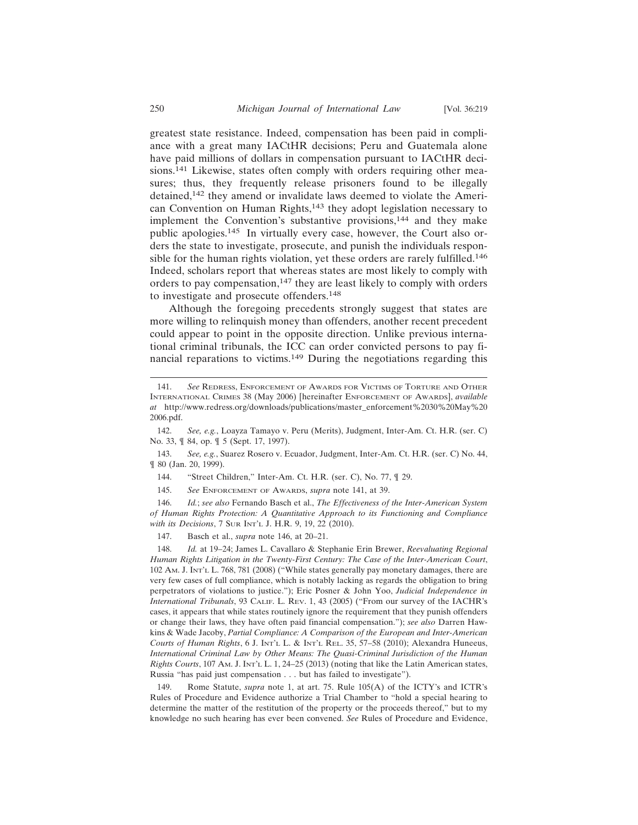greatest state resistance. Indeed, compensation has been paid in compliance with a great many IACtHR decisions; Peru and Guatemala alone have paid millions of dollars in compensation pursuant to IACtHR decisions.141 Likewise, states often comply with orders requiring other measures; thus, they frequently release prisoners found to be illegally detained,142 they amend or invalidate laws deemed to violate the American Convention on Human Rights,143 they adopt legislation necessary to implement the Convention's substantive provisions,<sup>144</sup> and they make public apologies.145 In virtually every case, however, the Court also orders the state to investigate, prosecute, and punish the individuals responsible for the human rights violation, yet these orders are rarely fulfilled.<sup>146</sup> Indeed, scholars report that whereas states are most likely to comply with orders to pay compensation,<sup>147</sup> they are least likely to comply with orders to investigate and prosecute offenders.<sup>148</sup>

Although the foregoing precedents strongly suggest that states are more willing to relinquish money than offenders, another recent precedent could appear to point in the opposite direction. Unlike previous international criminal tribunals, the ICC can order convicted persons to pay financial reparations to victims.149 During the negotiations regarding this

146. *Id.*; *see also* Fernando Basch et al., *The Effectiveness of the Inter-American System of Human Rights Protection: A Quantitative Approach to its Functioning and Compliance with its Decisions*, 7 SUR INT'L J. H.R. 9, 19, 22 (2010).

147. Basch et al., *supra* note 146, at 20–21.

148. *Id.* at 19–24; James L. Cavallaro & Stephanie Erin Brewer, *Reevaluating Regional Human Rights Litigation in the Twenty-First Century: The Case of the Inter-American Court*, 102 AM. J. INT'L L. 768, 781 (2008) ("While states generally pay monetary damages, there are very few cases of full compliance, which is notably lacking as regards the obligation to bring perpetrators of violations to justice."); Eric Posner & John Yoo, *Judicial Independence in International Tribunals*, 93 CALIF. L. REV. 1, 43 (2005) ("From our survey of the IACHR's cases, it appears that while states routinely ignore the requirement that they punish offenders or change their laws, they have often paid financial compensation."); *see also* Darren Hawkins & Wade Jacoby, *Partial Compliance: A Comparison of the European and Inter-American Courts of Human Rights*, 6 J. INT'L L. & INT'L REL. 35, 57–58 (2010); Alexandra Huneeus, *International Criminal Law by Other Means: The Quasi-Criminal Jurisdiction of the Human Rights Courts*, 107 AM. J. INT'L L. 1, 24–25 (2013) (noting that like the Latin American states, Russia "has paid just compensation . . . but has failed to investigate").

149. Rome Statute, *supra* note 1, at art. 75. Rule 105(A) of the ICTY's and ICTR's Rules of Procedure and Evidence authorize a Trial Chamber to "hold a special hearing to determine the matter of the restitution of the property or the proceeds thereof," but to my knowledge no such hearing has ever been convened. *See* Rules of Procedure and Evidence,

<sup>141.</sup> *See* REDRESS, ENFORCEMENT OF AWARDS FOR VICTIMS OF TORTURE AND OTHER INTERNATIONAL CRIMES 38 (May 2006) [hereinafter ENFORCEMENT OF AWARDS], *available at* http://www.redress.org/downloads/publications/master\_enforcement%2030%20May%20 2006.pdf.

<sup>142.</sup> *See, e.g.*, Loayza Tamayo v. Peru (Merits), Judgment, Inter-Am. Ct. H.R. (ser. C) No. 33, ¶ 84, op. ¶ 5 (Sept. 17, 1997).

<sup>143.</sup> *See, e.g.*, Suarez Rosero v. Ecuador, Judgment, Inter-Am. Ct. H.R. (ser. C) No. 44, ¶ 80 (Jan. 20, 1999).

<sup>144. &</sup>quot;Street Children," Inter-Am. Ct. H.R. (ser. C), No. 77, ¶ 29.

<sup>145.</sup> *See* ENFORCEMENT OF AWARDS, *supra* note 141, at 39.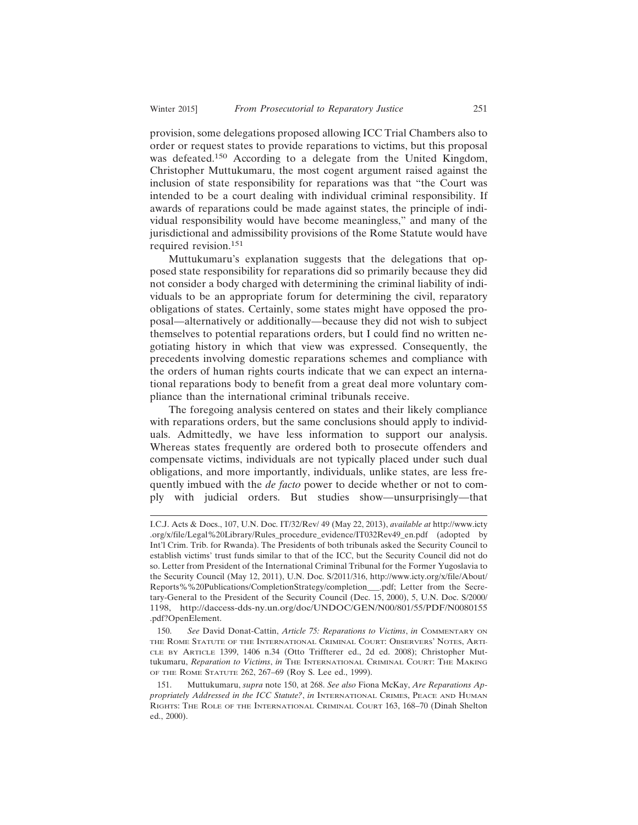provision, some delegations proposed allowing ICC Trial Chambers also to order or request states to provide reparations to victims, but this proposal was defeated.150 According to a delegate from the United Kingdom, Christopher Muttukumaru, the most cogent argument raised against the inclusion of state responsibility for reparations was that "the Court was intended to be a court dealing with individual criminal responsibility. If awards of reparations could be made against states, the principle of individual responsibility would have become meaningless," and many of the jurisdictional and admissibility provisions of the Rome Statute would have required revision.<sup>151</sup>

Muttukumaru's explanation suggests that the delegations that opposed state responsibility for reparations did so primarily because they did not consider a body charged with determining the criminal liability of individuals to be an appropriate forum for determining the civil, reparatory obligations of states. Certainly, some states might have opposed the proposal—alternatively or additionally—because they did not wish to subject themselves to potential reparations orders, but I could find no written negotiating history in which that view was expressed. Consequently, the precedents involving domestic reparations schemes and compliance with the orders of human rights courts indicate that we can expect an international reparations body to benefit from a great deal more voluntary compliance than the international criminal tribunals receive.

The foregoing analysis centered on states and their likely compliance with reparations orders, but the same conclusions should apply to individuals. Admittedly, we have less information to support our analysis. Whereas states frequently are ordered both to prosecute offenders and compensate victims, individuals are not typically placed under such dual obligations, and more importantly, individuals, unlike states, are less frequently imbued with the *de facto* power to decide whether or not to comply with judicial orders. But studies show—unsurprisingly—that

150. *See* David Donat-Cattin, *Article 75: Reparations to Victims*, *in* COMMENTARY ON THE ROME STATUTE OF THE INTERNATIONAL CRIMINAL COURT: OBSERVERS' NOTES, ARTI-CLE BY ARTICLE 1399, 1406 n.34 (Otto Triffterer ed., 2d ed. 2008); Christopher Muttukumaru, *Reparation to Victims*, *in* THE INTERNATIONAL CRIMINAL COURT: THE MAKING OF THE ROME STATUTE 262, 267–69 (Roy S. Lee ed., 1999).

151. Muttukumaru, *supra* note 150, at 268. *See also* Fiona McKay, *Are Reparations Appropriately Addressed in the ICC Statute?*, *in* INTERNATIONAL CRIMES, PEACE AND HUMAN RIGHTS: THE ROLE OF THE INTERNATIONAL CRIMINAL COURT 163, 168–70 (Dinah Shelton ed., 2000).

I.C.J. Acts & Docs., 107, U.N. Doc. IT/32/Rev/ 49 (May 22, 2013), *available at* http://www.icty .org/x/file/Legal%20Library/Rules\_procedure\_evidence/IT032Rev49\_en.pdf (adopted by Int'l Crim. Trib. for Rwanda). The Presidents of both tribunals asked the Security Council to establish victims' trust funds similar to that of the ICC, but the Security Council did not do so. Letter from President of the International Criminal Tribunal for the Former Yugoslavia to the Security Council (May 12, 2011), U.N. Doc. S/2011/316, http://www.icty.org/x/file/About/ Reports%%20Publications/CompletionStrategy/completion\_\_\_.pdf; Letter from the Secretary-General to the President of the Security Council (Dec. 15, 2000), 5, U.N. Doc. S/2000/ 1198, http://daccess-dds-ny.un.org/doc/UNDOC/GEN/N00/801/55/PDF/N0080155 .pdf?OpenElement.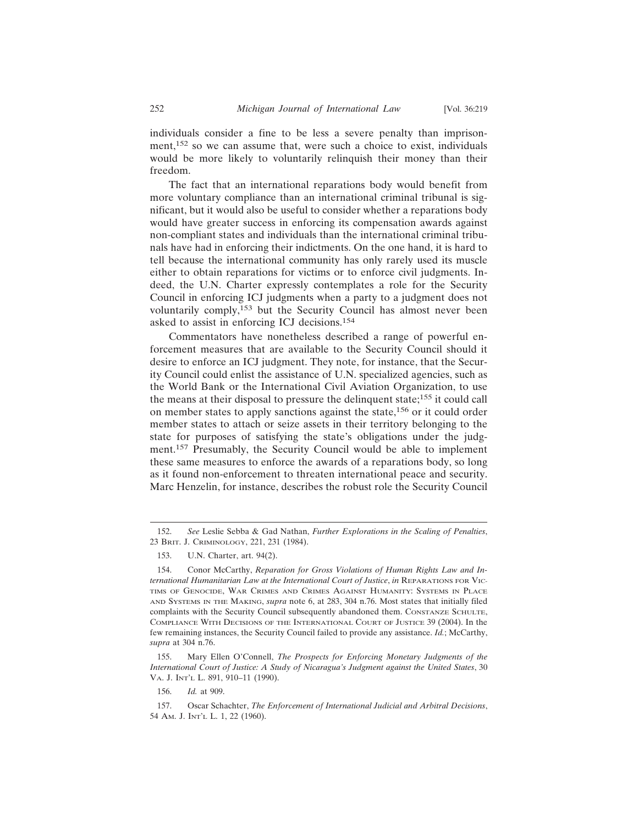individuals consider a fine to be less a severe penalty than imprisonment,152 so we can assume that, were such a choice to exist, individuals would be more likely to voluntarily relinquish their money than their freedom.

The fact that an international reparations body would benefit from more voluntary compliance than an international criminal tribunal is significant, but it would also be useful to consider whether a reparations body would have greater success in enforcing its compensation awards against non-compliant states and individuals than the international criminal tribunals have had in enforcing their indictments. On the one hand, it is hard to tell because the international community has only rarely used its muscle either to obtain reparations for victims or to enforce civil judgments. Indeed, the U.N. Charter expressly contemplates a role for the Security Council in enforcing ICJ judgments when a party to a judgment does not voluntarily comply,153 but the Security Council has almost never been asked to assist in enforcing ICJ decisions.<sup>154</sup>

Commentators have nonetheless described a range of powerful enforcement measures that are available to the Security Council should it desire to enforce an ICJ judgment. They note, for instance, that the Security Council could enlist the assistance of U.N. specialized agencies, such as the World Bank or the International Civil Aviation Organization, to use the means at their disposal to pressure the delinquent state;155 it could call on member states to apply sanctions against the state,156 or it could order member states to attach or seize assets in their territory belonging to the state for purposes of satisfying the state's obligations under the judgment.157 Presumably, the Security Council would be able to implement these same measures to enforce the awards of a reparations body, so long as it found non-enforcement to threaten international peace and security. Marc Henzelin, for instance, describes the robust role the Security Council

155. Mary Ellen O'Connell, *The Prospects for Enforcing Monetary Judgments of the International Court of Justice: A Study of Nicaragua's Judgment against the United States*, 30 VA. J. INT'L L. 891, 910–11 (1990).

<sup>152.</sup> *See* Leslie Sebba & Gad Nathan, *Further Explorations in the Scaling of Penalties*, 23 BRIT. J. CRIMINOLOGY, 221, 231 (1984).

<sup>153.</sup> U.N. Charter, art. 94(2).

<sup>154.</sup> Conor McCarthy, *Reparation for Gross Violations of Human Rights Law and International Humanitarian Law at the International Court of Justice*, *in* REPARATIONS FOR VIC-TIMS OF GENOCIDE, WAR CRIMES AND CRIMES AGAINST HUMANITY: SYSTEMS IN PLACE AND SYSTEMS IN THE MAKING, *supra* note 6, at 283, 304 n.76. Most states that initially filed complaints with the Security Council subsequently abandoned them. CONSTANZE SCHULTE, COMPLIANCE WITH DECISIONS OF THE INTERNATIONAL COURT OF JUSTICE 39 (2004). In the few remaining instances, the Security Council failed to provide any assistance. *Id.*; McCarthy, *supra* at 304 n.76.

<sup>156.</sup> *Id.* at 909.

<sup>157.</sup> Oscar Schachter, *The Enforcement of International Judicial and Arbitral Decisions*, 54 AM. J. INT'L L. 1, 22 (1960).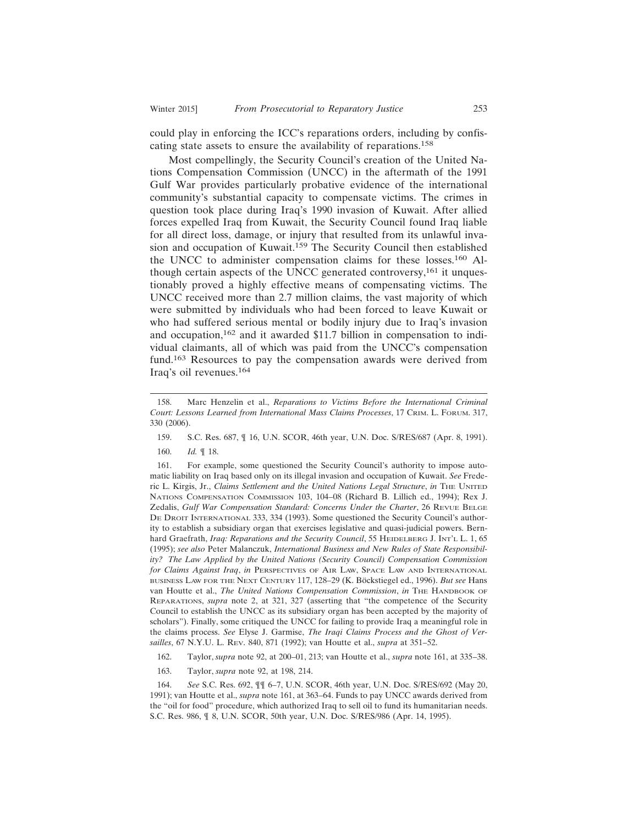could play in enforcing the ICC's reparations orders, including by confiscating state assets to ensure the availability of reparations.<sup>158</sup>

Most compellingly, the Security Council's creation of the United Nations Compensation Commission (UNCC) in the aftermath of the 1991 Gulf War provides particularly probative evidence of the international community's substantial capacity to compensate victims. The crimes in question took place during Iraq's 1990 invasion of Kuwait. After allied forces expelled Iraq from Kuwait, the Security Council found Iraq liable for all direct loss, damage, or injury that resulted from its unlawful invasion and occupation of Kuwait.<sup>159</sup> The Security Council then established the UNCC to administer compensation claims for these losses.160 Although certain aspects of the UNCC generated controversy,<sup>161</sup> it unquestionably proved a highly effective means of compensating victims. The UNCC received more than 2.7 million claims, the vast majority of which were submitted by individuals who had been forced to leave Kuwait or who had suffered serious mental or bodily injury due to Iraq's invasion and occupation,162 and it awarded \$11.7 billion in compensation to individual claimants, all of which was paid from the UNCC's compensation fund.163 Resources to pay the compensation awards were derived from Iraq's oil revenues.<sup>164</sup>

161. For example, some questioned the Security Council's authority to impose automatic liability on Iraq based only on its illegal invasion and occupation of Kuwait. *See* Frederic L. Kirgis, Jr., *Claims Settlement and the United Nations Legal Structure*, *in* THE UNITED NATIONS COMPENSATION COMMISSION 103, 104–08 (Richard B. Lillich ed., 1994); Rex J. Zedalis, *Gulf War Compensation Standard: Concerns Under the Charter*, 26 REVUE BELGE DE DROIT INTERNATIONAL 333, 334 (1993). Some questioned the Security Council's authority to establish a subsidiary organ that exercises legislative and quasi-judicial powers. Bernhard Graefrath, *Iraq: Reparations and the Security Council*, 55 HEIDELBERG J. INT'L L. 1, 65 (1995); *see also* Peter Malanczuk, *International Business and New Rules of State Responsibility? The Law Applied by the United Nations (Security Council) Compensation Commission for Claims Against Iraq*, *in* PERSPECTIVES OF AIR LAW, SPACE LAW AND INTERNATIONAL BUSINESS LAW FOR THE NEXT CENTURY 117, 128-29 (K. Böckstiegel ed., 1996). *But see* Hans van Houtte et al., *The United Nations Compensation Commission*, *in* THE HANDBOOK OF REPARATIONS, *supra* note 2, at 321, 327 (asserting that "the competence of the Security Council to establish the UNCC as its subsidiary organ has been accepted by the majority of scholars"). Finally, some critiqued the UNCC for failing to provide Iraq a meaningful role in the claims process. *See* Elyse J. Garmise, *The Iraqi Claims Process and the Ghost of Versailles*, 67 N.Y.U. L. REV. 840, 871 (1992); van Houtte et al., *supra* at 351–52.

- 162. Taylor, *supra* note 92, at 200–01, 213; van Houtte et al., *supra* note 161, at 335–38.
- 163. Taylor, *supra* note 92, at 198, 214.

164. *See* S.C. Res. 692, ¶¶ 6–7, U.N. SCOR, 46th year, U.N. Doc. S/RES/692 (May 20, 1991); van Houtte et al., *supra* note 161, at 363–64. Funds to pay UNCC awards derived from the "oil for food" procedure, which authorized Iraq to sell oil to fund its humanitarian needs. S.C. Res. 986, ¶ 8, U.N. SCOR, 50th year, U.N. Doc. S/RES/986 (Apr. 14, 1995).

<sup>158.</sup> Marc Henzelin et al., *Reparations to Victims Before the International Criminal Court: Lessons Learned from International Mass Claims Processes*, 17 CRIM. L. FORUM. 317, 330 (2006).

<sup>159.</sup> S.C. Res. 687, ¶ 16, U.N. SCOR, 46th year, U.N. Doc. S/RES/687 (Apr. 8, 1991).

<sup>160.</sup> *Id.* ¶ 18.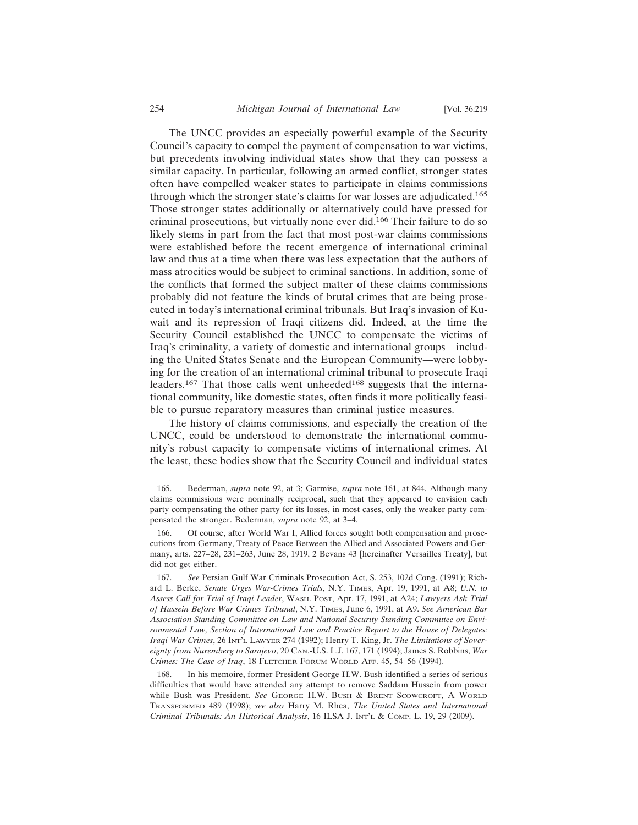The UNCC provides an especially powerful example of the Security Council's capacity to compel the payment of compensation to war victims, but precedents involving individual states show that they can possess a similar capacity. In particular, following an armed conflict, stronger states often have compelled weaker states to participate in claims commissions through which the stronger state's claims for war losses are adjudicated.<sup>165</sup> Those stronger states additionally or alternatively could have pressed for criminal prosecutions, but virtually none ever did.166 Their failure to do so likely stems in part from the fact that most post-war claims commissions were established before the recent emergence of international criminal law and thus at a time when there was less expectation that the authors of mass atrocities would be subject to criminal sanctions. In addition, some of the conflicts that formed the subject matter of these claims commissions probably did not feature the kinds of brutal crimes that are being prosecuted in today's international criminal tribunals. But Iraq's invasion of Kuwait and its repression of Iraqi citizens did. Indeed, at the time the Security Council established the UNCC to compensate the victims of Iraq's criminality, a variety of domestic and international groups—including the United States Senate and the European Community—were lobbying for the creation of an international criminal tribunal to prosecute Iraqi leaders.<sup>167</sup> That those calls went unheeded<sup>168</sup> suggests that the international community, like domestic states, often finds it more politically feasible to pursue reparatory measures than criminal justice measures.

The history of claims commissions, and especially the creation of the UNCC, could be understood to demonstrate the international community's robust capacity to compensate victims of international crimes. At the least, these bodies show that the Security Council and individual states

<sup>165.</sup> Bederman, *supra* note 92, at 3; Garmise, *supra* note 161, at 844. Although many claims commissions were nominally reciprocal, such that they appeared to envision each party compensating the other party for its losses, in most cases, only the weaker party compensated the stronger. Bederman, *supra* note 92, at 3–4.

Of course, after World War I, Allied forces sought both compensation and prosecutions from Germany, Treaty of Peace Between the Allied and Associated Powers and Germany, arts. 227–28, 231–263, June 28, 1919, 2 Bevans 43 [hereinafter Versailles Treaty], but did not get either.

<sup>167.</sup> *See* Persian Gulf War Criminals Prosecution Act, S. 253, 102d Cong. (1991); Richard L. Berke, *Senate Urges War-Crimes Trials*, N.Y. TIMES, Apr. 19, 1991, at A8; *U.N. to Assess Call for Trial of Iraqi Leader*, WASH. POST, Apr. 17, 1991, at A24; *Lawyers Ask Trial of Hussein Before War Crimes Tribunal*, N.Y. TIMES, June 6, 1991, at A9. *See American Bar Association Standing Committee on Law and National Security Standing Committee on Environmental Law, Section of International Law and Practice Report to the House of Delegates: Iraqi War Crimes*, 26 INT'L LAWYER 274 (1992); Henry T. King, Jr. *The Limitations of Sovereignty from Nuremberg to Sarajevo*, 20 CAN.-U.S. L.J. 167, 171 (1994); James S. Robbins, *War Crimes: The Case of Iraq*, 18 FLETCHER FORUM WORLD AFF. 45, 54–56 (1994).

<sup>168.</sup> In his memoire, former President George H.W. Bush identified a series of serious difficulties that would have attended any attempt to remove Saddam Hussein from power while Bush was President. *See* GEORGE H.W. BUSH & BRENT SCOWCROFT, A WORLD TRANSFORMED 489 (1998); *see also* Harry M. Rhea, *The United States and International Criminal Tribunals: An Historical Analysis*, 16 ILSA J. INT'L & COMP. L. 19, 29 (2009).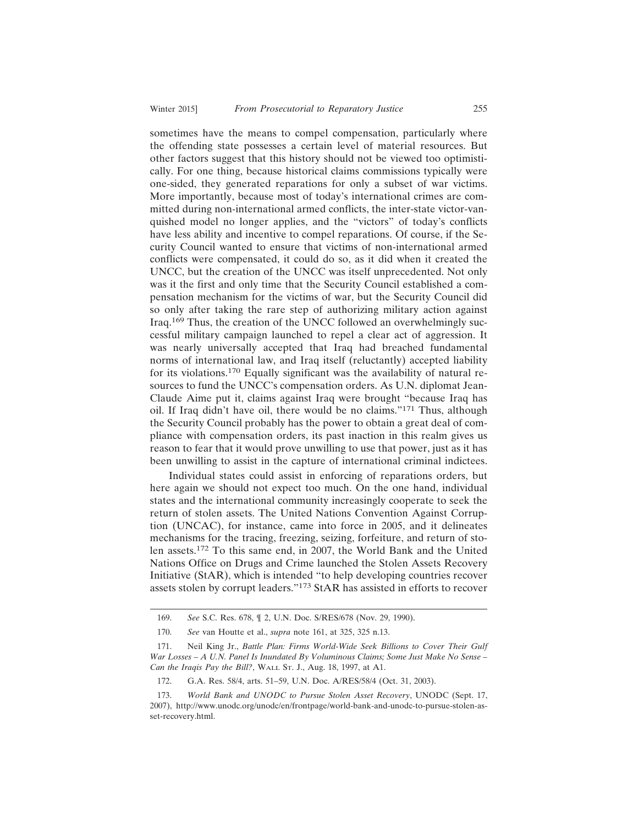sometimes have the means to compel compensation, particularly where the offending state possesses a certain level of material resources. But other factors suggest that this history should not be viewed too optimistically. For one thing, because historical claims commissions typically were one-sided, they generated reparations for only a subset of war victims. More importantly, because most of today's international crimes are committed during non-international armed conflicts, the inter-state victor-vanquished model no longer applies, and the "victors" of today's conflicts have less ability and incentive to compel reparations. Of course, if the Security Council wanted to ensure that victims of non-international armed conflicts were compensated, it could do so, as it did when it created the UNCC, but the creation of the UNCC was itself unprecedented. Not only was it the first and only time that the Security Council established a compensation mechanism for the victims of war, but the Security Council did so only after taking the rare step of authorizing military action against Iraq.169 Thus, the creation of the UNCC followed an overwhelmingly successful military campaign launched to repel a clear act of aggression. It was nearly universally accepted that Iraq had breached fundamental norms of international law, and Iraq itself (reluctantly) accepted liability for its violations.170 Equally significant was the availability of natural resources to fund the UNCC's compensation orders. As U.N. diplomat Jean-Claude Aime put it, claims against Iraq were brought "because Iraq has oil. If Iraq didn't have oil, there would be no claims."171 Thus, although the Security Council probably has the power to obtain a great deal of compliance with compensation orders, its past inaction in this realm gives us reason to fear that it would prove unwilling to use that power, just as it has been unwilling to assist in the capture of international criminal indictees.

Individual states could assist in enforcing of reparations orders, but here again we should not expect too much. On the one hand, individual states and the international community increasingly cooperate to seek the return of stolen assets. The United Nations Convention Against Corruption (UNCAC), for instance, came into force in 2005, and it delineates mechanisms for the tracing, freezing, seizing, forfeiture, and return of stolen assets.172 To this same end, in 2007, the World Bank and the United Nations Office on Drugs and Crime launched the Stolen Assets Recovery Initiative (StAR), which is intended "to help developing countries recover assets stolen by corrupt leaders."173 StAR has assisted in efforts to recover

<sup>169.</sup> *See* S.C. Res. 678, ¶ 2, U.N. Doc. S/RES/678 (Nov. 29, 1990).

<sup>170.</sup> *See* van Houtte et al., *supra* note 161, at 325, 325 n.13.

<sup>171.</sup> Neil King Jr., *Battle Plan: Firms World-Wide Seek Billions to Cover Their Gulf War Losses – A U.N. Panel Is Inundated By Voluminous Claims; Some Just Make No Sense – Can the Iraqis Pay the Bill?*, WALL ST. J., Aug. 18, 1997, at A1.

<sup>172.</sup> G.A. Res. 58/4, arts. 51–59, U.N. Doc. A/RES/58/4 (Oct. 31, 2003).

<sup>173.</sup> *World Bank and UNODC to Pursue Stolen Asset Recovery*, UNODC (Sept. 17, 2007), http://www.unodc.org/unodc/en/frontpage/world-bank-and-unodc-to-pursue-stolen-asset-recovery.html.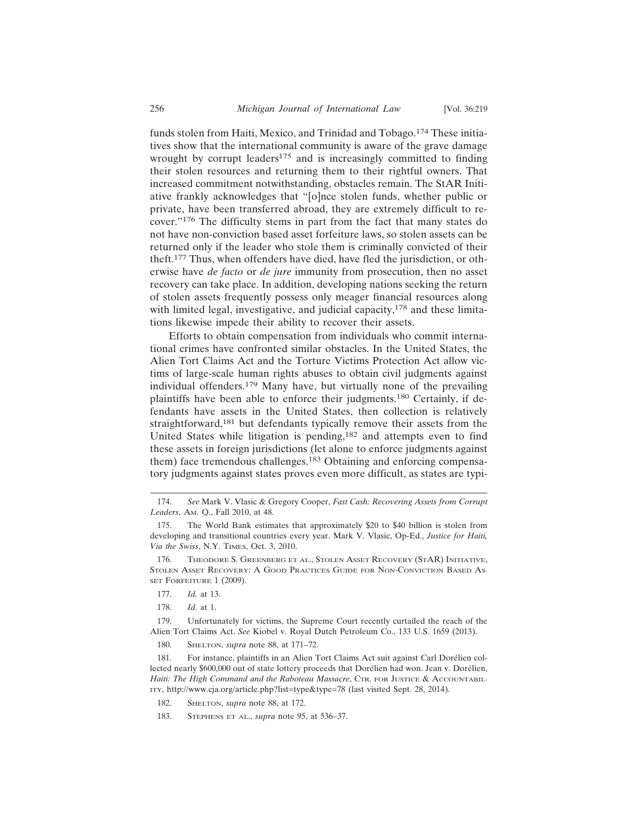funds stolen from Haiti, Mexico, and Trinidad and Tobago.174 These initiatives show that the international community is aware of the grave damage wrought by corrupt leaders $175$  and is increasingly committed to finding their stolen resources and returning them to their rightful owners. That increased commitment notwithstanding, obstacles remain. The StAR Initiative frankly acknowledges that "[o]nce stolen funds, whether public or private, have been transferred abroad, they are extremely difficult to recover."176 The difficulty stems in part from the fact that many states do not have non-conviction based asset forfeiture laws, so stolen assets can be returned only if the leader who stole them is criminally convicted of their theft.177 Thus, when offenders have died, have fled the jurisdiction, or otherwise have *de facto* or *de jure* immunity from prosecution, then no asset recovery can take place. In addition, developing nations seeking the return of stolen assets frequently possess only meager financial resources along with limited legal, investigative, and judicial capacity,<sup>178</sup> and these limitations likewise impede their ability to recover their assets.

Efforts to obtain compensation from individuals who commit international crimes have confronted similar obstacles. In the United States, the Alien Tort Claims Act and the Torture Victims Protection Act allow victims of large-scale human rights abuses to obtain civil judgments against individual offenders.179 Many have, but virtually none of the prevailing plaintiffs have been able to enforce their judgments.180 Certainly, if defendants have assets in the United States, then collection is relatively straightforward,<sup>181</sup> but defendants typically remove their assets from the United States while litigation is pending,182 and attempts even to find these assets in foreign jurisdictions (let alone to enforce judgments against them) face tremendous challenges.<sup>183</sup> Obtaining and enforcing compensatory judgments against states proves even more difficult, as states are typi-

- 177. *Id.* at 13.
- 178. *Id.* at 1.

179. Unfortunately for victims, the Supreme Court recently curtailed the reach of the Alien Tort Claims Act. *See* Kiobel v. Royal Dutch Petroleum Co., 133 U.S. 1659 (2013).

180. SHELTON, *supra* note 88, at 171–72.

181. For instance, plaintiffs in an Alien Tort Claims Act suit against Carl Dorélien collected nearly \$600,000 out of state lottery proceeds that Dorélien had won. Jean v. Dorélien, *Haiti: The High Command and the Raboteau Massacre*, CTR. FOR JUSTICE & ACCOUNTABIL-ITY, http://www.cja.org/article.php?list=type&type=78 (last visited Sept. 28, 2014).

183. STEPHENS ET AL., *supra* note 95, at 536–37.

<sup>174.</sup> *See* Mark V. Vlasic & Gregory Cooper, *Fast Cash: Recovering Assets from Corrupt Leaders*, AM. Q., Fall 2010, at 48.

<sup>175.</sup> The World Bank estimates that approximately \$20 to \$40 billion is stolen from developing and transitional countries every year. Mark V. Vlasic, Op-Ed., *Justice for Haiti, Via the Swiss*, N.Y. TIMES, Oct. 3, 2010.

<sup>176.</sup> THEODORE S. GREENBERG ET AL., STOLEN ASSET RECOVERY (STAR) INITIATIVE, STOLEN ASSET RECOVERY: A GOOD PRACTICES GUIDE FOR NON-CONVICTION BASED AS-SET FORFEITURE 1 (2009).

<sup>182.</sup> SHELTON, *supra* note 88, at 172.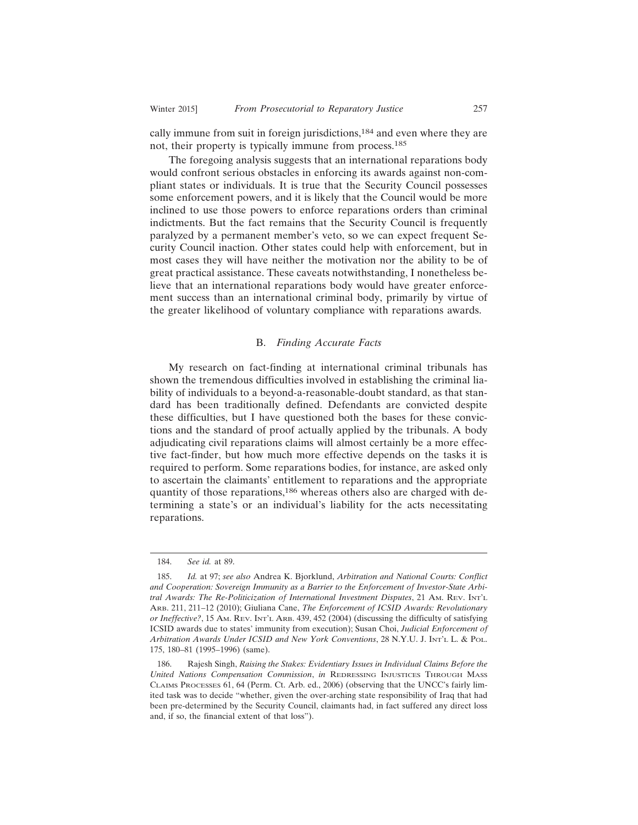cally immune from suit in foreign jurisdictions,184 and even where they are not, their property is typically immune from process.<sup>185</sup>

The foregoing analysis suggests that an international reparations body would confront serious obstacles in enforcing its awards against non-compliant states or individuals. It is true that the Security Council possesses some enforcement powers, and it is likely that the Council would be more inclined to use those powers to enforce reparations orders than criminal indictments. But the fact remains that the Security Council is frequently paralyzed by a permanent member's veto, so we can expect frequent Security Council inaction. Other states could help with enforcement, but in most cases they will have neither the motivation nor the ability to be of great practical assistance. These caveats notwithstanding, I nonetheless believe that an international reparations body would have greater enforcement success than an international criminal body, primarily by virtue of the greater likelihood of voluntary compliance with reparations awards.

#### B. *Finding Accurate Facts*

My research on fact-finding at international criminal tribunals has shown the tremendous difficulties involved in establishing the criminal liability of individuals to a beyond-a-reasonable-doubt standard, as that standard has been traditionally defined. Defendants are convicted despite these difficulties, but I have questioned both the bases for these convictions and the standard of proof actually applied by the tribunals. A body adjudicating civil reparations claims will almost certainly be a more effective fact-finder, but how much more effective depends on the tasks it is required to perform. Some reparations bodies, for instance, are asked only to ascertain the claimants' entitlement to reparations and the appropriate quantity of those reparations,<sup>186</sup> whereas others also are charged with determining a state's or an individual's liability for the acts necessitating reparations.

<sup>184.</sup> *See id.* at 89.

<sup>185.</sup> *Id.* at 97; *see also* Andrea K. Bjorklund, *Arbitration and National Courts: Conflict and Cooperation: Sovereign Immunity as a Barrier to the Enforcement of Investor-State Arbitral Awards: The Re-Politicization of International Investment Disputes*, 21 AM. REV. INT'L ARB. 211, 211–12 (2010); Giuliana Cane, *The Enforcement of ICSID Awards: Revolutionary or Ineffective?*, 15 AM. REV. INT'L ARB. 439, 452 (2004) (discussing the difficulty of satisfying ICSID awards due to states' immunity from execution); Susan Choi, *Judicial Enforcement of Arbitration Awards Under ICSID and New York Conventions*, 28 N.Y.U. J. INT'L L. & POL. 175, 180–81 (1995–1996) (same).

<sup>186.</sup> Rajesh Singh, *Raising the Stakes: Evidentiary Issues in Individual Claims Before the United Nations Compensation Commission*, *in* REDRESSING INJUSTICES THROUGH MASS CLAIMS PROCESSES 61, 64 (Perm. Ct. Arb. ed., 2006) (observing that the UNCC's fairly limited task was to decide "whether, given the over-arching state responsibility of Iraq that had been pre-determined by the Security Council, claimants had, in fact suffered any direct loss and, if so, the financial extent of that loss").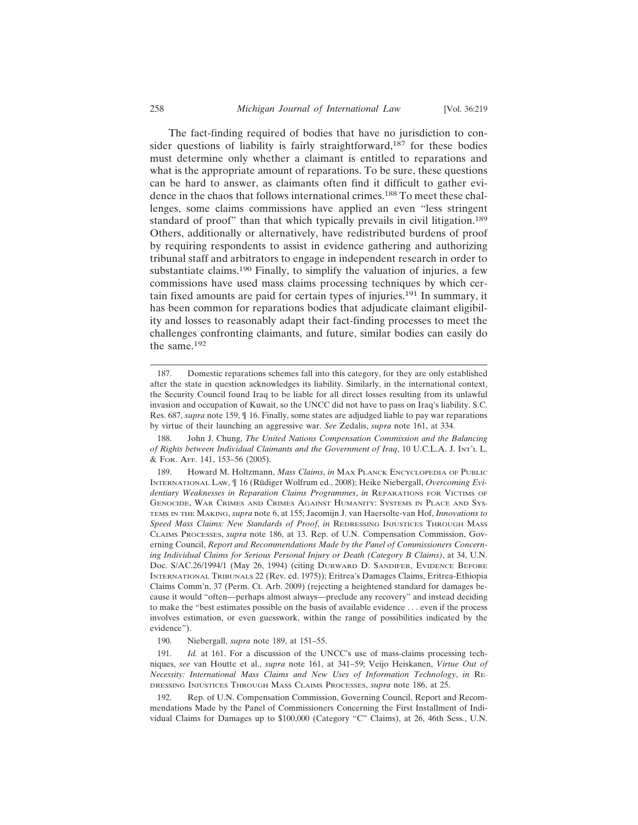The fact-finding required of bodies that have no jurisdiction to consider questions of liability is fairly straightforward,187 for these bodies must determine only whether a claimant is entitled to reparations and what is the appropriate amount of reparations. To be sure, these questions can be hard to answer, as claimants often find it difficult to gather evidence in the chaos that follows international crimes.<sup>188</sup> To meet these challenges, some claims commissions have applied an even "less stringent standard of proof" than that which typically prevails in civil litigation.<sup>189</sup> Others, additionally or alternatively, have redistributed burdens of proof by requiring respondents to assist in evidence gathering and authorizing tribunal staff and arbitrators to engage in independent research in order to substantiate claims.190 Finally, to simplify the valuation of injuries, a few commissions have used mass claims processing techniques by which certain fixed amounts are paid for certain types of injuries.191 In summary, it has been common for reparations bodies that adjudicate claimant eligibility and losses to reasonably adapt their fact-finding processes to meet the challenges confronting claimants, and future, similar bodies can easily do the same.<sup>192</sup>

191. *Id.* at 161. For a discussion of the UNCC's use of mass-claims processing techniques, *see* van Houtte et al., *supra* note 161, at 341–59; Veijo Heiskanen, *Virtue Out of Necessity: International Mass Claims and New Uses of Information Technology*, *in* RE-DRESSING INJUSTICES THROUGH MASS CLAIMS PROCESSES, *supra* note 186, at 25.

192. Rep. of U.N. Compensation Commission, Governing Council, Report and Recommendations Made by the Panel of Commissioners Concerning the First Installment of Individual Claims for Damages up to \$100,000 (Category "C" Claims), at 26, 46th Sess., U.N.

<sup>187.</sup> Domestic reparations schemes fall into this category, for they are only established after the state in question acknowledges its liability. Similarly, in the international context, the Security Council found Iraq to be liable for all direct losses resulting from its unlawful invasion and occupation of Kuwait, so the UNCC did not have to pass on Iraq's liability. S.C. Res. 687, *supra* note 159, ¶ 16. Finally, some states are adjudged liable to pay war reparations by virtue of their launching an aggressive war. *See* Zedalis, *supra* note 161, at 334.

<sup>188.</sup> John J. Chung, *The United Nations Compensation Commission and the Balancing of Rights between Individual Claimants and the Government of Iraq*, 10 U.C.L.A. J. INT'L L. & FOR. AFF. 141, 153–56 (2005).

<sup>189.</sup> Howard M. Holtzmann, *Mass Claims*, *in* MAX PLANCK ENCYCLOPEDIA OF PUBLIC INTERNATIONAL LAW,  $\parallel$  16 (Rüdiger Wolfrum ed., 2008); Heike Niebergall, *Overcoming Evidentiary Weaknesses in Reparation Claims Programmes*, *in* REPARATIONS FOR VICTIMS OF GENOCIDE, WAR CRIMES AND CRIMES AGAINST HUMANITY: SYSTEMS IN PLACE AND SYS-TEMS IN THE MAKING, *supra* note 6, at 155; Jacomijn J. van Haersolte-van Hof, *Innovations to Speed Mass Claims: New Standards of Proof*, *in* REDRESSING INJUSTICES THROUGH MASS CLAIMS PROCESSES, *supra* note 186, at 13. Rep. of U.N. Compensation Commission, Governing Council, *Report and Recommendations Made by the Panel of Commissioners Concerning Individual Claims for Serious Personal Injury or Death (Category B Claims)*, at 34, U.N. Doc. S/AC.26/1994/1 (May 26, 1994) (citing DURWARD D. SANDIFER, EVIDENCE BEFORE INTERNATIONAL TRIBUNALS 22 (Rev. ed. 1975)); Eritrea's Damages Claims, Eritrea-Ethiopia Claims Comm'n, 37 (Perm. Ct. Arb. 2009) (rejecting a heightened standard for damages because it would "often—perhaps almost always—preclude any recovery" and instead deciding to make the "best estimates possible on the basis of available evidence . . . even if the process involves estimation, or even guesswork, within the range of possibilities indicated by the evidence").

<sup>190.</sup> Niebergall, *supra* note 189, at 151–55.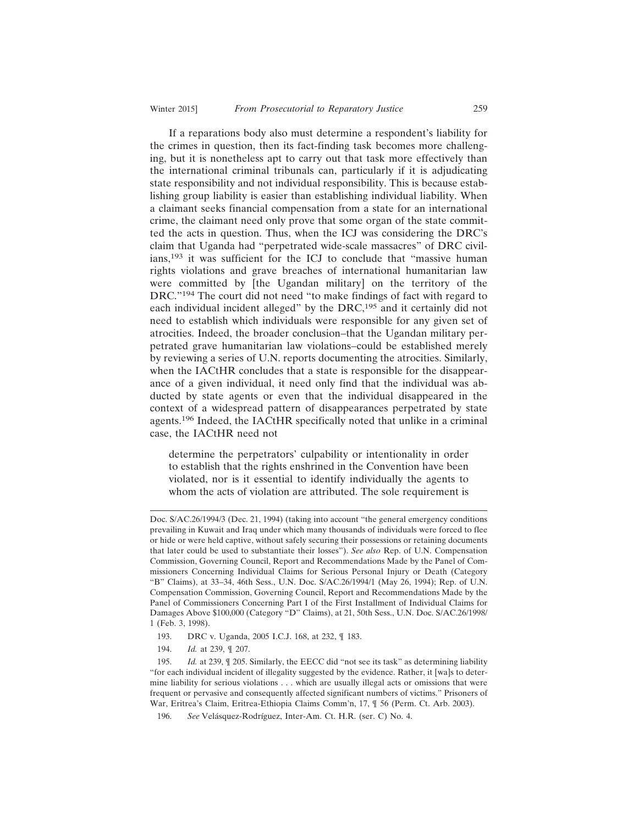If a reparations body also must determine a respondent's liability for the crimes in question, then its fact-finding task becomes more challenging, but it is nonetheless apt to carry out that task more effectively than the international criminal tribunals can, particularly if it is adjudicating state responsibility and not individual responsibility. This is because establishing group liability is easier than establishing individual liability. When a claimant seeks financial compensation from a state for an international crime, the claimant need only prove that some organ of the state committed the acts in question. Thus, when the ICJ was considering the DRC's claim that Uganda had "perpetrated wide-scale massacres" of DRC civilians,193 it was sufficient for the ICJ to conclude that "massive human rights violations and grave breaches of international humanitarian law were committed by [the Ugandan military] on the territory of the DRC."194 The court did not need "to make findings of fact with regard to each individual incident alleged" by the DRC,<sup>195</sup> and it certainly did not need to establish which individuals were responsible for any given set of atrocities. Indeed, the broader conclusion–that the Ugandan military perpetrated grave humanitarian law violations–could be established merely by reviewing a series of U.N. reports documenting the atrocities. Similarly, when the IACtHR concludes that a state is responsible for the disappearance of a given individual, it need only find that the individual was abducted by state agents or even that the individual disappeared in the context of a widespread pattern of disappearances perpetrated by state agents.196 Indeed, the IACtHR specifically noted that unlike in a criminal case, the IACtHR need not

determine the perpetrators' culpability or intentionality in order to establish that the rights enshrined in the Convention have been violated, nor is it essential to identify individually the agents to whom the acts of violation are attributed. The sole requirement is

- 193. DRC v. Uganda, 2005 I.C.J. 168, at 232, ¶ 183.
- 194. *Id.* at 239, ¶ 207.

195. *Id.* at 239, ¶ 205. Similarly, the EECC did "not see its task" as determining liability "for each individual incident of illegality suggested by the evidence. Rather, it [wa]s to determine liability for serious violations . . . which are usually illegal acts or omissions that were frequent or pervasive and consequently affected significant numbers of victims." Prisoners of War, Eritrea's Claim, Eritrea-Ethiopia Claims Comm'n, 17, ¶ 56 (Perm. Ct. Arb. 2003).

Doc. S/AC.26/1994/3 (Dec. 21, 1994) (taking into account "the general emergency conditions prevailing in Kuwait and Iraq under which many thousands of individuals were forced to flee or hide or were held captive, without safely securing their possessions or retaining documents that later could be used to substantiate their losses"). *See also* Rep. of U.N. Compensation Commission, Governing Council, Report and Recommendations Made by the Panel of Commissioners Concerning Individual Claims for Serious Personal Injury or Death (Category "B" Claims), at 33–34, 46th Sess., U.N. Doc. S/AC.26/1994/1 (May 26, 1994); Rep. of U.N. Compensation Commission, Governing Council, Report and Recommendations Made by the Panel of Commissioners Concerning Part I of the First Installment of Individual Claims for Damages Above \$100,000 (Category "D" Claims), at 21, 50th Sess., U.N. Doc. S/AC.26/1998/ 1 (Feb. 3, 1998).

<sup>196.</sup> *See* Velásquez-Rodríguez, Inter-Am. Ct. H.R. (ser. C) No. 4.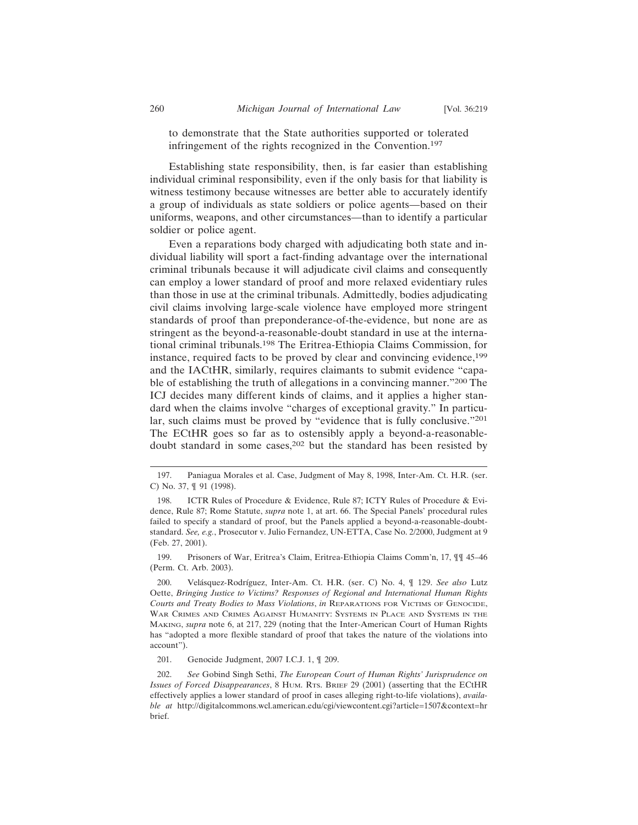to demonstrate that the State authorities supported or tolerated infringement of the rights recognized in the Convention.<sup>197</sup>

Establishing state responsibility, then, is far easier than establishing individual criminal responsibility, even if the only basis for that liability is witness testimony because witnesses are better able to accurately identify a group of individuals as state soldiers or police agents—based on their uniforms, weapons, and other circumstances—than to identify a particular soldier or police agent.

Even a reparations body charged with adjudicating both state and individual liability will sport a fact-finding advantage over the international criminal tribunals because it will adjudicate civil claims and consequently can employ a lower standard of proof and more relaxed evidentiary rules than those in use at the criminal tribunals. Admittedly, bodies adjudicating civil claims involving large-scale violence have employed more stringent standards of proof than preponderance-of-the-evidence, but none are as stringent as the beyond-a-reasonable-doubt standard in use at the international criminal tribunals.198 The Eritrea-Ethiopia Claims Commission, for instance, required facts to be proved by clear and convincing evidence,<sup>199</sup> and the IACtHR, similarly, requires claimants to submit evidence "capable of establishing the truth of allegations in a convincing manner."200 The ICJ decides many different kinds of claims, and it applies a higher standard when the claims involve "charges of exceptional gravity." In particular, such claims must be proved by "evidence that is fully conclusive."<sup>201</sup> The ECtHR goes so far as to ostensibly apply a beyond-a-reasonabledoubt standard in some cases,<sup>202</sup> but the standard has been resisted by

199. Prisoners of War, Eritrea's Claim, Eritrea-Ethiopia Claims Comm'n, 17, ¶¶ 45–46 (Perm. Ct. Arb. 2003).

201. Genocide Judgment, 2007 I.C.J. 1, ¶ 209.

202. *See* Gobind Singh Sethi, *The European Court of Human Rights' Jurisprudence on Issues of Forced Disappearances*, 8 HUM. RTS. BRIEF 29 (2001) (asserting that the ECtHR effectively applies a lower standard of proof in cases alleging right-to-life violations), *available at* http://digitalcommons.wcl.american.edu/cgi/viewcontent.cgi?article=1507&context=hr brief.

<sup>197.</sup> Paniagua Morales et al. Case, Judgment of May 8, 1998, Inter-Am. Ct. H.R. (ser. C) No. 37, ¶ 91 (1998).

<sup>198.</sup> ICTR Rules of Procedure & Evidence, Rule 87; ICTY Rules of Procedure & Evidence, Rule 87; Rome Statute, *supra* note 1, at art. 66. The Special Panels' procedural rules failed to specify a standard of proof, but the Panels applied a beyond-a-reasonable-doubtstandard. *See, e.g.*, Prosecutor v. Julio Fernandez, UN-ETTA, Case No. 2/2000, Judgment at 9 (Feb. 27, 2001).

<sup>200.</sup> Velásquez-Rodríguez, Inter-Am. Ct. H.R. (ser. C) No. 4, ¶ 129. See also Lutz Oette, *Bringing Justice to Victims? Responses of Regional and International Human Rights Courts and Treaty Bodies to Mass Violations*, *in* REPARATIONS FOR VICTIMS OF GENOCIDE, WAR CRIMES AND CRIMES AGAINST HUMANITY: SYSTEMS IN PLACE AND SYSTEMS IN THE MAKING, *supra* note 6, at 217, 229 (noting that the Inter-American Court of Human Rights has "adopted a more flexible standard of proof that takes the nature of the violations into account").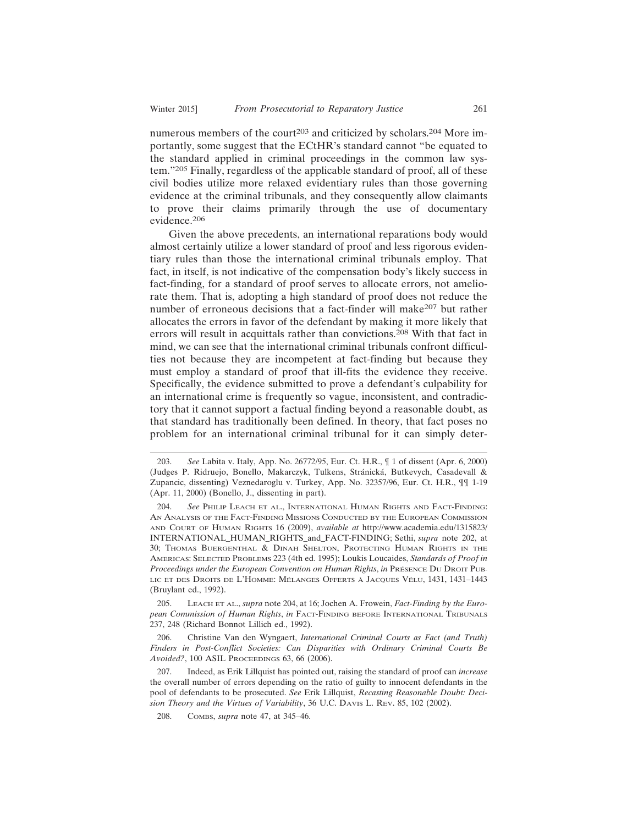numerous members of the court<sup>203</sup> and criticized by scholars.<sup>204</sup> More importantly, some suggest that the ECtHR's standard cannot "be equated to the standard applied in criminal proceedings in the common law system."205 Finally, regardless of the applicable standard of proof, all of these civil bodies utilize more relaxed evidentiary rules than those governing evidence at the criminal tribunals, and they consequently allow claimants to prove their claims primarily through the use of documentary evidence.206

Given the above precedents, an international reparations body would almost certainly utilize a lower standard of proof and less rigorous evidentiary rules than those the international criminal tribunals employ. That fact, in itself, is not indicative of the compensation body's likely success in fact-finding, for a standard of proof serves to allocate errors, not ameliorate them. That is, adopting a high standard of proof does not reduce the number of erroneous decisions that a fact-finder will make<sup>207</sup> but rather allocates the errors in favor of the defendant by making it more likely that errors will result in acquittals rather than convictions.208 With that fact in mind, we can see that the international criminal tribunals confront difficulties not because they are incompetent at fact-finding but because they must employ a standard of proof that ill-fits the evidence they receive. Specifically, the evidence submitted to prove a defendant's culpability for an international crime is frequently so vague, inconsistent, and contradictory that it cannot support a factual finding beyond a reasonable doubt, as that standard has traditionally been defined. In theory, that fact poses no problem for an international criminal tribunal for it can simply deter-

205. LEACH ET AL., *supra* note 204, at 16; Jochen A. Frowein, *Fact-Finding by the European Commission of Human Rights*, *in* FACT-FINDING BEFORE INTERNATIONAL TRIBUNALS 237, 248 (Richard Bonnot Lillich ed., 1992).

206. Christine Van den Wyngaert, *International Criminal Courts as Fact (and Truth) Finders in Post-Conflict Societies: Can Disparities with Ordinary Criminal Courts Be Avoided?*, 100 ASIL PROCEEDINGS 63, 66 (2006).

207. Indeed, as Erik Lillquist has pointed out, raising the standard of proof can *increase* the overall number of errors depending on the ratio of guilty to innocent defendants in the pool of defendants to be prosecuted. *See* Erik Lillquist, *Recasting Reasonable Doubt: Decision Theory and the Virtues of Variability*, 36 U.C. DAVIS L. REV. 85, 102 (2002).

208. COMBS, *supra* note 47, at 345–46.

<sup>203.</sup> *See* Labita v. Italy, App. No. 26772/95, Eur. Ct. H.R., ¶ 1 of dissent (Apr. 6, 2000) (Judges P. Ridruejo, Bonello, Makarczyk, Tulkens, Stránická, Butkevych, Casadevall & Zupancic, dissenting) Veznedaroglu v. Turkey, App. No. 32357/96, Eur. Ct. H.R., ¶¶ 1-19 (Apr. 11, 2000) (Bonello, J., dissenting in part).

<sup>204.</sup> *See* PHILIP LEACH ET AL., INTERNATIONAL HUMAN RIGHTS AND FACT-FINDING: AN ANALYSIS OF THE FACT-FINDING MISSIONS CONDUCTED BY THE EUROPEAN COMMISSION AND COURT OF HUMAN RIGHTS 16 (2009), *available at* http://www.academia.edu/1315823/ INTERNATIONAL\_HUMAN\_RIGHTS\_and\_FACT-FINDING; Sethi, *supra* note 202, at 30; THOMAS BUERGENTHAL & DINAH SHELTON, PROTECTING HUMAN RIGHTS IN THE AMERICAS: SELECTED PROBLEMS 223 (4th ed. 1995); Loukis Loucaides, *Standards of Proof in Proceedings under the European Convention on Human Rights, in* PRESENCE DU DROIT PUB-LIC ET DES DROITS DE L'HOMME: MÉLANGES OFFERTS À JACQUES VÉLU, 1431, 1431-1443 (Bruylant ed., 1992).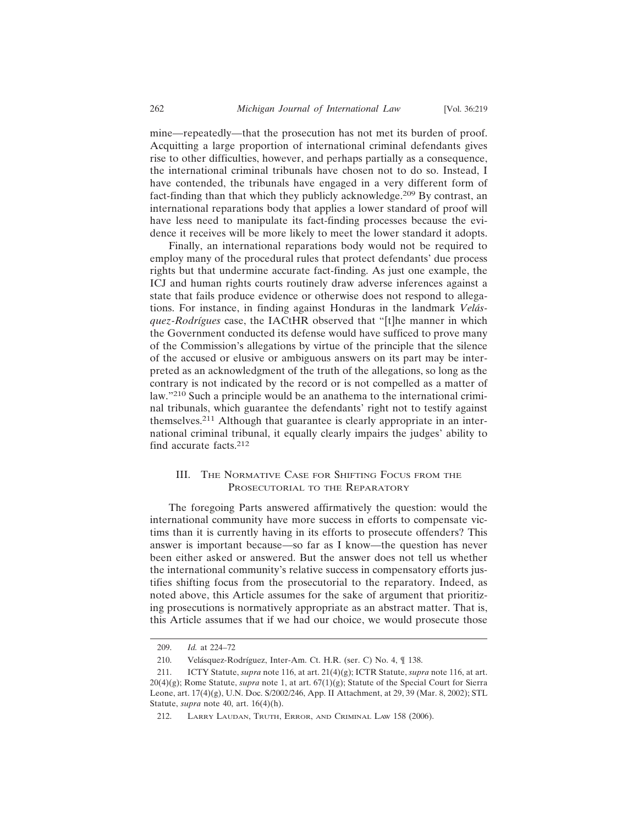mine—repeatedly—that the prosecution has not met its burden of proof. Acquitting a large proportion of international criminal defendants gives rise to other difficulties, however, and perhaps partially as a consequence, the international criminal tribunals have chosen not to do so. Instead, I have contended, the tribunals have engaged in a very different form of fact-finding than that which they publicly acknowledge.209 By contrast, an international reparations body that applies a lower standard of proof will have less need to manipulate its fact-finding processes because the evidence it receives will be more likely to meet the lower standard it adopts.

Finally, an international reparations body would not be required to employ many of the procedural rules that protect defendants' due process rights but that undermine accurate fact-finding. As just one example, the ICJ and human rights courts routinely draw adverse inferences against a state that fails produce evidence or otherwise does not respond to allegations. For instance, in finding against Honduras in the landmark *Velásquez-Rodrígues* case, the IACtHR observed that "[t]he manner in which the Government conducted its defense would have sufficed to prove many of the Commission's allegations by virtue of the principle that the silence of the accused or elusive or ambiguous answers on its part may be interpreted as an acknowledgment of the truth of the allegations, so long as the contrary is not indicated by the record or is not compelled as a matter of law."210 Such a principle would be an anathema to the international criminal tribunals, which guarantee the defendants' right not to testify against themselves.211 Although that guarantee is clearly appropriate in an international criminal tribunal, it equally clearly impairs the judges' ability to find accurate facts.<sup>212</sup>

# III. THE NORMATIVE CASE FOR SHIFTING FOCUS FROM THE PROSECUTORIAL TO THE REPARATORY

The foregoing Parts answered affirmatively the question: would the international community have more success in efforts to compensate victims than it is currently having in its efforts to prosecute offenders? This answer is important because—so far as I know—the question has never been either asked or answered. But the answer does not tell us whether the international community's relative success in compensatory efforts justifies shifting focus from the prosecutorial to the reparatory. Indeed, as noted above, this Article assumes for the sake of argument that prioritizing prosecutions is normatively appropriate as an abstract matter. That is, this Article assumes that if we had our choice, we would prosecute those

<sup>209.</sup> *Id.* at 224–72

<sup>210.</sup> Velásquez-Rodríguez, Inter-Am. Ct. H.R. (ser. C) No. 4,  $\P$  138.

<sup>211.</sup> ICTY Statute, *supra* note 116, at art. 21(4)(g); ICTR Statute, *supra* note 116, at art. 20(4)(g); Rome Statute, *supra* note 1, at art. 67(1)(g); Statute of the Special Court for Sierra Leone, art. 17(4)(g), U.N. Doc. S/2002/246, App. II Attachment, at 29, 39 (Mar. 8, 2002); STL Statute, *supra* note 40, art. 16(4)(h).

<sup>212.</sup> LARRY LAUDAN, TRUTH, ERROR, AND CRIMINAL LAW 158 (2006).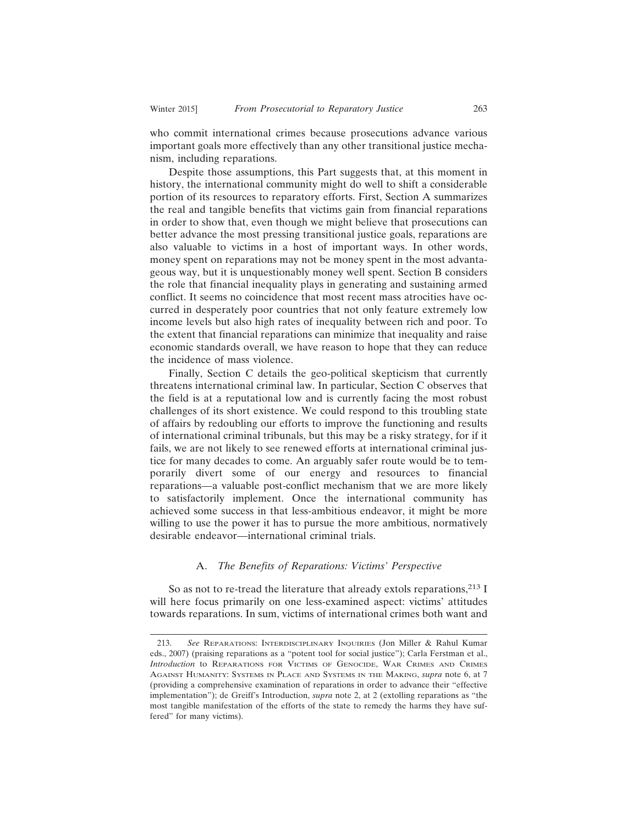who commit international crimes because prosecutions advance various important goals more effectively than any other transitional justice mechanism, including reparations.

Despite those assumptions, this Part suggests that, at this moment in history, the international community might do well to shift a considerable portion of its resources to reparatory efforts. First, Section A summarizes the real and tangible benefits that victims gain from financial reparations in order to show that, even though we might believe that prosecutions can better advance the most pressing transitional justice goals, reparations are also valuable to victims in a host of important ways. In other words, money spent on reparations may not be money spent in the most advantageous way, but it is unquestionably money well spent. Section B considers the role that financial inequality plays in generating and sustaining armed conflict. It seems no coincidence that most recent mass atrocities have occurred in desperately poor countries that not only feature extremely low income levels but also high rates of inequality between rich and poor. To the extent that financial reparations can minimize that inequality and raise economic standards overall, we have reason to hope that they can reduce the incidence of mass violence.

Finally, Section C details the geo-political skepticism that currently threatens international criminal law. In particular, Section C observes that the field is at a reputational low and is currently facing the most robust challenges of its short existence. We could respond to this troubling state of affairs by redoubling our efforts to improve the functioning and results of international criminal tribunals, but this may be a risky strategy, for if it fails, we are not likely to see renewed efforts at international criminal justice for many decades to come. An arguably safer route would be to temporarily divert some of our energy and resources to financial reparations—a valuable post-conflict mechanism that we are more likely to satisfactorily implement. Once the international community has achieved some success in that less-ambitious endeavor, it might be more willing to use the power it has to pursue the more ambitious, normatively desirable endeavor—international criminal trials.

#### A. *The Benefits of Reparations: Victims' Perspective*

So as not to re-tread the literature that already extols reparations,<sup>213</sup> I will here focus primarily on one less-examined aspect: victims' attitudes towards reparations. In sum, victims of international crimes both want and

<sup>213.</sup> *See* REPARATIONS: INTERDISCIPLINARY INQUIRIES (Jon Miller & Rahul Kumar eds., 2007) (praising reparations as a "potent tool for social justice"); Carla Ferstman et al., *Introduction* to REPARATIONS FOR VICTIMS OF GENOCIDE, WAR CRIMES AND CRIMES AGAINST HUMANITY: SYSTEMS IN PLACE AND SYSTEMS IN THE MAKING, *supra* note 6, at 7 (providing a comprehensive examination of reparations in order to advance their "effective implementation"); de Greiff's Introduction, *supra* note 2, at 2 (extolling reparations as "the most tangible manifestation of the efforts of the state to remedy the harms they have suffered" for many victims).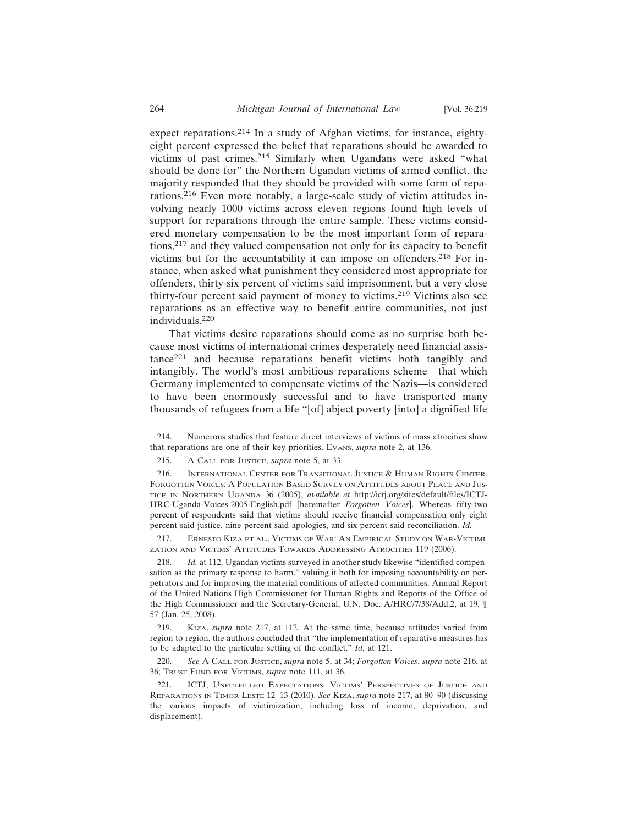expect reparations.<sup>214</sup> In a study of Afghan victims, for instance, eightyeight percent expressed the belief that reparations should be awarded to victims of past crimes.215 Similarly when Ugandans were asked "what should be done for" the Northern Ugandan victims of armed conflict, the majority responded that they should be provided with some form of reparations.216 Even more notably, a large-scale study of victim attitudes involving nearly 1000 victims across eleven regions found high levels of support for reparations through the entire sample. These victims considered monetary compensation to be the most important form of reparations,217 and they valued compensation not only for its capacity to benefit victims but for the accountability it can impose on offenders.<sup>218</sup> For instance, when asked what punishment they considered most appropriate for offenders, thirty-six percent of victims said imprisonment, but a very close thirty-four percent said payment of money to victims.219 Victims also see reparations as an effective way to benefit entire communities, not just individuals.220

That victims desire reparations should come as no surprise both because most victims of international crimes desperately need financial assistance221 and because reparations benefit victims both tangibly and intangibly. The world's most ambitious reparations scheme—that which Germany implemented to compensate victims of the Nazis—is considered to have been enormously successful and to have transported many thousands of refugees from a life "[of] abject poverty [into] a dignified life

217. ERNESTO KIZA ET AL., VICTIMS OF WAR: AN EMPIRICAL STUDY ON WAR-VICTIMI-ZATION AND VICTIMS' ATTITUDES TOWARDS ADDRESSING ATROCITIES 119 (2006).

218. *Id.* at 112. Ugandan victims surveyed in another study likewise "identified compensation as the primary response to harm," valuing it both for imposing accountability on perpetrators and for improving the material conditions of affected communities. Annual Report of the United Nations High Commissioner for Human Rights and Reports of the Office of the High Commissioner and the Secretary-General, U.N. Doc. A/HRC/7/38/Add.2, at 19, ¶ 57 (Jan. 25, 2008).

220. *See* A CALL FOR JUSTICE, *supra* note 5, at 34; *Forgotten Voices*, *supra* note 216, at 36; TRUST FUND FOR VICTIMS, *supra* note 111, at 36.

<sup>214.</sup> Numerous studies that feature direct interviews of victims of mass atrocities show that reparations are one of their key priorities. EVANS, *supra* note 2, at 136.

<sup>215.</sup> A CALL FOR JUSTICE, *supra* note 5, at 33.

<sup>216.</sup> INTERNATIONAL CENTER FOR TRANSITIONAL JUSTICE & HUMAN RIGHTS CENTER, FORGOTTEN VOICES: A POPULATION BASED SURVEY ON ATTITUDES ABOUT PEACE AND JUS-TICE IN NORTHERN UGANDA 36 (2005), *available at* http://ictj.org/sites/default/files/ICTJ-HRC-Uganda-Voices-2005-English.pdf [hereinafter *Forgotten Voices*]. Whereas fifty-two percent of respondents said that victims should receive financial compensation only eight percent said justice, nine percent said apologies, and six percent said reconciliation. *Id.*

<sup>219.</sup> KIZA, *supra* note 217, at 112. At the same time, because attitudes varied from region to region, the authors concluded that "the implementation of reparative measures has to be adapted to the particular setting of the conflict." *Id.* at 121.

<sup>221.</sup> ICTJ, UNFULFILLED EXPECTATIONS: VICTIMS' PERSPECTIVES OF JUSTICE AND REPARATIONS IN TIMOR-LESTE 12–13 (2010). *See* KIZA, *supra* note 217, at 80–90 (discussing the various impacts of victimization, including loss of income, deprivation, and displacement).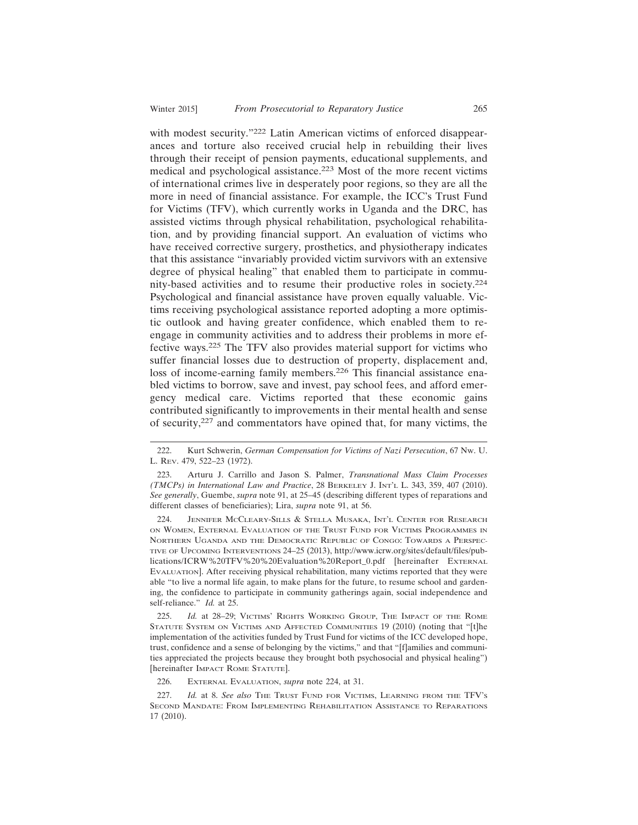with modest security."<sup>222</sup> Latin American victims of enforced disappearances and torture also received crucial help in rebuilding their lives through their receipt of pension payments, educational supplements, and medical and psychological assistance.223 Most of the more recent victims of international crimes live in desperately poor regions, so they are all the more in need of financial assistance. For example, the ICC's Trust Fund for Victims (TFV), which currently works in Uganda and the DRC, has assisted victims through physical rehabilitation, psychological rehabilitation, and by providing financial support. An evaluation of victims who have received corrective surgery, prosthetics, and physiotherapy indicates that this assistance "invariably provided victim survivors with an extensive degree of physical healing" that enabled them to participate in community-based activities and to resume their productive roles in society.<sup>224</sup> Psychological and financial assistance have proven equally valuable. Victims receiving psychological assistance reported adopting a more optimistic outlook and having greater confidence, which enabled them to reengage in community activities and to address their problems in more effective ways.225 The TFV also provides material support for victims who suffer financial losses due to destruction of property, displacement and, loss of income-earning family members.<sup>226</sup> This financial assistance enabled victims to borrow, save and invest, pay school fees, and afford emergency medical care. Victims reported that these economic gains contributed significantly to improvements in their mental health and sense of security,227 and commentators have opined that, for many victims, the

224. JENNIFER MCCLEARY-SILLS & STELLA MUSAKA, INT'L CENTER FOR RESEARCH ON WOMEN, EXTERNAL EVALUATION OF THE TRUST FUND FOR VICTIMS PROGRAMMES IN NORTHERN UGANDA AND THE DEMOCRATIC REPUBLIC OF CONGO: TOWARDS A PERSPEC-TIVE OF UPCOMING INTERVENTIONS 24–25 (2013), http://www.icrw.org/sites/default/files/publications/ICRW%20TFV%20%20Evaluation%20Report\_0.pdf [hereinafter EXTERNAL EVALUATION]. After receiving physical rehabilitation, many victims reported that they were able "to live a normal life again, to make plans for the future, to resume school and gardening, the confidence to participate in community gatherings again, social independence and self-reliance." *Id.* at 25.

225. *Id.* at 28–29; VICTIMS' RIGHTS WORKING GROUP, THE IMPACT OF THE ROME STATUTE SYSTEM ON VICTIMS AND AFFECTED COMMUNITIES 19 (2010) (noting that "[t]he implementation of the activities funded by Trust Fund for victims of the ICC developed hope, trust, confidence and a sense of belonging by the victims," and that "[f]amilies and communities appreciated the projects because they brought both psychosocial and physical healing") [hereinafter IMPACT ROME STATUTE].

226. EXTERNAL EVALUATION, *supra* note 224, at 31.

227. *Id.* at 8. *See also* THE TRUST FUND FOR VICTIMS, LEARNING FROM THE TFV'S SECOND MANDATE: FROM IMPLEMENTING REHABILITATION ASSISTANCE TO REPARATIONS 17 (2010).

<sup>222.</sup> Kurt Schwerin, *German Compensation for Victims of Nazi Persecution*, 67 NW. U. L. REV. 479, 522–23 (1972).

<sup>223.</sup> Arturu J. Carrillo and Jason S. Palmer, *Transnational Mass Claim Processes (TMCPs) in International Law and Practice*, 28 BERKELEY J. INT'L L. 343, 359, 407 (2010). *See generally*, Guembe, *supra* note 91, at 25–45 (describing different types of reparations and different classes of beneficiaries); Lira, *supra* note 91, at 56.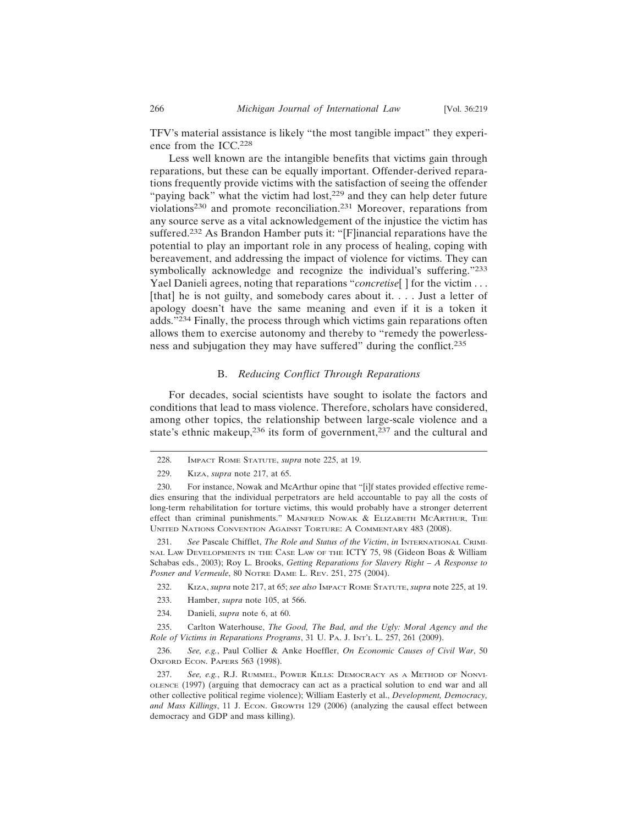TFV's material assistance is likely "the most tangible impact" they experience from the ICC.<sup>228</sup>

Less well known are the intangible benefits that victims gain through reparations, but these can be equally important. Offender-derived reparations frequently provide victims with the satisfaction of seeing the offender "paying back" what the victim had lost,<sup>229</sup> and they can help deter future violations230 and promote reconciliation.231 Moreover, reparations from any source serve as a vital acknowledgement of the injustice the victim has suffered.232 As Brandon Hamber puts it: "[F]inancial reparations have the potential to play an important role in any process of healing, coping with bereavement, and addressing the impact of violence for victims. They can symbolically acknowledge and recognize the individual's suffering."233 Yael Danieli agrees, noting that reparations "*concretise*<sup>[]</sup> for the victim . . . [that] he is not guilty, and somebody cares about it. . . . Just a letter of apology doesn't have the same meaning and even if it is a token it adds."234 Finally, the process through which victims gain reparations often allows them to exercise autonomy and thereby to "remedy the powerlessness and subjugation they may have suffered" during the conflict.<sup>235</sup>

#### B. *Reducing Conflict Through Reparations*

For decades, social scientists have sought to isolate the factors and conditions that lead to mass violence. Therefore, scholars have considered, among other topics, the relationship between large-scale violence and a state's ethnic makeup,<sup>236</sup> its form of government,<sup>237</sup> and the cultural and

- 233. Hamber, *supra* note 105, at 566.
- 234. Danieli, *supra* note 6, at 60.

235. Carlton Waterhouse, *The Good, The Bad, and the Ugly: Moral Agency and the Role of Victims in Reparations Programs*, 31 U. PA. J. INT'L L. 257, 261 (2009).

<sup>228.</sup> IMPACT ROME STATUTE, *supra* note 225, at 19.

<sup>229.</sup> KIZA, *supra* note 217, at 65.

<sup>230.</sup> For instance, Nowak and McArthur opine that "[i]f states provided effective remedies ensuring that the individual perpetrators are held accountable to pay all the costs of long-term rehabilitation for torture victims, this would probably have a stronger deterrent effect than criminal punishments." MANFRED NOWAK & ELIZABETH MCARTHUR, THE UNITED NATIONS CONVENTION AGAINST TORTURE: A COMMENTARY 483 (2008).

<sup>231.</sup> *See* Pascale Chifflet, *The Role and Status of the Victim*, *in* INTERNATIONAL CRIMI-NAL LAW DEVELOPMENTS IN THE CASE LAW OF THE ICTY 75, 98 (Gideon Boas & William Schabas eds., 2003); Roy L. Brooks, *Getting Reparations for Slavery Right – A Response to Posner and Vermeule*, 80 NOTRE DAME L. REV. 251, 275 (2004).

<sup>232.</sup> KIZA, *supra* note 217, at 65; *see also* IMPACT ROME STATUTE, *supra* note 225, at 19.

<sup>236.</sup> *See, e.g.*, Paul Collier & Anke Hoeffler, *On Economic Causes of Civil War*, 50 OXFORD ECON. PAPERS 563 (1998).

<sup>237.</sup> *See, e.g.*, R.J. RUMMEL, POWER KILLS: DEMOCRACY AS A METHOD OF NONVI-OLENCE (1997) (arguing that democracy can act as a practical solution to end war and all other collective political regime violence); William Easterly et al., *Development, Democracy, and Mass Killings*, 11 J. ECON. GROWTH 129 (2006) (analyzing the causal effect between democracy and GDP and mass killing).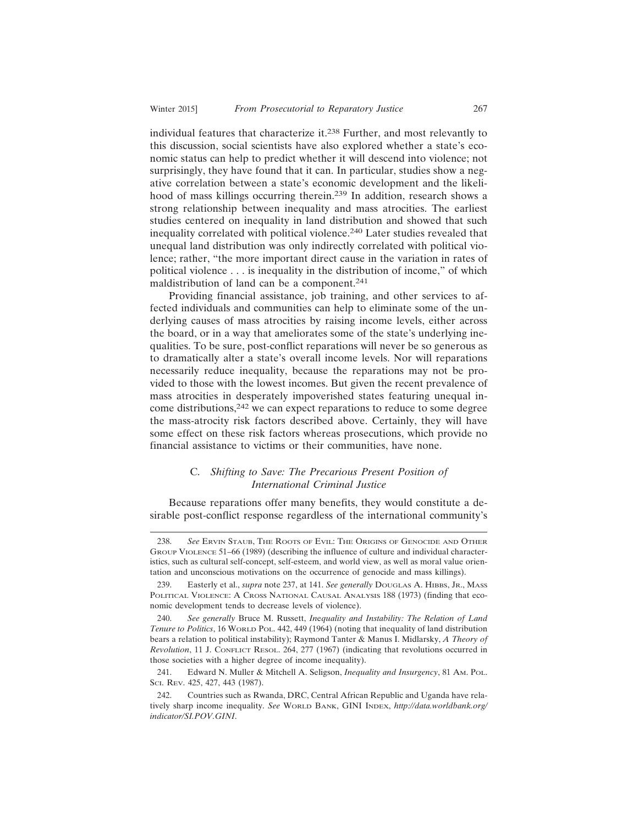individual features that characterize it.238 Further, and most relevantly to this discussion, social scientists have also explored whether a state's economic status can help to predict whether it will descend into violence; not surprisingly, they have found that it can. In particular, studies show a negative correlation between a state's economic development and the likelihood of mass killings occurring therein.239 In addition, research shows a strong relationship between inequality and mass atrocities. The earliest studies centered on inequality in land distribution and showed that such inequality correlated with political violence.240 Later studies revealed that unequal land distribution was only indirectly correlated with political violence; rather, "the more important direct cause in the variation in rates of political violence . . . is inequality in the distribution of income," of which maldistribution of land can be a component.<sup>241</sup>

Providing financial assistance, job training, and other services to affected individuals and communities can help to eliminate some of the underlying causes of mass atrocities by raising income levels, either across the board, or in a way that ameliorates some of the state's underlying inequalities. To be sure, post-conflict reparations will never be so generous as to dramatically alter a state's overall income levels. Nor will reparations necessarily reduce inequality, because the reparations may not be provided to those with the lowest incomes. But given the recent prevalence of mass atrocities in desperately impoverished states featuring unequal income distributions,242 we can expect reparations to reduce to some degree the mass-atrocity risk factors described above. Certainly, they will have some effect on these risk factors whereas prosecutions, which provide no financial assistance to victims or their communities, have none.

# C. *Shifting to Save: The Precarious Present Position of International Criminal Justice*

Because reparations offer many benefits, they would constitute a desirable post-conflict response regardless of the international community's

<sup>238.</sup> *See* ERVIN STAUB, THE ROOTS OF EVIL: THE ORIGINS OF GENOCIDE AND OTHER GROUP VIOLENCE 51–66 (1989) (describing the influence of culture and individual characteristics, such as cultural self-concept, self-esteem, and world view, as well as moral value orientation and unconscious motivations on the occurrence of genocide and mass killings).

<sup>239.</sup> Easterly et al., *supra* note 237, at 141. *See generally* DOUGLAS A. HIBBS, JR., MASS POLITICAL VIOLENCE: A CROSS NATIONAL CAUSAL ANALYSIS 188 (1973) (finding that economic development tends to decrease levels of violence).

<sup>240.</sup> *See generally* Bruce M. Russett, *In*e*quality and Instability: The Relation of Land Tenure to Politics*, 16 WORLD POL. 442, 449 (1964) (noting that inequality of land distribution bears a relation to political instability); Raymond Tanter & Manus I. Midlarsky, *A Theory of Revolution*, 11 J. CONFLICT RESOL. 264, 277 (1967) (indicating that revolutions occurred in those societies with a higher degree of income inequality).

<sup>241.</sup> Edward N. Muller & Mitchell A. Seligson, *Inequality and Insurgency*, 81 AM. POL. SCI. REV. 425, 427, 443 (1987).

<sup>242.</sup> Countries such as Rwanda, DRC, Central African Republic and Uganda have relatively sharp income inequality. *See* WORLD BANK, GINI INDEX, *http://data.worldbank.org/ indicator/SI.POV.GINI*.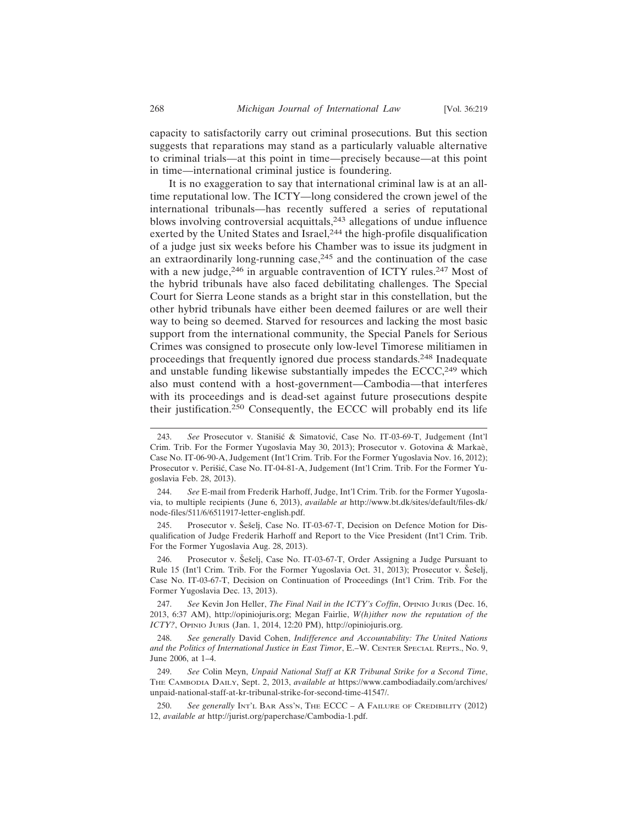capacity to satisfactorily carry out criminal prosecutions. But this section suggests that reparations may stand as a particularly valuable alternative to criminal trials—at this point in time—precisely because—at this point in time—international criminal justice is foundering.

It is no exaggeration to say that international criminal law is at an alltime reputational low. The ICTY—long considered the crown jewel of the international tribunals—has recently suffered a series of reputational blows involving controversial acquittals,<sup>243</sup> allegations of undue influence exerted by the United States and Israel,<sup>244</sup> the high-profile disqualification of a judge just six weeks before his Chamber was to issue its judgment in an extraordinarily long-running case, $245$  and the continuation of the case with a new judge,<sup>246</sup> in arguable contravention of ICTY rules.<sup>247</sup> Most of the hybrid tribunals have also faced debilitating challenges. The Special Court for Sierra Leone stands as a bright star in this constellation, but the other hybrid tribunals have either been deemed failures or are well their way to being so deemed. Starved for resources and lacking the most basic support from the international community, the Special Panels for Serious Crimes was consigned to prosecute only low-level Timorese militiamen in proceedings that frequently ignored due process standards.248 Inadequate and unstable funding likewise substantially impedes the ECCC,<sup>249</sup> which also must contend with a host-government—Cambodia—that interferes with its proceedings and is dead-set against future prosecutions despite their justification.250 Consequently, the ECCC will probably end its life

245. Prosecutor v. Šešelj, Case No. IT-03-67-T, Decision on Defence Motion for Disqualification of Judge Frederik Harhoff and Report to the Vice President (Int'l Crim. Trib. For the Former Yugoslavia Aug. 28, 2013).

246. Prosecutor v. Šešelj, Case No. IT-03-67-T, Order Assigning a Judge Pursuant to Rule 15 (Int'l Crim. Trib. For the Former Yugoslavia Oct. 31, 2013); Prosecutor v. Sešelj, Case No. IT-03-67-T, Decision on Continuation of Proceedings (Int'l Crim. Trib. For the Former Yugoslavia Dec. 13, 2013).

247. *See* Kevin Jon Heller, *The Final Nail in the ICTY's Coffin*, OPINIO JURIS (Dec. 16, 2013, 6:37 AM), http://opiniojuris.org; Megan Fairlie, *W(h)ither now the reputation of the ICTY?*, OPINIO JURIS (Jan. 1, 2014, 12:20 PM), http://opiniojuris.org.

248. *See generally* David Cohen, *Indifference and Accountability: The United Nations and the Politics of International Justice in East Timor*, E.–W. CENTER SPECIAL REPTS., No. 9, June 2006, at 1–4.

249. *See* Colin Meyn, *Unpaid National Staff at KR Tribunal Strike for a Second Time*, THE CAMBODIA DAILY, Sept. 2, 2013, *available at* https://www.cambodiadaily.com/archives/ unpaid-national-staff-at-kr-tribunal-strike-for-second-time-41547/.

250. *See generally* INT'L BAR ASS'N, THE ECCC – A FAILURE OF CREDIBILITY (2012) 12, *available at* http://jurist.org/paperchase/Cambodia-1.pdf.

<sup>243.</sup> See Prosecutor v. Stanišić & Simatović, Case No. IT-03-69-T, Judgement (Int'l Crim. Trib. For the Former Yugoslavia May 30, 2013); Prosecutor v. Gotovina & Markaè, Case No. IT-06-90-A, Judgement (Int'l Crim. Trib. For the Former Yugoslavia Nov. 16, 2012); Prosecutor v. Perišić, Case No. IT-04-81-A, Judgement (Int'l Crim. Trib. For the Former Yugoslavia Feb. 28, 2013).

<sup>244.</sup> *See* E-mail from Frederik Harhoff, Judge, Int'l Crim. Trib. for the Former Yugoslavia, to multiple recipients (June 6, 2013), *available at* http://www.bt.dk/sites/default/files-dk/ node-files/511/6/6511917-letter-english.pdf.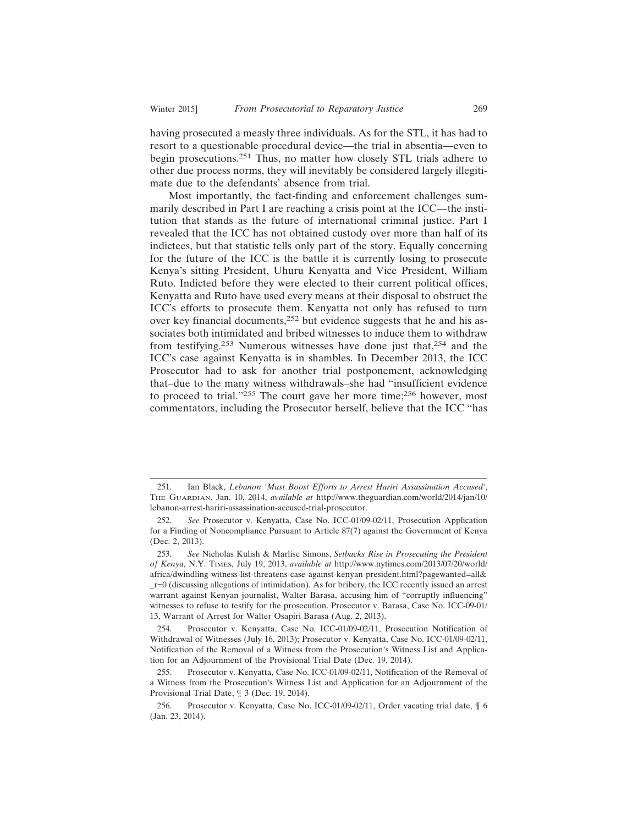having prosecuted a measly three individuals. As for the STL, it has had to resort to a questionable procedural device—the trial in absentia—even to begin prosecutions.251 Thus, no matter how closely STL trials adhere to other due process norms, they will inevitably be considered largely illegiti-

mate due to the defendants' absence from trial. Most importantly, the fact-finding and enforcement challenges summarily described in Part I are reaching a crisis point at the ICC—the institution that stands as the future of international criminal justice. Part I revealed that the ICC has not obtained custody over more than half of its indictees, but that statistic tells only part of the story. Equally concerning for the future of the ICC is the battle it is currently losing to prosecute Kenya's sitting President, Uhuru Kenyatta and Vice President, William Ruto. Indicted before they were elected to their current political offices, Kenyatta and Ruto have used every means at their disposal to obstruct the ICC's efforts to prosecute them. Kenyatta not only has refused to turn over key financial documents,<sup>252</sup> but evidence suggests that he and his associates both intimidated and bribed witnesses to induce them to withdraw from testifying.<sup>253</sup> Numerous witnesses have done just that,<sup>254</sup> and the ICC's case against Kenyatta is in shambles. In December 2013, the ICC Prosecutor had to ask for another trial postponement, acknowledging that–due to the many witness withdrawals–she had "insufficient evidence to proceed to trial."255 The court gave her more time;<sup>256</sup> however, most commentators, including the Prosecutor herself, believe that the ICC "has

<sup>251.</sup> Ian Black, *Lebanon 'Must Boost Efforts to Arrest Hariri Assassination Accused'*, THE GUARDIAN, Jan. 10, 2014, *available at* http://www.theguardian.com/world/2014/jan/10/ lebanon-arrest-hariri-assassination-accused-trial-prosecutor.

<sup>252.</sup> *See* Prosecutor v. Kenyatta, Case No. ICC-01/09-02/11, Prosecution Application for a Finding of Noncompliance Pursuant to Article 87(7) against the Government of Kenya (Dec. 2, 2013).

<sup>253.</sup> *See* Nicholas Kulish & Marlise Simons, *Setbacks Rise in Prosecuting the President of Kenya*, N.Y. TIMES, July 19, 2013, *available at* http://www.nytimes.com/2013/07/20/world/ africa/dwindling-witness-list-threatens-case-against-kenyan-president.html?pagewanted=all& \_r=0 (discussing allegations of intimidation). As for bribery, the ICC recently issued an arrest warrant against Kenyan journalist, Walter Barasa, accusing him of "corruptly influencing" witnesses to refuse to testify for the prosecution. Prosecutor v. Barasa, Case No. ICC-09-01/ 13, Warrant of Arrest for Walter Osapiri Barasa (Aug. 2, 2013).

<sup>254.</sup> Prosecutor v. Kenyatta, Case No. ICC-01/09-02/11, Prosecution Notification of Withdrawal of Witnesses (July 16, 2013); Prosecutor v. Kenyatta, Case No. ICC-01/09-02/11, Notification of the Removal of a Witness from the Prosecution's Witness List and Application for an Adjournment of the Provisional Trial Date (Dec. 19, 2014).

<sup>255.</sup> Prosecutor v. Kenyatta, Case No. ICC-01/09-02/11, Notification of the Removal of a Witness from the Prosecution's Witness List and Application for an Adjournment of the Provisional Trial Date, ¶ 3 (Dec. 19, 2014).

<sup>256.</sup> Prosecutor v. Kenyatta, Case No. ICC-01/09-02/11, Order vacating trial date, ¶ 6 (Jan. 23, 2014).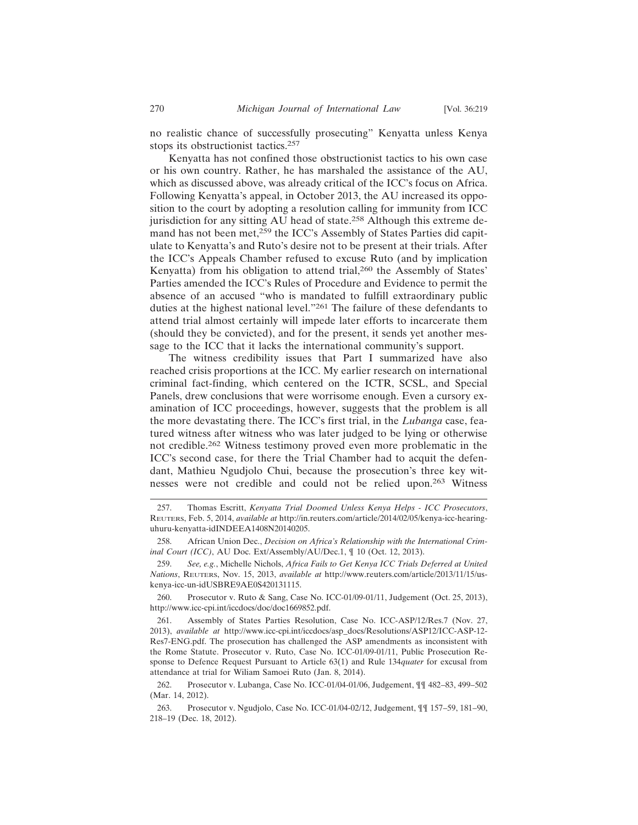no realistic chance of successfully prosecuting" Kenyatta unless Kenya stops its obstructionist tactics.<sup>257</sup>

Kenyatta has not confined those obstructionist tactics to his own case or his own country. Rather, he has marshaled the assistance of the AU, which as discussed above, was already critical of the ICC's focus on Africa. Following Kenyatta's appeal, in October 2013, the AU increased its opposition to the court by adopting a resolution calling for immunity from ICC jurisdiction for any sitting AU head of state.<sup>258</sup> Although this extreme demand has not been met,<sup>259</sup> the ICC's Assembly of States Parties did capitulate to Kenyatta's and Ruto's desire not to be present at their trials. After the ICC's Appeals Chamber refused to excuse Ruto (and by implication Kenyatta) from his obligation to attend trial,<sup>260</sup> the Assembly of States' Parties amended the ICC's Rules of Procedure and Evidence to permit the absence of an accused "who is mandated to fulfill extraordinary public duties at the highest national level."261 The failure of these defendants to attend trial almost certainly will impede later efforts to incarcerate them (should they be convicted), and for the present, it sends yet another message to the ICC that it lacks the international community's support.

The witness credibility issues that Part I summarized have also reached crisis proportions at the ICC. My earlier research on international criminal fact-finding, which centered on the ICTR, SCSL, and Special Panels, drew conclusions that were worrisome enough. Even a cursory examination of ICC proceedings, however, suggests that the problem is all the more devastating there. The ICC's first trial, in the *Lubanga* case, featured witness after witness who was later judged to be lying or otherwise not credible.262 Witness testimony proved even more problematic in the ICC's second case, for there the Trial Chamber had to acquit the defendant, Mathieu Ngudjolo Chui, because the prosecution's three key witnesses were not credible and could not be relied upon.263 Witness

<sup>257.</sup> Thomas Escritt, *Kenyatta Trial Doomed Unless Kenya Helps - ICC Prosecutors*, REUTERS, Feb. 5, 2014, *available at* http://in.reuters.com/article/2014/02/05/kenya-icc-hearinguhuru-kenyatta-idINDEEA1408N20140205.

<sup>258.</sup> African Union Dec., *Decision on Africa's Relationship with the International Criminal Court (ICC)*, AU Doc. Ext/Assembly/AU/Dec.1, ¶ 10 (Oct. 12, 2013).

<sup>259.</sup> *See, e.g.*, Michelle Nichols, *Africa Fails to Get Kenya ICC Trials Deferred at United Nations*, REUTERS, Nov. 15, 2013, *available at* http://www.reuters.com/article/2013/11/15/uskenya-icc-un-idUSBRE9AE0S420131115.

<sup>260.</sup> Prosecutor v. Ruto & Sang, Case No. ICC-01/09-01/11, Judgement (Oct. 25, 2013), http://www.icc-cpi.int/iccdocs/doc/doc1669852.pdf.

<sup>261.</sup> Assembly of States Parties Resolution, Case No. ICC-ASP/12/Res.7 (Nov. 27, 2013), *available at* http://www.icc-cpi.int/iccdocs/asp\_docs/Resolutions/ASP12/ICC-ASP-12- Res7-ENG.pdf. The prosecution has challenged the ASP amendments as inconsistent with the Rome Statute. Prosecutor v. Ruto, Case No. ICC-01/09-01/11, Public Prosecution Response to Defence Request Pursuant to Article 63(1) and Rule 134*quater* for excusal from attendance at trial for Wiliam Samoei Ruto (Jan. 8, 2014).

<sup>262.</sup> Prosecutor v. Lubanga, Case No. ICC-01/04-01/06, Judgement, ¶¶ 482–83, 499–502 (Mar. 14, 2012).

<sup>263.</sup> Prosecutor v. Ngudjolo, Case No. ICC-01/04-02/12, Judgement, ¶¶ 157–59, 181–90, 218–19 (Dec. 18, 2012).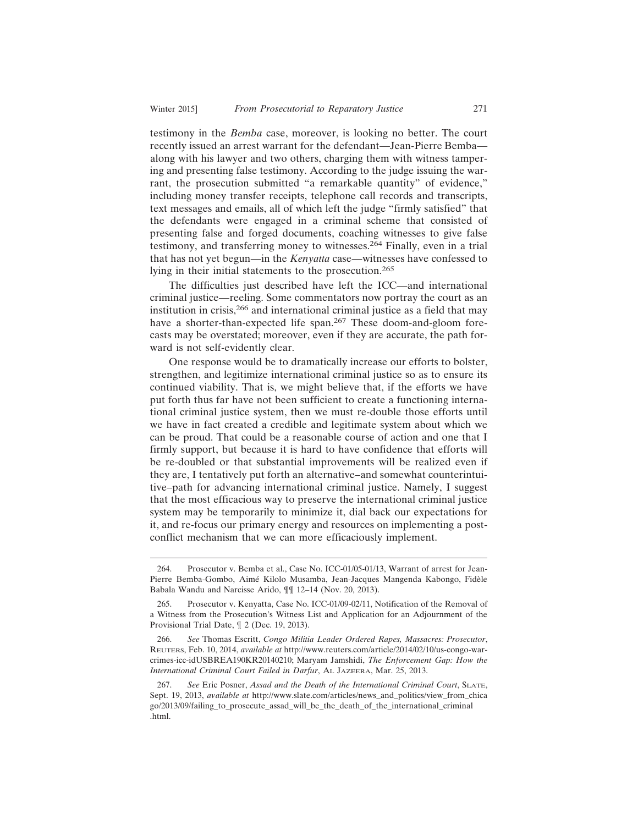testimony in the *Bemba* case, moreover, is looking no better. The court recently issued an arrest warrant for the defendant—Jean-Pierre Bemba along with his lawyer and two others, charging them with witness tampering and presenting false testimony. According to the judge issuing the warrant, the prosecution submitted "a remarkable quantity" of evidence," including money transfer receipts, telephone call records and transcripts, text messages and emails, all of which left the judge "firmly satisfied" that the defendants were engaged in a criminal scheme that consisted of presenting false and forged documents, coaching witnesses to give false testimony, and transferring money to witnesses.<sup>264</sup> Finally, even in a trial that has not yet begun—in the *Kenyatta* case—witnesses have confessed to lying in their initial statements to the prosecution.<sup>265</sup>

The difficulties just described have left the ICC—and international criminal justice—reeling. Some commentators now portray the court as an institution in crisis,266 and international criminal justice as a field that may have a shorter-than-expected life span.<sup>267</sup> These doom-and-gloom forecasts may be overstated; moreover, even if they are accurate, the path forward is not self-evidently clear.

One response would be to dramatically increase our efforts to bolster, strengthen, and legitimize international criminal justice so as to ensure its continued viability. That is, we might believe that, if the efforts we have put forth thus far have not been sufficient to create a functioning international criminal justice system, then we must re-double those efforts until we have in fact created a credible and legitimate system about which we can be proud. That could be a reasonable course of action and one that I firmly support, but because it is hard to have confidence that efforts will be re-doubled or that substantial improvements will be realized even if they are, I tentatively put forth an alternative–and somewhat counterintuitive–path for advancing international criminal justice. Namely, I suggest that the most efficacious way to preserve the international criminal justice system may be temporarily to minimize it, dial back our expectations for it, and re-focus our primary energy and resources on implementing a postconflict mechanism that we can more efficaciously implement.

<sup>264.</sup> Prosecutor v. Bemba et al., Case No. ICC-01/05-01/13, Warrant of arrest for Jean-Pierre Bemba-Gombo, Aimé Kilolo Musamba, Jean-Jacques Mangenda Kabongo, Fidèle Babala Wandu and Narcisse Arido, ¶¶ 12–14 (Nov. 20, 2013).

<sup>265.</sup> Prosecutor v. Kenyatta, Case No. ICC-01/09-02/11, Notification of the Removal of a Witness from the Prosecution's Witness List and Application for an Adjournment of the Provisional Trial Date, ¶ 2 (Dec. 19, 2013).

<sup>266.</sup> *See* Thomas Escritt, *Congo Militia Leader Ordered Rapes, Massacres: Prosecutor*, REUTERS, Feb. 10, 2014, *available at* http://www.reuters.com/article/2014/02/10/us-congo-warcrimes-icc-idUSBREA190KR20140210; Maryam Jamshidi, *The Enforcement Gap: How the International Criminal Court Failed in Darfur*, AL JAZEERA, Mar. 25, 2013.

<sup>267.</sup> *See* Eric Posner, *Assad and the Death of the International Criminal Court*, SLATE, Sept. 19, 2013, *available at* http://www.slate.com/articles/news\_and\_politics/view\_from\_chica go/2013/09/failing\_to\_prosecute\_assad\_will\_be\_the\_death\_of\_the\_international\_criminal .html.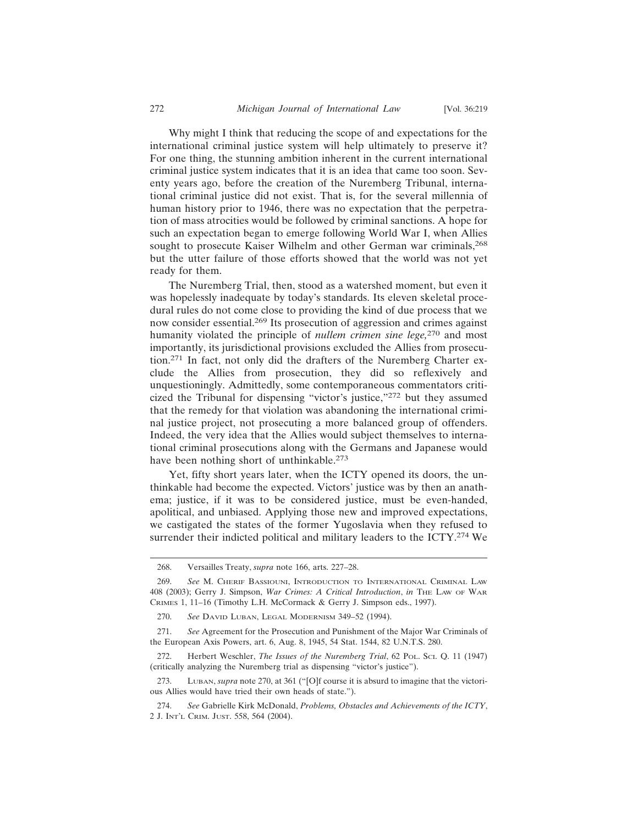Why might I think that reducing the scope of and expectations for the international criminal justice system will help ultimately to preserve it? For one thing, the stunning ambition inherent in the current international criminal justice system indicates that it is an idea that came too soon. Seventy years ago, before the creation of the Nuremberg Tribunal, international criminal justice did not exist. That is, for the several millennia of human history prior to 1946, there was no expectation that the perpetration of mass atrocities would be followed by criminal sanctions. A hope for such an expectation began to emerge following World War I, when Allies sought to prosecute Kaiser Wilhelm and other German war criminals,<sup>268</sup> but the utter failure of those efforts showed that the world was not yet ready for them.

The Nuremberg Trial, then, stood as a watershed moment, but even it was hopelessly inadequate by today's standards. Its eleven skeletal procedural rules do not come close to providing the kind of due process that we now consider essential.269 Its prosecution of aggression and crimes against humanity violated the principle of *nullem crimen sine lege,*270 and most importantly, its jurisdictional provisions excluded the Allies from prosecution.271 In fact, not only did the drafters of the Nuremberg Charter exclude the Allies from prosecution, they did so reflexively and unquestioningly. Admittedly, some contemporaneous commentators criticized the Tribunal for dispensing "victor's justice,"272 but they assumed that the remedy for that violation was abandoning the international criminal justice project, not prosecuting a more balanced group of offenders. Indeed, the very idea that the Allies would subject themselves to international criminal prosecutions along with the Germans and Japanese would have been nothing short of unthinkable.<sup>273</sup>

Yet, fifty short years later, when the ICTY opened its doors, the unthinkable had become the expected. Victors' justice was by then an anathema; justice, if it was to be considered justice, must be even-handed, apolitical, and unbiased. Applying those new and improved expectations, we castigated the states of the former Yugoslavia when they refused to surrender their indicted political and military leaders to the ICTY.<sup>274</sup> We

<sup>268.</sup> Versailles Treaty, *supra* note 166, arts. 227–28.

<sup>269.</sup> *See* M. CHERIF BASSIOUNI, INTRODUCTION TO INTERNATIONAL CRIMINAL LAW 408 (2003); Gerry J. Simpson, *War Crimes: A Critical Introduction*, *in* THE LAW OF WAR CRIMES 1, 11–16 (Timothy L.H. McCormack & Gerry J. Simpson eds., 1997).

<sup>270.</sup> *See* DAVID LUBAN, LEGAL MODERNISM 349–52 (1994).

<sup>271.</sup> *See* Agreement for the Prosecution and Punishment of the Major War Criminals of the European Axis Powers, art. 6, Aug. 8, 1945, 54 Stat. 1544, 82 U.N.T.S. 280.

<sup>272.</sup> Herbert Weschler, *The Issues of the Nuremberg Trial*, 62 POL. SCI. Q. 11 (1947) (critically analyzing the Nuremberg trial as dispensing "victor's justice").

<sup>273.</sup> LUBAN, *supra* note 270, at 361 ("[O]f course it is absurd to imagine that the victorious Allies would have tried their own heads of state.").

<sup>274.</sup> *See* Gabrielle Kirk McDonald, *Problems, Obstacles and Achievements of the ICTY*, 2 J. INT'L CRIM. JUST. 558, 564 (2004).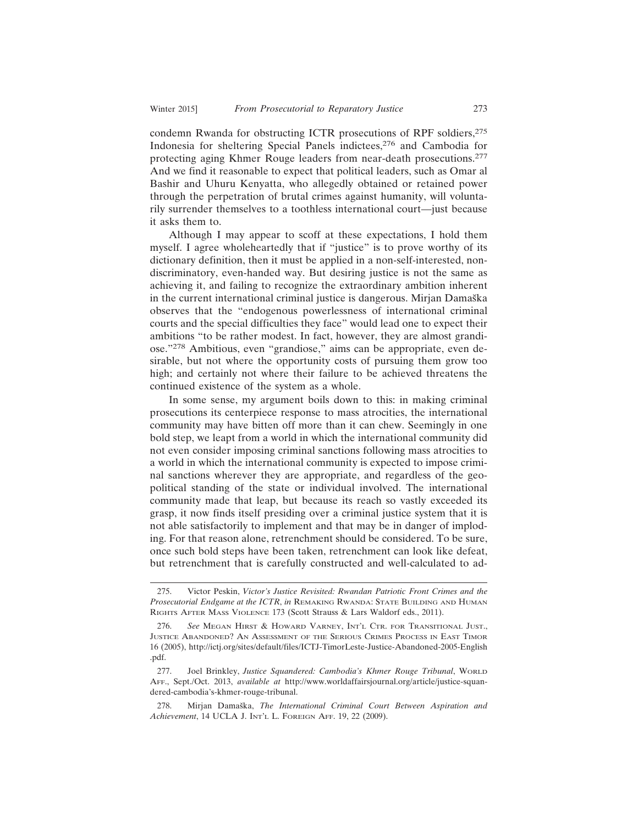condemn Rwanda for obstructing ICTR prosecutions of RPF soldiers,<sup>275</sup> Indonesia for sheltering Special Panels indictees,276 and Cambodia for protecting aging Khmer Rouge leaders from near-death prosecutions.<sup>277</sup> And we find it reasonable to expect that political leaders, such as Omar al Bashir and Uhuru Kenyatta, who allegedly obtained or retained power through the perpetration of brutal crimes against humanity, will voluntarily surrender themselves to a toothless international court—just because it asks them to.

Although I may appear to scoff at these expectations, I hold them myself. I agree wholeheartedly that if "justice" is to prove worthy of its dictionary definition, then it must be applied in a non-self-interested, nondiscriminatory, even-handed way. But desiring justice is not the same as achieving it, and failing to recognize the extraordinary ambition inherent in the current international criminal justice is dangerous. Mirjan Damaška observes that the "endogenous powerlessness of international criminal courts and the special difficulties they face" would lead one to expect their ambitions "to be rather modest. In fact, however, they are almost grandiose."278 Ambitious, even "grandiose," aims can be appropriate, even desirable, but not where the opportunity costs of pursuing them grow too high; and certainly not where their failure to be achieved threatens the continued existence of the system as a whole.

In some sense, my argument boils down to this: in making criminal prosecutions its centerpiece response to mass atrocities, the international community may have bitten off more than it can chew. Seemingly in one bold step, we leapt from a world in which the international community did not even consider imposing criminal sanctions following mass atrocities to a world in which the international community is expected to impose criminal sanctions wherever they are appropriate, and regardless of the geopolitical standing of the state or individual involved. The international community made that leap, but because its reach so vastly exceeded its grasp, it now finds itself presiding over a criminal justice system that it is not able satisfactorily to implement and that may be in danger of imploding. For that reason alone, retrenchment should be considered. To be sure, once such bold steps have been taken, retrenchment can look like defeat, but retrenchment that is carefully constructed and well-calculated to ad-

<sup>275.</sup> Victor Peskin, *Victor's Justice Revisited: Rwandan Patriotic Front Crimes and the Prosecutorial Endgame at the ICTR*, *in* REMAKING RWANDA: STATE BUILDING AND HUMAN RIGHTS AFTER MASS VIOLENCE 173 (Scott Strauss & Lars Waldorf eds., 2011).

<sup>276.</sup> *See* MEGAN HIRST & HOWARD VARNEY, INT'L CTR. FOR TRANSITIONAL JUST., JUSTICE ABANDONED? AN ASSESSMENT OF THE SERIOUS CRIMES PROCESS IN EAST TIMOR 16 (2005), http://ictj.org/sites/default/files/ICTJ-TimorLeste-Justice-Abandoned-2005-English .pdf.

<sup>277.</sup> Joel Brinkley, *Justice Squandered: Cambodia's Khmer Rouge Tribunal*, WORLD AFF., Sept./Oct. 2013, *available at* http://www.worldaffairsjournal.org/article/justice-squandered-cambodia's-khmer-rouge-tribunal.

<sup>278.</sup> Mirjan Damaška, *The International Criminal Court Between Aspiration and Achievement*, 14 UCLA J. INT'L L. FOREIGN AFF. 19, 22 (2009).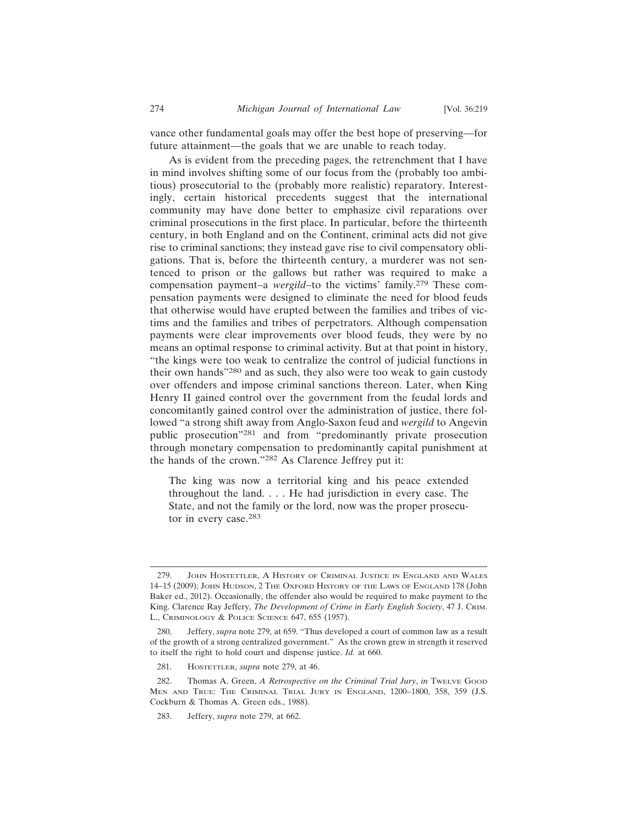vance other fundamental goals may offer the best hope of preserving—for future attainment—the goals that we are unable to reach today.

As is evident from the preceding pages, the retrenchment that I have in mind involves shifting some of our focus from the (probably too ambitious) prosecutorial to the (probably more realistic) reparatory. Interestingly, certain historical precedents suggest that the international community may have done better to emphasize civil reparations over criminal prosecutions in the first place. In particular, before the thirteenth century, in both England and on the Continent, criminal acts did not give rise to criminal sanctions; they instead gave rise to civil compensatory obligations. That is, before the thirteenth century, a murderer was not sentenced to prison or the gallows but rather was required to make a compensation payment–a *wergild*–to the victims' family.<sup>279</sup> These compensation payments were designed to eliminate the need for blood feuds that otherwise would have erupted between the families and tribes of victims and the families and tribes of perpetrators. Although compensation payments were clear improvements over blood feuds, they were by no means an optimal response to criminal activity. But at that point in history, "the kings were too weak to centralize the control of judicial functions in their own hands"<sup>280</sup> and as such, they also were too weak to gain custody over offenders and impose criminal sanctions thereon. Later, when King Henry II gained control over the government from the feudal lords and concomitantly gained control over the administration of justice, there followed "a strong shift away from Anglo-Saxon feud and *wergild* to Angevin public prosecution"281 and from "predominantly private prosecution through monetary compensation to predominantly capital punishment at the hands of the crown."282 As Clarence Jeffrey put it:

The king was now a territorial king and his peace extended throughout the land. . . . He had jurisdiction in every case. The State, and not the family or the lord, now was the proper prosecutor in every case.<sup>283</sup>

<sup>279.</sup> JOHN HOSTETTLER, A HISTORY OF CRIMINAL JUSTICE IN ENGLAND AND WALES 14–15 (2009); JOHN HUDSON, 2 THE OXFORD HISTORY OF THE LAWS OF ENGLAND 178 (John Baker ed., 2012). Occasionally, the offender also would be required to make payment to the King. Clarence Ray Jeffery, *The Development of Crime in Early English Society*, 47 J. CRIM. L., CRIMINOLOGY & POLICE SCIENCE 647, 655 (1957).

<sup>280.</sup> Jeffery, *supra* note 279, at 659. "Thus developed a court of common law as a result of the growth of a strong centralized government." As the crown grew in strength it reserved to itself the right to hold court and dispense justice. *Id.* at 660.

<sup>281.</sup> HOSTETTLER, *supra* note 279, at 46.

<sup>282.</sup> Thomas A. Green, *A Retrospective on the Criminal Trial Jury*, *in* TweLve Good MEN AND TRUE: THE CRIMINAL TRIAL JURY IN ENGLAND, 1200–1800, 358, 359 (J.S. Cockburn & Thomas A. Green eds., 1988).

<sup>283.</sup> Jeffery, *supra* note 279, at 662.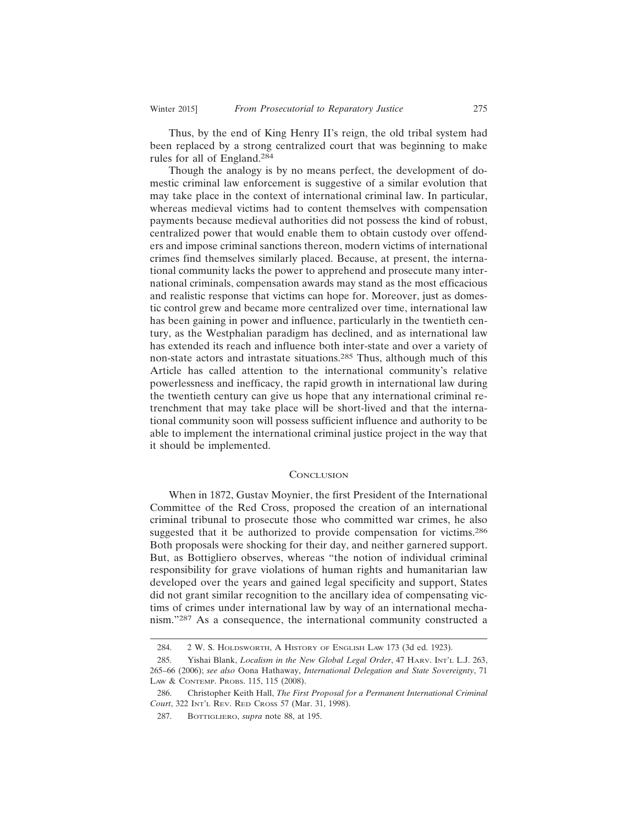Thus, by the end of King Henry II's reign, the old tribal system had been replaced by a strong centralized court that was beginning to make rules for all of England.<sup>284</sup>

Though the analogy is by no means perfect, the development of domestic criminal law enforcement is suggestive of a similar evolution that may take place in the context of international criminal law. In particular, whereas medieval victims had to content themselves with compensation payments because medieval authorities did not possess the kind of robust, centralized power that would enable them to obtain custody over offenders and impose criminal sanctions thereon, modern victims of international crimes find themselves similarly placed. Because, at present, the international community lacks the power to apprehend and prosecute many international criminals, compensation awards may stand as the most efficacious and realistic response that victims can hope for. Moreover, just as domestic control grew and became more centralized over time, international law has been gaining in power and influence, particularly in the twentieth century, as the Westphalian paradigm has declined, and as international law has extended its reach and influence both inter-state and over a variety of non-state actors and intrastate situations.285 Thus, although much of this Article has called attention to the international community's relative powerlessness and inefficacy, the rapid growth in international law during the twentieth century can give us hope that any international criminal retrenchment that may take place will be short-lived and that the international community soon will possess sufficient influence and authority to be able to implement the international criminal justice project in the way that it should be implemented.

#### **CONCLUSION**

When in 1872, Gustav Moynier, the first President of the International Committee of the Red Cross, proposed the creation of an international criminal tribunal to prosecute those who committed war crimes, he also suggested that it be authorized to provide compensation for victims.<sup>286</sup> Both proposals were shocking for their day, and neither garnered support. But, as Bottigliero observes, whereas "the notion of individual criminal responsibility for grave violations of human rights and humanitarian law developed over the years and gained legal specificity and support, States did not grant similar recognition to the ancillary idea of compensating victims of crimes under international law by way of an international mechanism."287 As a consequence, the international community constructed a

<sup>284. 2</sup> W. S. HOLDSWORTH, A HISTORY OF ENGLISH LAW 173 (3d ed. 1923).

<sup>285.</sup> Yishai Blank, *Localism in the New Global Legal Order*, 47 HARV. INT'L L.J. 263, 265–66 (2006); *see also* Oona Hathaway, *International Delegation and State Sovereignty*, 71 LAW & CONTEMP. PROBS. 115, 115 (2008).

<sup>286.</sup> Christopher Keith Hall, *The First Proposal for a Permanent International Criminal Court*, 322 INT'L REV. RED CROSS 57 (Mar. 31, 1998).

<sup>287.</sup> BOTTIGLIERO, *supra* note 88, at 195.